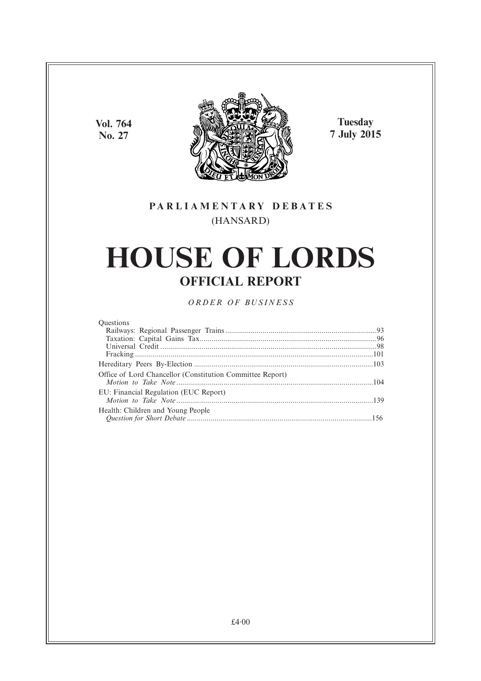**Vol. 764 No. 27**



**Tuesday 7 July 2015**

### **PARL IAMENTARY DEBATES** (HANSARD)

# **HOUSE OF LORDS OFFICIAL REPORT**

*ORDER OF BUSINESS*

#### **Ouestions**

| Office of Lord Chancellor (Constitution Committee Report) |  |
|-----------------------------------------------------------|--|
| EU: Financial Regulation (EUC Report)                     |  |
| Health: Children and Young People                         |  |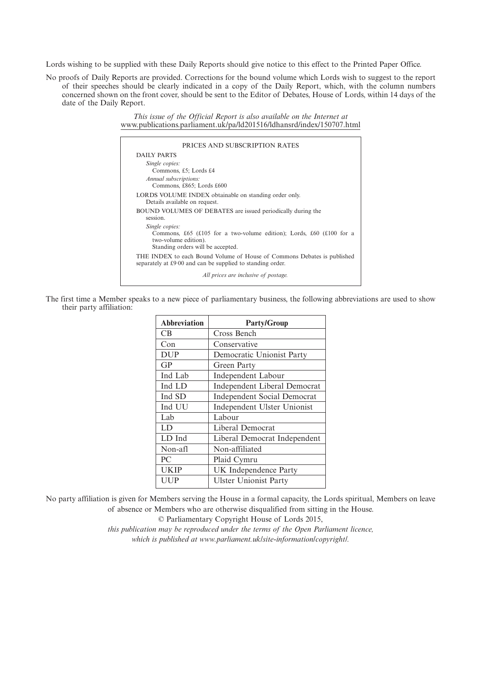Lords wishing to be supplied with these Daily Reports should give notice to this effect to the Printed Paper Office.

No proofs of Daily Reports are provided. Corrections for the bound volume which Lords wish to suggest to the report of their speeches should be clearly indicated in a copy of the Daily Report, which, with the column numbers concerned shown on the front cover, should be sent to the Editor of Debates, House of Lords, within 14 days of the date of the Daily Report.

> *This issue of the Official Report is also available on the Internet at* www.publications.parliament.uk/pa/ld201516/ldhansrd/index/150707.html

| PRICES AND SUBSCRIPTION RATES                                                                                                                       |
|-----------------------------------------------------------------------------------------------------------------------------------------------------|
| DAILY PARTS                                                                                                                                         |
| Single copies:<br>Commons, £5; Lords £4                                                                                                             |
| Annual subscriptions:<br>Commons, £865; Lords £600                                                                                                  |
| LORDS VOLUME INDEX obtainable on standing order only.<br>Details available on request.                                                              |
| BOUND VOLUMES OF DEBATES are issued periodically during the<br>session.                                                                             |
| Single copies:<br>Commons, £65 (£105 for a two-volume edition); Lords, £60 (£100 for a<br>two-volume edition).<br>Standing orders will be accepted. |
| THE INDEX to each Bound Volume of House of Commons Debates is published<br>separately at £9.00 and can be supplied to standing order.               |
| All prices are inclusive of postage.                                                                                                                |

The first time a Member speaks to a new piece of parliamentary business, the following abbreviations are used to show their party affiliation:

| <b>Abbreviation</b> | <b>Party/Group</b>                  |
|---------------------|-------------------------------------|
| CB                  | Cross Bench                         |
| Con                 | Conservative                        |
| <b>DUP</b>          | Democratic Unionist Party           |
| GP                  | Green Party                         |
| Ind Lab             | <b>Independent Labour</b>           |
| Ind LD              | <b>Independent Liberal Democrat</b> |
| Ind SD              | <b>Independent Social Democrat</b>  |
| Ind UU              | Independent Ulster Unionist         |
| Lab                 | Labour                              |
| LD                  | Liberal Democrat                    |
| LD Ind              | Liberal Democrat Independent        |
| Non-afl             | Non-affiliated                      |
| P <sub>C</sub>      | Plaid Cymru                         |
| <b>UKIP</b>         | UK Independence Party               |
| <b>UUP</b>          | <b>Ulster Unionist Party</b>        |

No party affiliation is given for Members serving the House in a formal capacity, the Lords spiritual, Members on leave of absence or Members who are otherwise disqualified from sitting in the House.

© Parliamentary Copyright House of Lords 2015,

*this publication may be reproduced under the terms of the Open Parliament licence, which is published at www.parliament.uk/site-information/copyright/.*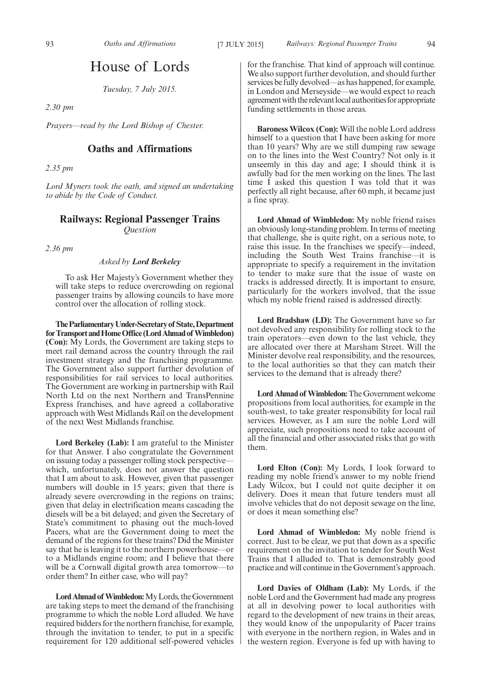## House of Lords

*Tuesday, 7 July 2015.*

*2.30 pm*

*Prayers—read by the Lord Bishop of Chester.*

### **Oaths and Affirmations**

*2.35 pm*

*Lord Myners took the oath, and signed an undertaking to abide by the Code of Conduct.*

#### **Railways: Regional Passenger Trains** *Question*

*2.36 pm*

#### *Asked by Lord Berkeley*

To ask Her Majesty's Government whether they will take steps to reduce overcrowding on regional passenger trains by allowing councils to have more control over the allocation of rolling stock.

**TheParliamentaryUnder-Secretaryof State,Department** for Transport and Home Office (Lord Ahmad of Wimbledon) **(Con):** My Lords, the Government are taking steps to meet rail demand across the country through the rail investment strategy and the franchising programme. The Government also support further devolution of responsibilities for rail services to local authorities. The Government are working in partnership with Rail North Ltd on the next Northern and TransPennine Express franchises, and have agreed a collaborative approach with West Midlands Rail on the development of the next West Midlands franchise.

**Lord Berkeley (Lab):** I am grateful to the Minister for that Answer. I also congratulate the Government on issuing today a passenger rolling stock perspective which, unfortunately, does not answer the question that I am about to ask. However, given that passenger numbers will double in 15 years; given that there is already severe overcrowding in the regions on trains; given that delay in electrification means cascading the diesels will be a bit delayed; and given the Secretary of State's commitment to phasing out the much-loved Pacers, what are the Government doing to meet the demand of the regions for these trains? Did the Minister say that he is leaving it to the northern powerhouse—or to a Midlands engine room; and I believe that there will be a Cornwall digital growth area tomorrow—to order them? In either case, who will pay?

Lord Ahmad of Wimbledon: My Lords, the Government are taking steps to meet the demand of the franchising programme to which the noble Lord alluded. We have required bidders for the northern franchise, for example, through the invitation to tender, to put in a specific requirement for 120 additional self-powered vehicles

for the franchise. That kind of approach will continue. We also support further devolution, and should further services be fully devolved—as has happened, for example, in London and Merseyside—we would expect to reach agreement with the relevant local authorities for appropriate funding settlements in those areas.

**Baroness Wilcox (Con):** Will the noble Lord address himself to a question that I have been asking for more than 10 years? Why are we still dumping raw sewage on to the lines into the West Country? Not only is it unseemly in this day and age; I should think it is awfully bad for the men working on the lines. The last time I asked this question I was told that it was perfectly all right because, after 60 mph, it became just a fine spray.

**Lord Ahmad of Wimbledon:** My noble friend raises an obviously long-standing problem. In terms of meeting that challenge, she is quite right, on a serious note, to raise this issue. In the franchises we specify—indeed, including the South West Trains franchise—it is appropriate to specify a requirement in the invitation to tender to make sure that the issue of waste on tracks is addressed directly. It is important to ensure, particularly for the workers involved, that the issue which my noble friend raised is addressed directly.

**Lord Bradshaw (LD):** The Government have so far not devolved any responsibility for rolling stock to the train operators—even down to the last vehicle, they are allocated over there at Marsham Street. Will the Minister devolve real responsibility, and the resources, to the local authorities so that they can match their services to the demand that is already there?

**Lord Ahmad of Wimbledon:**The Government welcome propositions from local authorities, for example in the south-west, to take greater responsibility for local rail services. However, as I am sure the noble Lord will appreciate, such propositions need to take account of all the financial and other associated risks that go with them.

**Lord Elton (Con):** My Lords, I look forward to reading my noble friend's answer to my noble friend Lady Wilcox, but I could not quite decipher it on delivery. Does it mean that future tenders must all involve vehicles that do not deposit sewage on the line, or does it mean something else?

**Lord Ahmad of Wimbledon:** My noble friend is correct. Just to be clear, we put that down as a specific requirement on the invitation to tender for South West Trains that I alluded to. That is demonstrably good practice and will continue in the Government's approach.

**Lord Davies of Oldham (Lab):** My Lords, if the noble Lord and the Government had made any progress at all in devolving power to local authorities with regard to the development of new trains in their areas, they would know of the unpopularity of Pacer trains with everyone in the northern region, in Wales and in the western region. Everyone is fed up with having to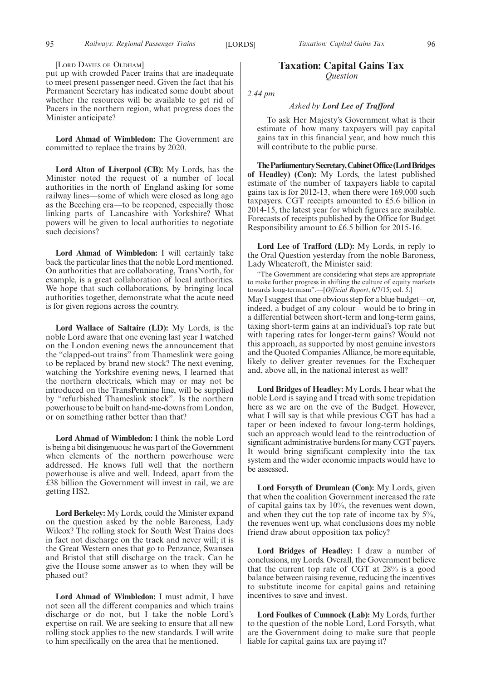#### [LORD DAVIES OF OLDHAM]

put up with crowded Pacer trains that are inadequate to meet present passenger need. Given the fact that his Permanent Secretary has indicated some doubt about whether the resources will be available to get rid of Pacers in the northern region, what progress does the Minister anticipate?

**Lord Ahmad of Wimbledon:** The Government are committed to replace the trains by 2020.

**Lord Alton of Liverpool (CB):** My Lords, has the Minister noted the request of a number of local authorities in the north of England asking for some railway lines—some of which were closed as long ago as the Beeching era—to be reopened, especially those linking parts of Lancashire with Yorkshire? What powers will be given to local authorities to negotiate such decisions?

**Lord Ahmad of Wimbledon:** I will certainly take back the particular lines that the noble Lord mentioned. On authorities that are collaborating, TransNorth, for example, is a great collaboration of local authorities. We hope that such collaborations, by bringing local authorities together, demonstrate what the acute need is for given regions across the country.

**Lord Wallace of Saltaire (LD):** My Lords, is the noble Lord aware that one evening last year I watched on the London evening news the announcement that the "clapped-out trains" from Thameslink were going to be replaced by brand new stock? The next evening, watching the Yorkshire evening news, I learned that the northern electricals, which may or may not be introduced on the TransPennine line, will be supplied by "refurbished Thameslink stock". Is the northern powerhouse to be built on hand-me-downs from London, or on something rather better than that?

**Lord Ahmad of Wimbledon:** I think the noble Lord is being a bit disingenuous: he was part of the Government when elements of the northern powerhouse were addressed. He knows full well that the northern powerhouse is alive and well. Indeed, apart from the £38 billion the Government will invest in rail, we are getting HS2.

**Lord Berkeley:** My Lords, could the Minister expand on the question asked by the noble Baroness, Lady Wilcox? The rolling stock for South West Trains does in fact not discharge on the track and never will; it is the Great Western ones that go to Penzance, Swansea and Bristol that still discharge on the track. Can he give the House some answer as to when they will be phased out?

**Lord Ahmad of Wimbledon:** I must admit, I have not seen all the different companies and which trains discharge or do not, but I take the noble Lord's expertise on rail. We are seeking to ensure that all new rolling stock applies to the new standards. I will write to him specifically on the area that he mentioned.

#### **Taxation: Capital Gains Tax** *Question*

*2.44 pm*

#### *Asked by Lord Lee of Trafford*

To ask Her Majesty's Government what is their estimate of how many taxpayers will pay capital gains tax in this financial year, and how much this will contribute to the public purse.

**TheParliamentarySecretary,CabinetOffice(LordBridges of Headley) (Con):** My Lords, the latest published estimate of the number of taxpayers liable to capital gains tax is for 2012-13, when there were 169,000 such taxpayers. CGT receipts amounted to £5.6 billion in 2014-15, the latest year for which figures are available. Forecasts of receipts published by the Office for Budget Responsibility amount to £6.5 billion for 2015-16.

**Lord Lee of Trafford (LD):** My Lords, in reply to the Oral Question yesterday from the noble Baroness, Lady Wheatcroft, the Minister said:

"The Government are considering what steps are appropriate to make further progress in shifting the culture of equity markets towards long-termism".—[*Official Report*, 6/7/15; col. 5.] May I suggest that one obvious step for a blue budget—or, indeed, a budget of any colour—would be to bring in a differential between short-term and long-term gains, taxing short-term gains at an individual's top rate but with tapering rates for longer-term gains? Would not this approach, as supported by most genuine investors and the Quoted Companies Alliance, be more equitable, likely to deliver greater revenues for the Exchequer and, above all, in the national interest as well?

**Lord Bridges of Headley:** My Lords, I hear what the noble Lord is saying and I tread with some trepidation here as we are on the eve of the Budget. However, what I will say is that while previous CGT has had a taper or been indexed to favour long-term holdings, such an approach would lead to the reintroduction of significant administrative burdens for many CGT payers. It would bring significant complexity into the tax system and the wider economic impacts would have to be assessed.

**Lord Forsyth of Drumlean (Con):** My Lords, given that when the coalition Government increased the rate of capital gains tax by 10%, the revenues went down, and when they cut the top rate of income tax by 5%, the revenues went up, what conclusions does my noble friend draw about opposition tax policy?

**Lord Bridges of Headley:** I draw a number of conclusions, my Lords. Overall, the Government believe that the current top rate of CGT at 28% is a good balance between raising revenue, reducing the incentives to substitute income for capital gains and retaining incentives to save and invest.

**Lord Foulkes of Cumnock (Lab):** My Lords, further to the question of the noble Lord, Lord Forsyth, what are the Government doing to make sure that people liable for capital gains tax are paying it?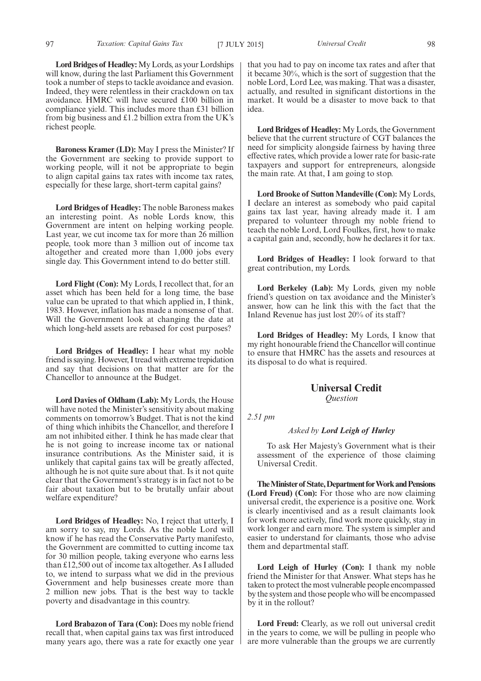**Lord Bridges of Headley:**My Lords, as your Lordships will know, during the last Parliament this Government took a number of steps to tackle avoidance and evasion. Indeed, they were relentless in their crackdown on tax avoidance. HMRC will have secured £100 billion in compliance yield. This includes more than £31 billion from big business and  $\pounds$ 1.2 billion extra from the UK's richest people.

**Baroness Kramer (LD):** May I press the Minister? If the Government are seeking to provide support to working people, will it not be appropriate to begin to align capital gains tax rates with income tax rates, especially for these large, short-term capital gains?

**Lord Bridges of Headley:** The noble Baroness makes an interesting point. As noble Lords know, this Government are intent on helping working people. Last year, we cut income tax for more than 26 million people, took more than 3 million out of income tax altogether and created more than 1,000 jobs every single day. This Government intend to do better still.

**Lord Flight (Con):** My Lords, I recollect that, for an asset which has been held for a long time, the base value can be uprated to that which applied in, I think, 1983. However, inflation has made a nonsense of that. Will the Government look at changing the date at which long-held assets are rebased for cost purposes?

**Lord Bridges of Headley:** I hear what my noble friend is saying. However, I tread with extreme trepidation and say that decisions on that matter are for the Chancellor to announce at the Budget.

**Lord Davies of Oldham (Lab):** My Lords, the House will have noted the Minister's sensitivity about making comments on tomorrow's Budget. That is not the kind of thing which inhibits the Chancellor, and therefore I am not inhibited either. I think he has made clear that he is not going to increase income tax or national insurance contributions. As the Minister said, it is unlikely that capital gains tax will be greatly affected, although he is not quite sure about that. Is it not quite clear that the Government's strategy is in fact not to be fair about taxation but to be brutally unfair about welfare expenditure?

**Lord Bridges of Headley:** No, I reject that utterly, I am sorry to say, my Lords. As the noble Lord will know if he has read the Conservative Party manifesto, the Government are committed to cutting income tax for 30 million people, taking everyone who earns less than £12,500 out of income tax altogether. As I alluded to, we intend to surpass what we did in the previous Government and help businesses create more than 2 million new jobs. That is the best way to tackle poverty and disadvantage in this country.

**Lord Brabazon of Tara (Con):** Does my noble friend recall that, when capital gains tax was first introduced many years ago, there was a rate for exactly one year that you had to pay on income tax rates and after that it became 30%, which is the sort of suggestion that the noble Lord, Lord Lee, was making. That was a disaster, actually, and resulted in significant distortions in the market. It would be a disaster to move back to that idea.

**Lord Bridges of Headley:** My Lords, the Government believe that the current structure of CGT balances the need for simplicity alongside fairness by having three effective rates, which provide a lower rate for basic-rate taxpayers and support for entrepreneurs, alongside the main rate. At that, I am going to stop.

**Lord Brooke of Sutton Mandeville (Con):** My Lords, I declare an interest as somebody who paid capital gains tax last year, having already made it. I am prepared to volunteer through my noble friend to teach the noble Lord, Lord Foulkes, first, how to make a capital gain and, secondly, how he declares it for tax.

**Lord Bridges of Headley:** I look forward to that great contribution, my Lords.

**Lord Berkeley (Lab):** My Lords, given my noble friend's question on tax avoidance and the Minister's answer, how can he link this with the fact that the Inland Revenue has just lost 20% of its staff ?

**Lord Bridges of Headley:** My Lords, I know that my right honourable friend the Chancellor will continue to ensure that HMRC has the assets and resources at its disposal to do what is required.

#### **Universal Credit**

*Question*

*2.51 pm*

#### *Asked by Lord Leigh of Hurley*

To ask Her Majesty's Government what is their assessment of the experience of those claiming Universal Credit.

**TheMinister of State,Department forWork andPensions (Lord Freud) (Con):** For those who are now claiming universal credit, the experience is a positive one. Work is clearly incentivised and as a result claimants look for work more actively, find work more quickly, stay in work longer and earn more. The system is simpler and easier to understand for claimants, those who advise them and departmental staff.

**Lord Leigh of Hurley (Con):** I thank my noble friend the Minister for that Answer. What steps has he taken to protect the most vulnerable people encompassed by the system and those people who will be encompassed by it in the rollout?

**Lord Freud:** Clearly, as we roll out universal credit in the years to come, we will be pulling in people who are more vulnerable than the groups we are currently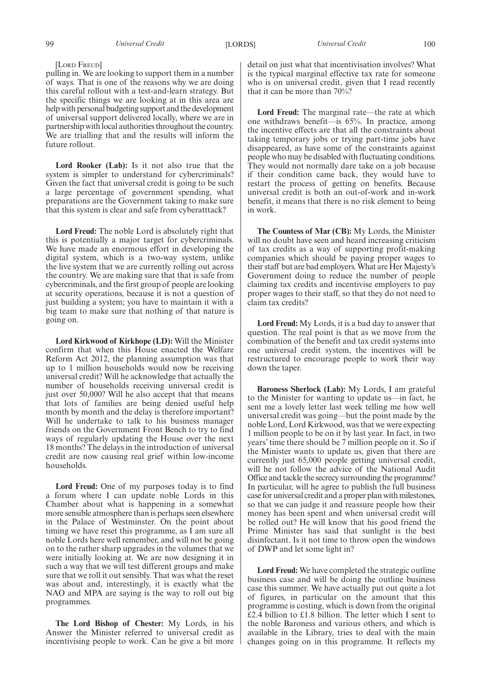#### [LORD FREUD]

pulling in. We are looking to support them in a number of ways. That is one of the reasons why we are doing this careful rollout with a test-and-learn strategy. But the specific things we are looking at in this area are help with personal budgeting support and the development of universal support delivered locally, where we are in partnership with local authorities throughout the country. We are trialling that and the results will inform the future rollout.

**Lord Rooker (Lab):** Is it not also true that the system is simpler to understand for cybercriminals? Given the fact that universal credit is going to be such a large percentage of government spending, what preparations are the Government taking to make sure that this system is clear and safe from cyberatttack?

**Lord Freud:** The noble Lord is absolutely right that this is potentially a major target for cybercriminals. We have made an enormous effort in developing the digital system, which is a two-way system, unlike the live system that we are currently rolling out across the country. We are making sure that that is safe from cybercriminals, and the first group of people are looking at security operations, because it is not a question of just building a system; you have to maintain it with a big team to make sure that nothing of that nature is going on.

**Lord Kirkwood of Kirkhope (LD):** Will the Minister confirm that when this House enacted the Welfare Reform Act 2012, the planning assumption was that up to 1 million households would now be receiving universal credit? Will he acknowledge that actually the number of households receiving universal credit is just over 50,000? Will he also accept that that means that lots of families are being denied useful help month by month and the delay is therefore important? Will he undertake to talk to his business manager friends on the Government Front Bench to try to find ways of regularly updating the House over the next 18 months? The delays in the introduction of universal credit are now causing real grief within low-income households.

**Lord Freud:** One of my purposes today is to find a forum where I can update noble Lords in this Chamber about what is happening in a somewhat more sensible atmosphere than is perhaps seen elsewhere in the Palace of Westminster. On the point about timing we have reset this programme, as I am sure all noble Lords here well remember, and will not be going on to the rather sharp upgrades in the volumes that we were initially looking at. We are now designing it in such a way that we will test different groups and make sure that we roll it out sensibly. That was what the reset was about and, interestingly, it is exactly what the NAO and MPA are saying is the way to roll out big programmes.

**The Lord Bishop of Chester:** My Lords, in his Answer the Minister referred to universal credit as incentivising people to work. Can he give a bit more detail on just what that incentivisation involves? What is the typical marginal effective tax rate for someone who is on universal credit, given that I read recently that it can be more than 70%?

**Lord Freud:** The marginal rate—the rate at which one withdraws benefit—is 65%. In practice, among the incentive effects are that all the constraints about taking temporary jobs or trying part-time jobs have disappeared, as have some of the constraints against people who may be disabled with fluctuating conditions. They would not normally dare take on a job because if their condition came back, they would have to restart the process of getting on benefits. Because universal credit is both an out-of-work and in-work benefit, it means that there is no risk element to being in work.

**The Countess of Mar (CB):** My Lords, the Minister will no doubt have seen and heard increasing criticism of tax credits as a way of supporting profit-making companies which should be paying proper wages to their staff but are bad employers. What are Her Majesty's Government doing to reduce the number of people claiming tax credits and incentivise employers to pay proper wages to their staff, so that they do not need to claim tax credits?

**Lord Freud:** My Lords, it is a bad day to answer that question. The real point is that as we move from the combination of the benefit and tax credit systems into one universal credit system, the incentives will be restructured to encourage people to work their way down the taper.

**Baroness Sherlock (Lab):** My Lords, I am grateful to the Minister for wanting to update us—in fact, he sent me a lovely letter last week telling me how well universal credit was going—but the point made by the noble Lord, Lord Kirkwood, was that we were expecting 1 million people to be on it by last year. In fact, in two years' time there should be 7 million people on it. So if the Minister wants to update us, given that there are currently just 65,000 people getting universal credit, will he not follow the advice of the National Audit Office and tackle the secrecy surrounding the programme? In particular, will he agree to publish the full business case for universal credit and a proper plan with milestones, so that we can judge it and reassure people how their money has been spent and when universal credit will be rolled out? He will know that his good friend the Prime Minister has said that sunlight is the best disinfectant. Is it not time to throw open the windows of DWP and let some light in?

**Lord Freud:** We have completed the strategic outline business case and will be doing the outline business case this summer. We have actually put out quite a lot of figures, in particular on the amount that this programme is costing, which is down from the original £2.4 billion to £1.8 billion. The letter which I sent to the noble Baroness and various others, and which is available in the Library, tries to deal with the main changes going on in this programme. It reflects my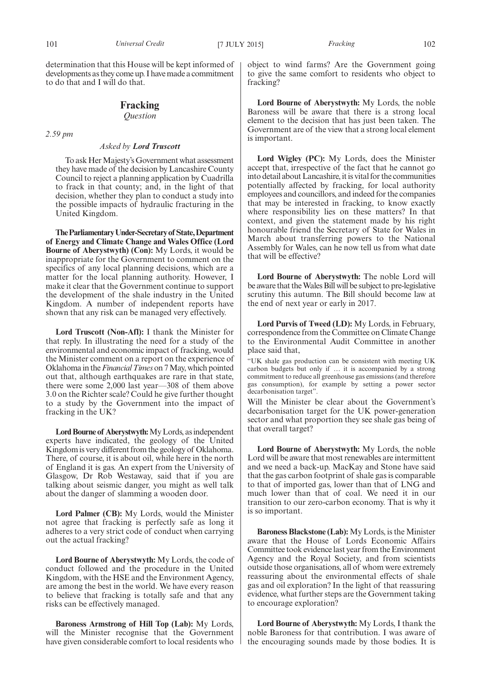determination that this House will be kept informed of developments as they come up. I have made a commitment to do that and I will do that.

#### **Fracking** *Question*

*2.59 pm*

#### *Asked by Lord Truscott*

To ask Her Majesty's Government what assessment they have made of the decision by Lancashire County Council to reject a planning application by Cuadrilla to frack in that county; and, in the light of that decision, whether they plan to conduct a study into the possible impacts of hydraulic fracturing in the United Kingdom.

**TheParliamentaryUnder-Secretaryof State,Department of Energy and Climate Change and Wales Office (Lord Bourne of Aberystwyth) (Con):** My Lords, it would be inappropriate for the Government to comment on the specifics of any local planning decisions, which are a matter for the local planning authority. However, I make it clear that the Government continue to support the development of the shale industry in the United Kingdom. A number of independent reports have shown that any risk can be managed very effectively.

**Lord Truscott (Non-Afl):** I thank the Minister for that reply. In illustrating the need for a study of the environmental and economic impact of fracking, would the Minister comment on a report on the experience of Oklahoma in the*Financial Times* on 7May, which pointed out that, although earthquakes are rare in that state, there were some 2,000 last year—308 of them above 3.0 on the Richter scale? Could he give further thought to a study by the Government into the impact of fracking in the UK?

Lord Bourne of Aberystwyth: My Lords, as independent experts have indicated, the geology of the United Kingdom is very different from the geology of Oklahoma. There, of course, it is about oil, while here in the north of England it is gas. An expert from the University of Glasgow, Dr Rob Westaway, said that if you are talking about seismic danger, you might as well talk about the danger of slamming a wooden door.

**Lord Palmer (CB):** My Lords, would the Minister not agree that fracking is perfectly safe as long it adheres to a very strict code of conduct when carrying out the actual fracking?

**Lord Bourne of Aberystwyth:** My Lords, the code of conduct followed and the procedure in the United Kingdom, with the HSE and the Environment Agency, are among the best in the world. We have every reason to believe that fracking is totally safe and that any risks can be effectively managed.

**Baroness Armstrong of Hill Top (Lab):** My Lords, will the Minister recognise that the Government have given considerable comfort to local residents who object to wind farms? Are the Government going to give the same comfort to residents who object to fracking?

**Lord Bourne of Aberystwyth:** My Lords, the noble Baroness will be aware that there is a strong local element to the decision that has just been taken. The Government are of the view that a strong local element is important.

**Lord Wigley (PC):** My Lords, does the Minister accept that, irrespective of the fact that he cannot go into detail about Lancashire, it is vital for the communities potentially affected by fracking, for local authority employees and councillors, and indeed for the companies that may be interested in fracking, to know exactly where responsibility lies on these matters? In that context, and given the statement made by his right honourable friend the Secretary of State for Wales in March about transferring powers to the National Assembly for Wales, can he now tell us from what date that will be effective?

**Lord Bourne of Aberystwyth:** The noble Lord will be aware that theWales Bill will be subject to pre-legislative scrutiny this autumn. The Bill should become law at the end of next year or early in 2017.

**Lord Purvis of Tweed (LD):** My Lords, in February, correspondence from the Committee on Climate Change to the Environmental Audit Committee in another place said that,

"UK shale gas production can be consistent with meeting UK carbon budgets but only if … it is accompanied by a strong commitment to reduce all greenhouse gas emissions (and therefore gas consumption), for example by setting a power sector decarbonisation target".

Will the Minister be clear about the Government's decarbonisation target for the UK power-generation sector and what proportion they see shale gas being of that overall target?

**Lord Bourne of Aberystwyth:** My Lords, the noble Lord will be aware that most renewables are intermittent and we need a back-up. MacKay and Stone have said that the gas carbon footprint of shale gas is comparable to that of imported gas, lower than that of LNG and much lower than that of coal. We need it in our transition to our zero-carbon economy. That is why it is so important.

**Baroness Blackstone (Lab):** My Lords, is the Minister aware that the House of Lords Economic Affairs Committee took evidence last year from the Environment Agency and the Royal Society, and from scientists outside those organisations, all of whom were extremely reassuring about the environmental effects of shale gas and oil exploration? In the light of that reassuring evidence, what further steps are the Government taking to encourage exploration?

**Lord Bourne of Aberystwyth:** My Lords, I thank the noble Baroness for that contribution. I was aware of the encouraging sounds made by those bodies. It is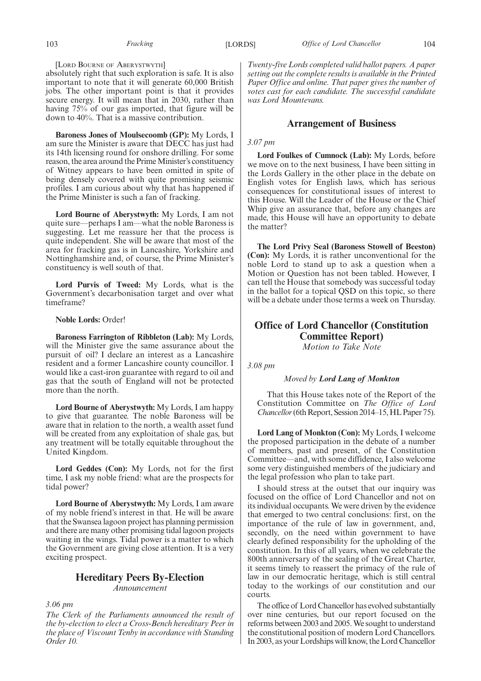#### [LORD BOURNE OF ABERYSTWYTH]

absolutely right that such exploration is safe. It is also important to note that it will generate 60,000 British jobs. The other important point is that it provides secure energy. It will mean that in 2030, rather than having 75% of our gas imported, that figure will be down to 40%. That is a massive contribution.

**Baroness Jones of Moulsecoomb (GP):** My Lords, I am sure the Minister is aware that DECC has just had its 14th licensing round for onshore drilling. For some reason, the area around the Prime Minister's constituency of Witney appears to have been omitted in spite of being densely covered with quite promising seismic profiles. I am curious about why that has happened if the Prime Minister is such a fan of fracking.

**Lord Bourne of Aberystwyth:** My Lords, I am not quite sure—perhaps I am—what the noble Baroness is suggesting. Let me reassure her that the process is quite independent. She will be aware that most of the area for fracking gas is in Lancashire, Yorkshire and Nottinghamshire and, of course, the Prime Minister's constituency is well south of that.

**Lord Purvis of Tweed:** My Lords, what is the Government's decarbonisation target and over what timeframe?

#### **Noble Lords:** Order!

**Baroness Farrington of Ribbleton (Lab):** My Lords, will the Minister give the same assurance about the pursuit of oil? I declare an interest as a Lancashire resident and a former Lancashire county councillor. I would like a cast-iron guarantee with regard to oil and gas that the south of England will not be protected more than the north.

**Lord Bourne of Aberystwyth:** My Lords, I am happy to give that guarantee. The noble Baroness will be aware that in relation to the north, a wealth asset fund will be created from any exploitation of shale gas, but any treatment will be totally equitable throughout the United Kingdom.

**Lord Geddes (Con):** My Lords, not for the first time, I ask my noble friend: what are the prospects for tidal power?

**Lord Bourne of Aberystwyth:** My Lords, I am aware of my noble friend's interest in that. He will be aware that the Swansea lagoon project has planning permission and there are many other promising tidal lagoon projects waiting in the wings. Tidal power is a matter to which the Government are giving close attention. It is a very exciting prospect.

#### **Hereditary Peers By-Election** *Announcement*

*3.06 pm*

*The Clerk of the Parliaments announced the result of the by-election to elect a Cross-Bench hereditary Peer in the place of Viscount Tenby in accordance with Standing Order 10.*

*Twenty-five Lords completed valid ballot papers. A paper setting out the complete results is available in the Printed Paper Office and online. That paper gives the number of votes cast for each candidate. The successful candidate was Lord Mountevans.*

#### **Arrangement of Business**

#### *3.07 pm*

**Lord Foulkes of Cumnock (Lab):** My Lords, before we move on to the next business, I have been sitting in the Lords Gallery in the other place in the debate on English votes for English laws, which has serious consequences for constitutional issues of interest to this House. Will the Leader of the House or the Chief Whip give an assurance that, before any changes are made, this House will have an opportunity to debate the matter?

**The Lord Privy Seal (Baroness Stowell of Beeston) (Con):** My Lords, it is rather unconventional for the noble Lord to stand up to ask a question when a Motion or Question has not been tabled. However, I can tell the House that somebody was successful today in the ballot for a topical QSD on this topic, so there will be a debate under those terms a week on Thursday.

### **Office of Lord Chancellor (Constitution Committee Report)**

*Motion to Take Note*

*3.08 pm*

#### *Moved by Lord Lang of Monkton*

That this House takes note of the Report of the Constitution Committee on *The Office of Lord Chancellor* (6th Report, Session 2014–15, HL Paper 75).

**Lord Lang of Monkton (Con):** My Lords, I welcome the proposed participation in the debate of a number of members, past and present, of the Constitution Committee—and, with some diffidence, I also welcome some very distinguished members of the judiciary and the legal profession who plan to take part.

I should stress at the outset that our inquiry was focused on the office of Lord Chancellor and not on its individual occupants. We were driven by the evidence that emerged to two central conclusions: first, on the importance of the rule of law in government, and, secondly, on the need within government to have clearly defined responsibility for the upholding of the constitution. In this of all years, when we celebrate the 800th anniversary of the sealing of the Great Charter, it seems timely to reassert the primacy of the rule of law in our democratic heritage, which is still central today to the workings of our constitution and our courts.

The office of Lord Chancellor has evolved substantially over nine centuries, but our report focused on the reforms between 2003 and 2005.We sought to understand the constitutional position of modern Lord Chancellors. In 2003, as your Lordships will know, the Lord Chancellor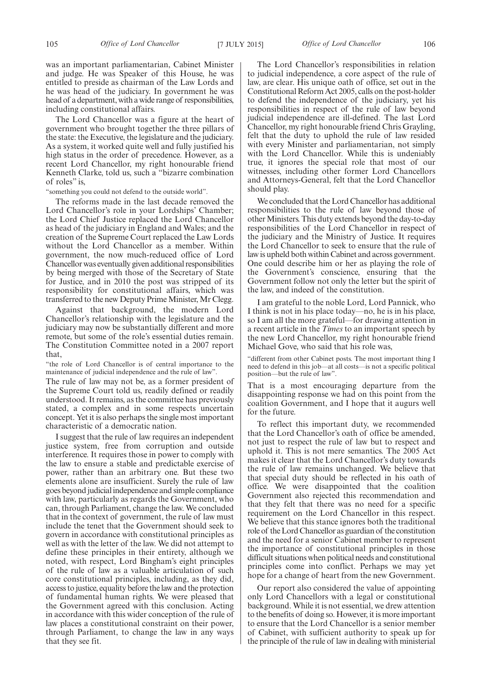was an important parliamentarian, Cabinet Minister and judge. He was Speaker of this House, he was entitled to preside as chairman of the Law Lords and he was head of the judiciary. In government he was head of a department, with a wide range of responsibilities, including constitutional affairs.

The Lord Chancellor was a figure at the heart of government who brought together the three pillars of the state: the Executive, the legislature and the judiciary. As a system, it worked quite well and fully justified his high status in the order of precedence. However, as a recent Lord Chancellor, my right honourable friend Kenneth Clarke, told us, such a "bizarre combination of roles" is,

"something you could not defend to the outside world".

The reforms made in the last decade removed the Lord Chancellor's role in your Lordships' Chamber; the Lord Chief Justice replaced the Lord Chancellor as head of the judiciary in England and Wales; and the creation of the Supreme Court replaced the Law Lords without the Lord Chancellor as a member. Within government, the now much-reduced office of Lord Chancellor was eventually given additional responsibilities by being merged with those of the Secretary of State for Justice, and in 2010 the post was stripped of its responsibility for constitutional affairs, which was transferred to the new Deputy Prime Minister, Mr Clegg.

Against that background, the modern Lord Chancellor's relationship with the legislature and the judiciary may now be substantially different and more remote, but some of the role's essential duties remain. The Constitution Committee noted in a 2007 report that,

"the role of Lord Chancellor is of central importance to the maintenance of judicial independence and the rule of law".

The rule of law may not be, as a former president of the Supreme Court told us, readily defined or readily understood. It remains, as the committee has previously stated, a complex and in some respects uncertain concept. Yet it is also perhaps the single most important characteristic of a democratic nation.

I suggest that the rule of law requires an independent justice system, free from corruption and outside interference. It requires those in power to comply with the law to ensure a stable and predictable exercise of power, rather than an arbitrary one. But these two elements alone are insufficient. Surely the rule of law goes beyond judicial independence and simple compliance with law, particularly as regards the Government, who can, through Parliament, change the law. We concluded that in the context of government, the rule of law must include the tenet that the Government should seek to govern in accordance with constitutional principles as well as with the letter of the law. We did not attempt to define these principles in their entirety, although we noted, with respect, Lord Bingham's eight principles of the rule of law as a valuable articulation of such core constitutional principles, including, as they did, access to justice, equality before the law and the protection of fundamental human rights. We were pleased that the Government agreed with this conclusion. Acting in accordance with this wider conception of the rule of law places a constitutional constraint on their power, through Parliament, to change the law in any ways that they see fit.

The Lord Chancellor's responsibilities in relation to judicial independence, a core aspect of the rule of law, are clear. His unique oath of office, set out in the Constitutional Reform Act 2005, calls on the post-holder to defend the independence of the judiciary, yet his responsibilities in respect of the rule of law beyond judicial independence are ill-defined. The last Lord Chancellor, my right honourable friend Chris Grayling, felt that the duty to uphold the rule of law resided with every Minister and parliamentarian, not simply with the Lord Chancellor. While this is undeniably true, it ignores the special role that most of our witnesses, including other former Lord Chancellors and Attorneys-General, felt that the Lord Chancellor should play.

We concluded that the Lord Chancellor has additional responsibilities to the rule of law beyond those of other Ministers. This duty extends beyond the day-to-day responsibilities of the Lord Chancellor in respect of the judiciary and the Ministry of Justice. It requires the Lord Chancellor to seek to ensure that the rule of law is upheld both within Cabinet and across government. One could describe him or her as playing the role of the Government's conscience, ensuring that the Government follow not only the letter but the spirit of the law, and indeed of the constitution.

I am grateful to the noble Lord, Lord Pannick, who I think is not in his place today—no, he is in his place, so I am all the more grateful—for drawing attention in a recent article in the *Times* to an important speech by the new Lord Chancellor, my right honourable friend Michael Gove, who said that his role was,

"different from other Cabinet posts. The most important thing I need to defend in this job—at all costs—is not a specific political position—but the rule of law".

That is a most encouraging departure from the disappointing response we had on this point from the coalition Government, and I hope that it augurs well for the future.

To reflect this important duty, we recommended that the Lord Chancellor's oath of office be amended, not just to respect the rule of law but to respect and uphold it. This is not mere semantics. The 2005 Act makes it clear that the Lord Chancellor's duty towards the rule of law remains unchanged. We believe that that special duty should be reflected in his oath of office. We were disappointed that the coalition Government also rejected this recommendation and that they felt that there was no need for a specific requirement on the Lord Chancellor in this respect. We believe that this stance ignores both the traditional role of the Lord Chancellor as guardian of the constitution and the need for a senior Cabinet member to represent the importance of constitutional principles in those difficult situations when political needs and constitutional principles come into conflict. Perhaps we may yet hope for a change of heart from the new Government.

Our report also considered the value of appointing only Lord Chancellors with a legal or constitutional background. While it is not essential, we drew attention to the benefits of doing so. However, it is more important to ensure that the Lord Chancellor is a senior member of Cabinet, with sufficient authority to speak up for the principle of the rule of law in dealing with ministerial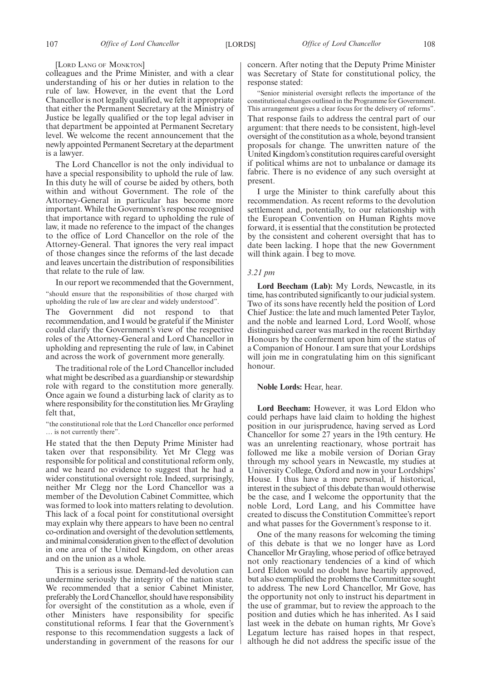#### [LORD LANG OF MONKTON]

colleagues and the Prime Minister, and with a clear understanding of his or her duties in relation to the rule of law. However, in the event that the Lord Chancellor is not legally qualified, we felt it appropriate that either the Permanent Secretary at the Ministry of Justice be legally qualified or the top legal adviser in that department be appointed at Permanent Secretary level. We welcome the recent announcement that the newly appointed Permanent Secretary at the department is a lawyer.

The Lord Chancellor is not the only individual to have a special responsibility to uphold the rule of law. In this duty he will of course be aided by others, both within and without Government. The role of the Attorney-General in particular has become more important. While the Government's response recognised that importance with regard to upholding the rule of law, it made no reference to the impact of the changes to the office of Lord Chancellor on the role of the Attorney-General. That ignores the very real impact of those changes since the reforms of the last decade and leaves uncertain the distribution of responsibilities that relate to the rule of law.

In our report we recommended that the Government, "should ensure that the responsibilities of those charged with upholding the rule of law are clear and widely understood".

The Government did not respond to that recommendation, and I would be grateful if the Minister could clarify the Government's view of the respective roles of the Attorney-General and Lord Chancellor in upholding and representing the rule of law, in Cabinet and across the work of government more generally.

The traditional role of the Lord Chancellor included what might be described as a guardianship or stewardship role with regard to the constitution more generally. Once again we found a disturbing lack of clarity as to where responsibility for the constitution lies. Mr Grayling felt that,

"the constitutional role that the Lord Chancellor once performed … is not currently there".

He stated that the then Deputy Prime Minister had taken over that responsibility. Yet Mr Clegg was responsible for political and constitutional reform only, and we heard no evidence to suggest that he had a wider constitutional oversight role. Indeed, surprisingly, neither Mr Clegg nor the Lord Chancellor was a member of the Devolution Cabinet Committee, which was formed to look into matters relating to devolution. This lack of a focal point for constitutional oversight may explain why there appears to have been no central co-ordination and oversight of the devolution settlements, and minimal consideration given to the effect of devolution in one area of the United Kingdom, on other areas and on the union as a whole.

This is a serious issue. Demand-led devolution can undermine seriously the integrity of the nation state. We recommended that a senior Cabinet Minister, preferably the Lord Chancellor, should have responsibility for oversight of the constitution as a whole, even if other Ministers have responsibility for specific constitutional reforms. I fear that the Government's response to this recommendation suggests a lack of understanding in government of the reasons for our

concern. After noting that the Deputy Prime Minister was Secretary of State for constitutional policy, the response stated:

"Senior ministerial oversight reflects the importance of the constitutional changes outlined in the Programme for Government. This arrangement gives a clear focus for the delivery of reforms". That response fails to address the central part of our argument: that there needs to be consistent, high-level oversight of the constitution as a whole, beyond transient proposals for change. The unwritten nature of the United Kingdom's constitution requires careful oversight if political whims are not to unbalance or damage its fabric. There is no evidence of any such oversight at present.

I urge the Minister to think carefully about this recommendation. As recent reforms to the devolution settlement and, potentially, to our relationship with the European Convention on Human Rights move forward, it is essential that the constitution be protected by the consistent and coherent oversight that has to date been lacking. I hope that the new Government will think again. I beg to move.

#### *3.21 pm*

**Lord Beecham (Lab):** My Lords, Newcastle, in its time, has contributed significantly to our judicial system. Two of its sons have recently held the position of Lord Chief Justice: the late and much lamented Peter Taylor, and the noble and learned Lord, Lord Woolf, whose distinguished career was marked in the recent Birthday Honours by the conferment upon him of the status of a Companion of Honour. I am sure that your Lordships will join me in congratulating him on this significant honour.

#### **Noble Lords:** Hear, hear.

**Lord Beecham:** However, it was Lord Eldon who could perhaps have laid claim to holding the highest position in our jurisprudence, having served as Lord Chancellor for some 27 years in the 19th century. He was an unrelenting reactionary, whose portrait has followed me like a mobile version of Dorian Gray through my school years in Newcastle, my studies at University College, Oxford and now in your Lordships' House. I thus have a more personal, if historical, interest in the subject of this debate than would otherwise be the case, and I welcome the opportunity that the noble Lord, Lord Lang, and his Committee have created to discuss the Constitution Committee's report and what passes for the Government's response to it.

One of the many reasons for welcoming the timing of this debate is that we no longer have as Lord Chancellor Mr Grayling, whose period of office betrayed not only reactionary tendencies of a kind of which Lord Eldon would no doubt have heartily approved, but also exemplified the problems the Committee sought to address. The new Lord Chancellor, Mr Gove, has the opportunity not only to instruct his department in the use of grammar, but to review the approach to the position and duties which he has inherited. As I said last week in the debate on human rights, Mr Gove's Legatum lecture has raised hopes in that respect, although he did not address the specific issue of the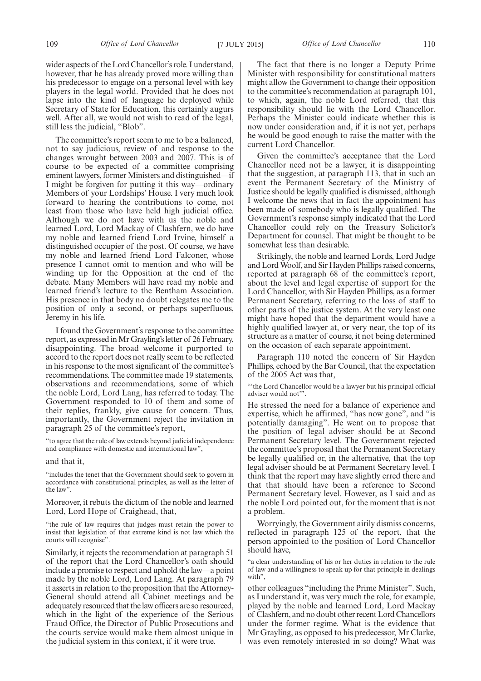The committee's report seem to me to be a balanced, not to say judicious, review of and response to the changes wrought between 2003 and 2007. This is of course to be expected of a committee comprising eminent lawyers, former Ministers and distinguished—if I might be forgiven for putting it this way—ordinary Members of your Lordships' House. I very much look forward to hearing the contributions to come, not least from those who have held high judicial office. Although we do not have with us the noble and learned Lord, Lord Mackay of Clashfern, we do have my noble and learned friend Lord Irvine, himself a distinguished occupier of the post. Of course, we have my noble and learned friend Lord Falconer, whose presence I cannot omit to mention and who will be winding up for the Opposition at the end of the debate. Many Members will have read my noble and learned friend's lecture to the Bentham Association. His presence in that body no doubt relegates me to the position of only a second, or perhaps superfluous, Jeremy in his life.

I found the Government's response to the committee report, as expressed inMr Grayling's letter of 26 February, disappointing. The broad welcome it purported to accord to the report does not really seem to be reflected in his response to the most significant of the committee's recommendations. The committee made 19 statements, observations and recommendations, some of which the noble Lord, Lord Lang, has referred to today. The Government responded to 10 of them and some of their replies, frankly, give cause for concern. Thus, importantly, the Government reject the invitation in paragraph 25 of the committee's report,

"to agree that the rule of law extends beyond judicial independence and compliance with domestic and international law",

and that it,

"includes the tenet that the Government should seek to govern in accordance with constitutional principles, as well as the letter of the law".

Moreover, it rebuts the dictum of the noble and learned Lord, Lord Hope of Craighead, that,

"the rule of law requires that judges must retain the power to insist that legislation of that extreme kind is not law which the courts will recognise".

Similarly, it rejects the recommendation at paragraph 51 of the report that the Lord Chancellor's oath should include a promise to respect and uphold the law—a point made by the noble Lord, Lord Lang. At paragraph 79 it asserts in relation to the proposition that the Attorney-General should attend all Cabinet meetings and be adequately resourced that the law officers are so resourced, which in the light of the experience of the Serious Fraud Office, the Director of Public Prosecutions and the courts service would make them almost unique in the judicial system in this context, if it were true.

The fact that there is no longer a Deputy Prime Minister with responsibility for constitutional matters might allow the Government to change their opposition to the committee's recommendation at paragraph 101, to which, again, the noble Lord referred, that this responsibility should lie with the Lord Chancellor. Perhaps the Minister could indicate whether this is now under consideration and, if it is not yet, perhaps he would be good enough to raise the matter with the current Lord Chancellor.

Given the committee's acceptance that the Lord Chancellor need not be a lawyer, it is disappointing that the suggestion, at paragraph 113, that in such an event the Permanent Secretary of the Ministry of Justice should be legally qualified is dismissed, although I welcome the news that in fact the appointment has been made of somebody who is legally qualified. The Government's response simply indicated that the Lord Chancellor could rely on the Treasury Solicitor's Department for counsel. That might be thought to be somewhat less than desirable.

Strikingly, the noble and learned Lords, Lord Judge and LordWoolf, and Sir Hayden Phillips raised concerns, reported at paragraph 68 of the committee's report, about the level and legal expertise of support for the Lord Chancellor, with Sir Hayden Phillips, as a former Permanent Secretary, referring to the loss of staff to other parts of the justice system. At the very least one might have hoped that the department would have a highly qualified lawyer at, or very near, the top of its structure as a matter of course, it not being determined on the occasion of each separate appointment.

Paragraph 110 noted the concern of Sir Hayden Phillips, echoed by the Bar Council, that the expectation of the 2005 Act was that,

"'the Lord Chancellor would be a lawyer but his principal official adviser would not'".

He stressed the need for a balance of experience and expertise, which he affirmed, "has now gone", and "is potentially damaging". He went on to propose that the position of legal adviser should be at Second Permanent Secretary level. The Government rejected the committee's proposal that the Permanent Secretary be legally qualified or, in the alternative, that the top legal adviser should be at Permanent Secretary level. I think that the report may have slightly erred there and that that should have been a reference to Second Permanent Secretary level. However, as I said and as the noble Lord pointed out, for the moment that is not a problem.

Worryingly, the Government airily dismiss concerns, reflected in paragraph 125 of the report, that the person appointed to the position of Lord Chancellor should have,

"a clear understanding of his or her duties in relation to the rule of law and a willingness to speak up for that principle in dealings with",

other colleagues "including the Prime Minister". Such, as I understand it, was very much the role, for example, played by the noble and learned Lord, Lord Mackay of Clashfern, and no doubt other recent Lord Chancellors under the former regime. What is the evidence that Mr Grayling, as opposed to his predecessor, Mr Clarke, was even remotely interested in so doing? What was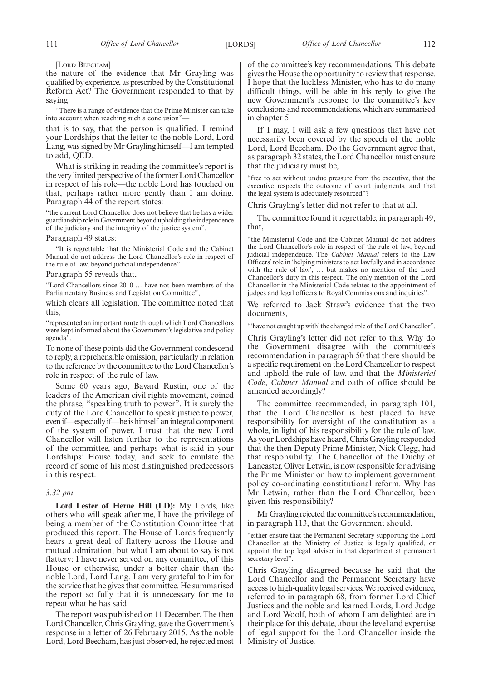[LORD BEECHAM]

the nature of the evidence that Mr Grayling was qualified by experience, as prescribed by the Constitutional Reform Act? The Government responded to that by saying:

"There is a range of evidence that the Prime Minister can take into account when reaching such a conclusion"-

that is to say, that the person is qualified. I remind your Lordships that the letter to the noble Lord, Lord Lang, was signed byMr Grayling himself—I am tempted to add, QED.

What is striking in reading the committee's report is the very limited perspective of the former Lord Chancellor in respect of his role—the noble Lord has touched on that, perhaps rather more gently than I am doing. Paragraph 44 of the report states:

"the current Lord Chancellor does not believe that he has a wider guardianship role in Government beyond upholding the independence of the judiciary and the integrity of the justice system".

Paragraph 49 states:

"It is regrettable that the Ministerial Code and the Cabinet Manual do not address the Lord Chancellor's role in respect of the rule of law, beyond judicial independence".

Paragraph 55 reveals that,

"Lord Chancellors since 2010 … have not been members of the Parliamentary Business and Legislation Committee",

which clears all legislation. The committee noted that this,

"represented an important route through which Lord Chancellors were kept informed about the Government's legislative and policy agenda".

To none of these points did the Government condescend to reply, a reprehensible omission, particularly in relation to the reference by the committee to the Lord Chancellor's role in respect of the rule of law.

Some 60 years ago, Bayard Rustin, one of the leaders of the American civil rights movement, coined the phrase, "speaking truth to power". It is surely the duty of the Lord Chancellor to speak justice to power, even if—especially if—he is himself an integral component of the system of power. I trust that the new Lord Chancellor will listen further to the representations of the committee, and perhaps what is said in your Lordships' House today, and seek to emulate the record of some of his most distinguished predecessors in this respect.

#### *3.32 pm*

**Lord Lester of Herne Hill (LD):** My Lords, like others who will speak after me, I have the privilege of being a member of the Constitution Committee that produced this report. The House of Lords frequently hears a great deal of flattery across the House and mutual admiration, but what I am about to say is not flattery: I have never served on any committee, of this House or otherwise, under a better chair than the noble Lord, Lord Lang. I am very grateful to him for the service that he gives that committee. He summarised the report so fully that it is unnecessary for me to repeat what he has said.

The report was published on 11 December. The then Lord Chancellor, Chris Grayling, gave the Government's response in a letter of 26 February 2015. As the noble Lord, Lord Beecham, has just observed, he rejected most

of the committee's key recommendations. This debate gives the House the opportunity to review that response. I hope that the luckless Minister, who has to do many difficult things, will be able in his reply to give the new Government's response to the committee's key conclusions and recommendations, which are summarised in chapter 5.

If I may, I will ask a few questions that have not necessarily been covered by the speech of the noble Lord, Lord Beecham. Do the Government agree that, as paragraph 32 states, the Lord Chancellor must ensure that the judiciary must be,

"free to act without undue pressure from the executive, that the executive respects the outcome of court judgments, and that the legal system is adequately resourced"?

Chris Grayling's letter did not refer to that at all.

The committee found it regrettable, in paragraph 49, that,

"the Ministerial Code and the Cabinet Manual do not address the Lord Chancellor's role in respect of the rule of law, beyond judicial independence. The *Cabinet Manual* refers to the Law Officers' role in 'helping ministers to act lawfully and in accordance with the rule of law', … but makes no mention of the Lord Chancellor's duty in this respect. The only mention of the Lord Chancellor in the Ministerial Code relates to the appointment of judges and legal officers to Royal Commissions and inquiries".

We referred to Jack Straw's evidence that the two documents,

"'have not caught up with' the changed role of the Lord Chancellor".

Chris Grayling's letter did not refer to this. Why do the Government disagree with the committee's recommendation in paragraph 50 that there should be a specific requirement on the Lord Chancellor to respect and uphold the rule of law, and that the *Ministerial Code*, *Cabinet Manual* and oath of office should be amended accordingly?

The committee recommended, in paragraph 101, that the Lord Chancellor is best placed to have responsibility for oversight of the constitution as a whole, in light of his responsibility for the rule of law. As your Lordships have heard, Chris Grayling responded that the then Deputy Prime Minister, Nick Clegg, had that responsibility. The Chancellor of the Duchy of Lancaster, Oliver Letwin, is now responsible for advising the Prime Minister on how to implement government policy co-ordinating constitutional reform. Why has Mr Letwin, rather than the Lord Chancellor, been given this responsibility?

MrGrayling rejected the committee's recommendation, in paragraph 113, that the Government should,

"either ensure that the Permanent Secretary supporting the Lord Chancellor at the Ministry of Justice is legally qualified, or appoint the top legal adviser in that department at permanent secretary level".

Chris Grayling disagreed because he said that the Lord Chancellor and the Permanent Secretary have access to high-quality legal services.We received evidence, referred to in paragraph 68, from former Lord Chief Justices and the noble and learned Lords, Lord Judge and Lord Woolf, both of whom I am delighted are in their place for this debate, about the level and expertise of legal support for the Lord Chancellor inside the Ministry of Justice.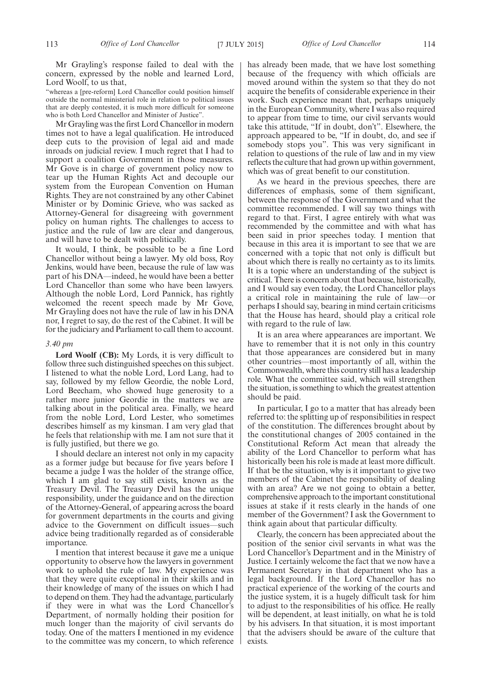Mr Grayling's response failed to deal with the concern, expressed by the noble and learned Lord, Lord Woolf, to us that,

"whereas a [pre-reform] Lord Chancellor could position himself outside the normal ministerial role in relation to political issues that are deeply contested, it is much more difficult for someone who is both Lord Chancellor and Minister of Justice".

Mr Grayling was the first Lord Chancellor in modern times not to have a legal qualification. He introduced deep cuts to the provision of legal aid and made inroads on judicial review. I much regret that I had to support a coalition Government in those measures. Mr Gove is in charge of government policy now to tear up the Human Rights Act and decouple our system from the European Convention on Human Rights. They are not constrained by any other Cabinet Minister or by Dominic Grieve, who was sacked as Attorney-General for disagreeing with government policy on human rights. The challenges to access to justice and the rule of law are clear and dangerous, and will have to be dealt with politically.

It would, I think, be possible to be a fine Lord Chancellor without being a lawyer. My old boss, Roy Jenkins, would have been, because the rule of law was part of his DNA—indeed, he would have been a better Lord Chancellor than some who have been lawyers. Although the noble Lord, Lord Pannick, has rightly welcomed the recent speech made by Mr Gove, Mr Grayling does not have the rule of law in his DNA nor, I regret to say, do the rest of the Cabinet. It will be for the judiciary and Parliament to call them to account.

#### *3.40 pm*

**Lord Woolf (CB):** My Lords, it is very difficult to follow three such distinguished speeches on this subject. I listened to what the noble Lord, Lord Lang, had to say, followed by my fellow Geordie, the noble Lord, Lord Beecham, who showed huge generosity to a rather more junior Geordie in the matters we are talking about in the political area. Finally, we heard from the noble Lord, Lord Lester, who sometimes describes himself as my kinsman. I am very glad that he feels that relationship with me. I am not sure that it is fully justified, but there we go.

I should declare an interest not only in my capacity as a former judge but because for five years before I became a judge I was the holder of the strange office, which I am glad to say still exists, known as the Treasury Devil. The Treasury Devil has the unique responsibility, under the guidance and on the direction of the Attorney-General, of appearing across the board for government departments in the courts and giving advice to the Government on difficult issues—such advice being traditionally regarded as of considerable importance.

I mention that interest because it gave me a unique opportunity to observe how the lawyers in government work to uphold the rule of law. My experience was that they were quite exceptional in their skills and in their knowledge of many of the issues on which I had to depend on them. They had the advantage, particularly if they were in what was the Lord Chancellor's Department, of normally holding their position for much longer than the majority of civil servants do today. One of the matters I mentioned in my evidence to the committee was my concern, to which reference has already been made, that we have lost something because of the frequency with which officials are moved around within the system so that they do not acquire the benefits of considerable experience in their work. Such experience meant that, perhaps uniquely in the European Community, where I was also required to appear from time to time, our civil servants would take this attitude, "If in doubt, don't". Elsewhere, the approach appeared to be, "If in doubt, do, and see if somebody stops you". This was very significant in relation to questions of the rule of law and in my view reflects the culture that had grown up within government, which was of great benefit to our constitution.

As we heard in the previous speeches, there are differences of emphasis, some of them significant, between the response of the Government and what the committee recommended. I will say two things with regard to that. First, I agree entirely with what was recommended by the committee and with what has been said in prior speeches today. I mention that because in this area it is important to see that we are concerned with a topic that not only is difficult but about which there is really no certainty as to its limits. It is a topic where an understanding of the subject is critical. There is concern about that because, historically, and I would say even today, the Lord Chancellor plays a critical role in maintaining the rule of law—or perhaps I should say, bearing in mind certain criticisms that the House has heard, should play a critical role with regard to the rule of law.

It is an area where appearances are important. We have to remember that it is not only in this country that those appearances are considered but in many other countries—most importantly of all, within the Commonwealth, where this country still has a leadership role. What the committee said, which will strengthen the situation, is something to which the greatest attention should be paid.

In particular, I go to a matter that has already been referred to: the splitting up of responsibilities in respect of the constitution. The differences brought about by the constitutional changes of 2005 contained in the Constitutional Reform Act mean that already the ability of the Lord Chancellor to perform what has historically been his role is made at least more difficult. If that be the situation, why is it important to give two members of the Cabinet the responsibility of dealing with an area? Are we not going to obtain a better, comprehensive approach to the important constitutional issues at stake if it rests clearly in the hands of one member of the Government? I ask the Government to think again about that particular difficulty.

Clearly, the concern has been appreciated about the position of the senior civil servants in what was the Lord Chancellor's Department and in the Ministry of Justice. I certainly welcome the fact that we now have a Permanent Secretary in that department who has a legal background. If the Lord Chancellor has no practical experience of the working of the courts and the justice system, it is a hugely difficult task for him to adjust to the responsibilities of his office. He really will be dependent, at least initially, on what he is told by his advisers. In that situation, it is most important that the advisers should be aware of the culture that exists.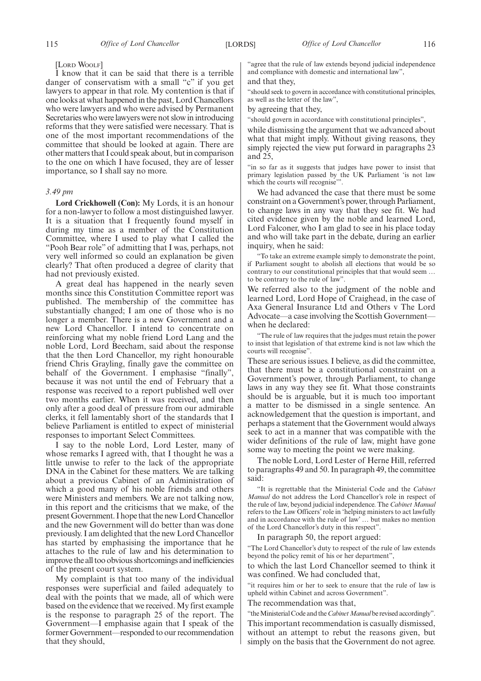#### [LORD WOOLF]

I know that it can be said that there is a terrible danger of conservatism with a small "c" if you get lawyers to appear in that role. My contention is that if one looks at what happened in the past, Lord Chancellors who were lawyers and who were advised by Permanent Secretaries who were lawyers were not slow in introducing reforms that they were satisfied were necessary. That is one of the most important recommendations of the committee that should be looked at again. There are other matters that I could speak about, but in comparison to the one on which I have focused, they are of lesser importance, so I shall say no more.

#### *3.49 pm*

**Lord Crickhowell (Con):** My Lords, it is an honour for a non-lawyer to follow a most distinguished lawyer. It is a situation that I frequently found myself in during my time as a member of the Constitution Committee, where I used to play what I called the "Pooh Bear role" of admitting that I was, perhaps, not very well informed so could an explanation be given clearly? That often produced a degree of clarity that had not previously existed.

A great deal has happened in the nearly seven months since this Constitution Committee report was published. The membership of the committee has substantially changed; I am one of those who is no longer a member. There is a new Government and a new Lord Chancellor. I intend to concentrate on reinforcing what my noble friend Lord Lang and the noble Lord, Lord Beecham, said about the response that the then Lord Chancellor, my right honourable friend Chris Grayling, finally gave the committee on behalf of the Government. I emphasise "finally", because it was not until the end of February that a response was received to a report published well over two months earlier. When it was received, and then only after a good deal of pressure from our admirable clerks, it fell lamentably short of the standards that I believe Parliament is entitled to expect of ministerial responses to important Select Committees.

I say to the noble Lord, Lord Lester, many of whose remarks I agreed with, that I thought he was a little unwise to refer to the lack of the appropriate DNA in the Cabinet for these matters. We are talking about a previous Cabinet of an Administration of which a good many of his noble friends and others were Ministers and members. We are not talking now, in this report and the criticisms that we make, of the present Government. I hope that the new Lord Chancellor and the new Government will do better than was done previously. I am delighted that the new Lord Chancellor has started by emphasising the importance that he attaches to the rule of law and his determination to improve the all too obvious shortcomings and inefficiencies of the present court system.

My complaint is that too many of the individual responses were superficial and failed adequately to deal with the points that we made, all of which were based on the evidence that we received. My first example is the response to paragraph 25 of the report. The Government—I emphasise again that I speak of the former Government—responded to our recommendation that they should,

"agree that the rule of law extends beyond judicial independence and compliance with domestic and international law",

and that they,

"should seek to govern in accordance with constitutional principles, as well as the letter of the law",

by agreeing that they,

"should govern in accordance with constitutional principles",

while dismissing the argument that we advanced about what that might imply. Without giving reasons, they simply rejected the view put forward in paragraphs 23 and 25,

"in so far as it suggests that judges have power to insist that primary legislation passed by the UK Parliament 'is not law which the courts will recognise'".

We had advanced the case that there must be some constraint on a Government's power, through Parliament, to change laws in any way that they see fit. We had cited evidence given by the noble and learned Lord, Lord Falconer, who I am glad to see in his place today and who will take part in the debate, during an earlier inquiry, when he said:

"To take an extreme example simply to demonstrate the point, if Parliament sought to abolish all elections that would be so contrary to our constitutional principles that that would seem … to be contrary to the rule of law".

We referred also to the judgment of the noble and learned Lord, Lord Hope of Craighead, in the case of Axa General Insurance Ltd and Others v The Lord Advocate—a case involving the Scottish Governmentwhen he declared:

"The rule of law requires that the judges must retain the power to insist that legislation of that extreme kind is not law which the courts will recognise".

These are serious issues. I believe, as did the committee, that there must be a constitutional constraint on a Government's power, through Parliament, to change laws in any way they see fit. What those constraints should be is arguable, but it is much too important a matter to be dismissed in a single sentence. An acknowledgement that the question is important, and perhaps a statement that the Government would always seek to act in a manner that was compatible with the wider definitions of the rule of law, might have gone some way to meeting the point we were making.

The noble Lord, Lord Lester of Herne Hill, referred to paragraphs 49 and 50. In paragraph 49, the committee said:

"It is regrettable that the Ministerial Code and the *Cabinet Manual* do not address the Lord Chancellor's role in respect of the rule of law, beyond judicial independence. The *Cabinet Manual* refers to the Law Officers' role in 'helping ministers to act lawfully and in accordance with the rule of law' … but makes no mention of the Lord Chancellor's duty in this respect".

In paragraph 50, the report argued:

"The Lord Chancellor's duty to respect of the rule of law extends beyond the policy remit of his or her department",

to which the last Lord Chancellor seemed to think it was confined. We had concluded that,

"it requires him or her to seek to ensure that the rule of law is upheld within Cabinet and across Government".

The recommendation was that,

"the Ministerial Code and the *Cabinet Manual* be revised accordingly". This important recommendation is casually dismissed, without an attempt to rebut the reasons given, but simply on the basis that the Government do not agree.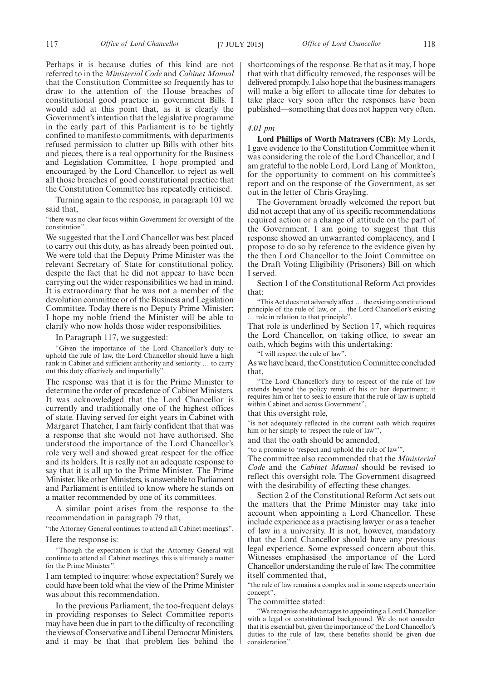Perhaps it is because duties of this kind are not referred to in the *Ministerial Code* and *Cabinet Manual* that the Constitution Committee so frequently has to draw to the attention of the House breaches of constitutional good practice in government Bills. I would add at this point that, as it is clearly the Government's intention that the legislative programme in the early part of this Parliament is to be tightly confined to manifesto commitments, with departments refused permission to clutter up Bills with other bits and pieces, there is a real opportunity for the Business and Legislation Committee, I hope prompted and encouraged by the Lord Chancellor, to reject as well all those breaches of good constitutional practice that the Constitution Committee has repeatedly criticised.

Turning again to the response, in paragraph 101 we said that,

"there was no clear focus within Government for oversight of the constitution".

We suggested that the Lord Chancellor was best placed to carry out this duty, as has already been pointed out. We were told that the Deputy Prime Minister was the relevant Secretary of State for constitutional policy, despite the fact that he did not appear to have been carrying out the wider responsibilities we had in mind. It is extraordinary that he was not a member of the devolution committee or of the Business and Legislation Committee. Today there is no Deputy Prime Minister; I hope my noble friend the Minister will be able to clarify who now holds those wider responsibilities.

In Paragraph 117, we suggested:

"Given the importance of the Lord Chancellor's duty to uphold the rule of law, the Lord Chancellor should have a high rank in Cabinet and sufficient authority and seniority … to carry out this duty effectively and impartially".

The response was that it is for the Prime Minister to determine the order of precedence of Cabinet Ministers. It was acknowledged that the Lord Chancellor is currently and traditionally one of the highest offices of state. Having served for eight years in Cabinet with Margaret Thatcher, I am fairly confident that that was a response that she would not have authorised. She understood the importance of the Lord Chancellor's role very well and showed great respect for the office and its holders. It is really not an adequate response to say that it is all up to the Prime Minister. The Prime Minister, like other Ministers, is answerable to Parliament and Parliament is entitled to know where he stands on a matter recommended by one of its committees.

A similar point arises from the response to the recommendation in paragraph 79 that,

"the Attorney General continues to attend all Cabinet meetings". Here the response is:

"Though the expectation is that the Attorney General will continue to attend all Cabinet meetings, this is ultimately a matter for the Prime Minister".

I am tempted to inquire: whose expectation? Surely we could have been told what the view of the Prime Minister was about this recommendation.

In the previous Parliament, the too-frequent delays in providing responses to Select Committee reports may have been due in part to the difficulty of reconciling the views of Conservative and Liberal Democrat Ministers, and it may be that that problem lies behind the shortcomings of the response. Be that as it may, I hope that with that difficulty removed, the responses will be delivered promptly. I also hope that the business managers will make a big effort to allocate time for debates to take place very soon after the responses have been published—something that does not happen very often.

#### *4.01 pm*

**Lord Phillips of Worth Matravers (CB):** My Lords, I gave evidence to the Constitution Committee when it was considering the role of the Lord Chancellor, and I am grateful to the noble Lord, Lord Lang of Monkton, for the opportunity to comment on his committee's report and on the response of the Government, as set out in the letter of Chris Grayling.

The Government broadly welcomed the report but did not accept that any of its specific recommendations required action or a change of attitude on the part of the Government. I am going to suggest that this response showed an unwarranted complacency, and I propose to do so by reference to the evidence given by the then Lord Chancellor to the Joint Committee on the Draft Voting Eligibility (Prisoners) Bill on which I served.

Section 1 of the Constitutional Reform Act provides that:

"This Act does not adversely affect … the existing constitutional principle of the rule of law, or … the Lord Chancellor's existing … role in relation to that principle".

That role is underlined by Section 17, which requires the Lord Chancellor, on taking office, to swear an oath, which begins with this undertaking:

"I will respect the rule of law".

As we have heard, the Constitution Committee concluded that,

"The Lord Chancellor's duty to respect of the rule of law extends beyond the policy remit of his or her department; it requires him or her to seek to ensure that the rule of law is upheld within Cabinet and across Government",

that this oversight role,

"is not adequately reflected in the current oath which requires him or her simply to 'respect the rule of law'",

and that the oath should be amended,

"to a promise to 'respect and uphold the rule of law'".

The committee also recommended that the *Ministerial Code* and the *Cabinet Manual* should be revised to reflect this oversight role. The Government disagreed with the desirability of effecting these changes.

Section 2 of the Constitutional Reform Act sets out the matters that the Prime Minister may take into account when appointing a Lord Chancellor. These include experience as a practising lawyer or as a teacher of law in a university. It is not, however, mandatory that the Lord Chancellor should have any previous legal experience. Some expressed concern about this. Witnesses emphasised the importance of the Lord Chancellor understanding the rule of law. The committee itself commented that,

"the rule of law remains a complex and in some respects uncertain concept".

The committee stated:

"We recognise the advantages to appointing a Lord Chancellor with a legal or constitutional background. We do not consider that it is essential but, given the importance of the Lord Chancellor's duties to the rule of law, these benefits should be given due consideration".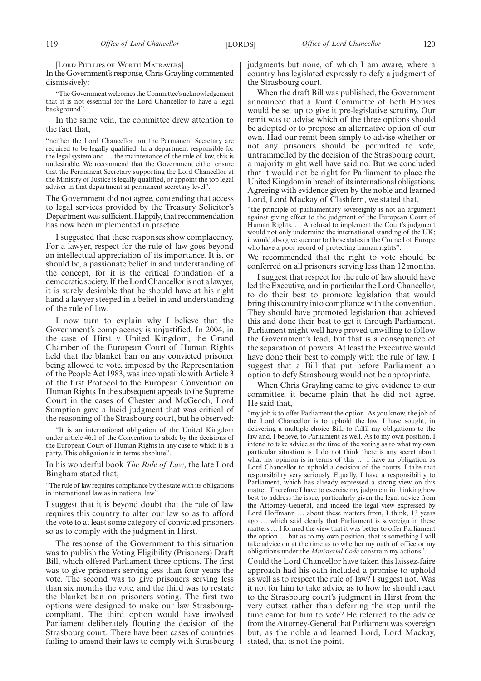[LORD PHILLIPS OF WORTH MATRAVERS]

In the Government's response, Chris Grayling commented dismissively:

"The Government welcomes the Committee's acknowledgement that it is not essential for the Lord Chancellor to have a legal background".

In the same vein, the committee drew attention to the fact that,

"neither the Lord Chancellor nor the Permanent Secretary are required to be legally qualified. In a department responsible for the legal system and … the maintenance of the rule of law, this is undesirable. We recommend that the Government either ensure that the Permanent Secretary supporting the Lord Chancellor at the Ministry of Justice is legally qualified, or appoint the top legal adviser in that department at permanent secretary level".

The Government did not agree, contending that access to legal services provided by the Treasury Solicitor's Department was sufficient. Happily, that recommendation has now been implemented in practice.

I suggested that these responses show complacency. For a lawyer, respect for the rule of law goes beyond an intellectual appreciation of its importance. It is, or should be, a passionate belief in and understanding of the concept, for it is the critical foundation of a democratic society. If the Lord Chancellor is not a lawyer, it is surely desirable that he should have at his right hand a lawyer steeped in a belief in and understanding of the rule of law.

I now turn to explain why I believe that the Government's complacency is unjustified. In 2004, in the case of Hirst v United Kingdom, the Grand Chamber of the European Court of Human Rights held that the blanket ban on any convicted prisoner being allowed to vote, imposed by the Representation of the People Act 1983, was incompatible with Article 3 of the first Protocol to the European Convention on Human Rights. In the subsequent appeals to the Supreme Court in the cases of Chester and McGeoch, Lord Sumption gave a lucid judgment that was critical of the reasoning of the Strasbourg court, but he observed:

"It is an international obligation of the United Kingdom under article 46.1 of the Convention to abide by the decisions of the European Court of Human Rights in any case to which it is a party. This obligation is in terms absolute".

In his wonderful book *The Rule of Law*, the late Lord Bingham stated that,

"The rule of law requires compliance by the state with its obligations in international law as in national law".

I suggest that it is beyond doubt that the rule of law requires this country to alter our law so as to afford the vote to at least some category of convicted prisoners so as to comply with the judgment in Hirst.

The response of the Government to this situation was to publish the Voting Eligibility (Prisoners) Draft Bill, which offered Parliament three options. The first was to give prisoners serving less than four years the vote. The second was to give prisoners serving less than six months the vote, and the third was to restate the blanket ban on prisoners voting. The first two options were designed to make our law Strasbourgcompliant. The third option would have involved Parliament deliberately flouting the decision of the Strasbourg court. There have been cases of countries failing to amend their laws to comply with Strasbourg judgments but none, of which I am aware, where a country has legislated expressly to defy a judgment of the Strasbourg court.

When the draft Bill was published, the Government announced that a Joint Committee of both Houses would be set up to give it pre-legislative scrutiny. Our remit was to advise which of the three options should be adopted or to propose an alternative option of our own. Had our remit been simply to advise whether or not any prisoners should be permitted to vote, untrammelled by the decision of the Strasbourg court, a majority might well have said no. But we concluded that it would not be right for Parliament to place the United Kingdom in breach of its international obligations. Agreeing with evidence given by the noble and learned Lord, Lord Mackay of Clashfern, we stated that,

"the principle of parliamentary sovereignty is not an argument against giving effect to the judgment of the European Court of Human Rights. ... A refusal to implement the Court's judgment would not only undermine the international standing of the UK; it would also give succour to those states in the Council of Europe who have a poor record of protecting human rights".

We recommended that the right to vote should be conferred on all prisoners serving less than 12 months.

I suggest that respect for the rule of law should have led the Executive, and in particular the Lord Chancellor, to do their best to promote legislation that would bring this country into compliance with the convention. They should have promoted legislation that achieved this and done their best to get it through Parliament. Parliament might well have proved unwilling to follow the Government's lead, but that is a consequence of the separation of powers. At least the Executive would have done their best to comply with the rule of law. I suggest that a Bill that put before Parliament an option to defy Strasbourg would not be appropriate.

When Chris Grayling came to give evidence to our committee, it became plain that he did not agree. He said that,

"my job is to offer Parliament the option. As you know, the job of the Lord Chancellor is to uphold the law. I have sought, in delivering a multiple-choice Bill, to fulfil my obligations to the law and, I believe, to Parliament as well. As to my own position, I intend to take advice at the time of the voting as to what my own particular situation is. I do not think there is any secret about what my opinion is in terms of this ... I have an obligation as Lord Chancellor to uphold a decision of the courts. I take that responsibility very seriously. Equally, I have a responsibility to Parliament, which has already expressed a strong view on this matter. Therefore I have to exercise my judgment in thinking how best to address the issue, particularly given the legal advice from the Attorney-General, and indeed the legal view expressed by Lord Hoffmann ... about these matters from, I think, 13 years ago … which said clearly that Parliament is sovereign in these matters … I formed the view that it was better to offer Parliament the option … but as to my own position, that is something I will take advice on at the time as to whether my oath of office or my obligations under the *Ministerial Code* constrain my actions".

Could the Lord Chancellor have taken this laissez-faire approach had his oath included a promise to uphold as well as to respect the rule of law? I suggest not. Was it not for him to take advice as to how he should react to the Strasbourg court's judgment in Hirst from the very outset rather than deferring the step until the time came for him to vote? He referred to the advice from the Attorney-General that Parliament was sovereign but, as the noble and learned Lord, Lord Mackay, stated, that is not the point.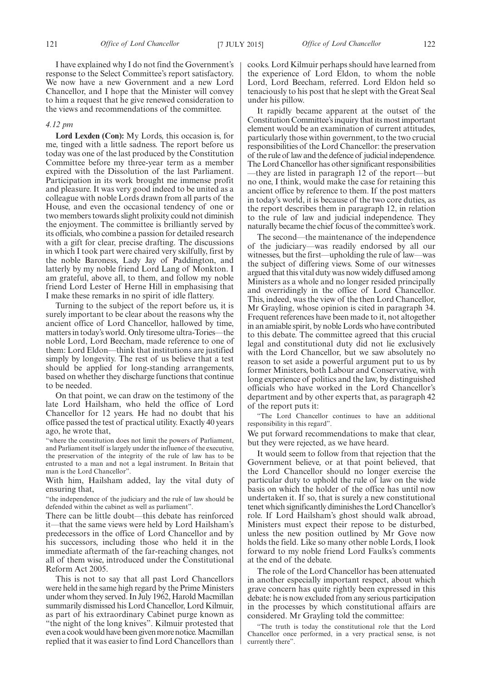I have explained why I do not find the Government's response to the Select Committee's report satisfactory. We now have a new Government and a new Lord Chancellor, and I hope that the Minister will convey to him a request that he give renewed consideration to the views and recommendations of the committee.

#### *4.12 pm*

**Lord Lexden (Con):** My Lords, this occasion is, for me, tinged with a little sadness. The report before us today was one of the last produced by the Constitution Committee before my three-year term as a member expired with the Dissolution of the last Parliament. Participation in its work brought me immense profit and pleasure. It was very good indeed to be united as a colleague with noble Lords drawn from all parts of the House, and even the occasional tendency of one or two members towards slight prolixity could not diminish the enjoyment. The committee is brilliantly served by its officials, who combine a passion for detailed research with a gift for clear, precise drafting. The discussions in which I took part were chaired very skilfully, first by the noble Baroness, Lady Jay of Paddington, and latterly by my noble friend Lord Lang of Monkton. I am grateful, above all, to them, and follow my noble friend Lord Lester of Herne Hill in emphasising that I make these remarks in no spirit of idle flattery.

Turning to the subject of the report before us, it is surely important to be clear about the reasons why the ancient office of Lord Chancellor, hallowed by time, matters in today's world. Only tiresome ultra-Tories—the noble Lord, Lord Beecham, made reference to one of them: Lord Eldon—think that institutions are justified simply by longevity. The rest of us believe that a test should be applied for long-standing arrangements, based on whether they discharge functions that continue to be needed.

On that point, we can draw on the testimony of the late Lord Hailsham, who held the office of Lord Chancellor for 12 years. He had no doubt that his office passed the test of practical utility. Exactly 40 years ago, he wrote that,

"where the constitution does not limit the powers of Parliament, and Parliament itself is largely under the influence of the executive, the preservation of the integrity of the rule of law has to be entrusted to a man and not a legal instrument. In Britain that man is the Lord Chancellor".

With him, Hailsham added, lay the vital duty of ensuring that,

"the independence of the judiciary and the rule of law should be defended within the cabinet as well as parliament".

There can be little doubt—this debate has reinforced it—that the same views were held by Lord Hailsham's predecessors in the office of Lord Chancellor and by his successors, including those who held it in the immediate aftermath of the far-reaching changes, not all of them wise, introduced under the Constitutional Reform Act 2005.

This is not to say that all past Lord Chancellors were held in the same high regard by the Prime Ministers under whom they served. In July 1962, Harold Macmillan summarily dismissed his Lord Chancellor, Lord Kilmuir, as part of his extraordinary Cabinet purge known as "the night of the long knives". Kilmuir protested that even a cook would have been given more notice. Macmillan replied that it was easier to find Lord Chancellors than cooks. Lord Kilmuir perhaps should have learned from the experience of Lord Eldon, to whom the noble Lord, Lord Beecham, referred. Lord Eldon held so tenaciously to his post that he slept with the Great Seal under his pillow.

It rapidly became apparent at the outset of the Constitution Committee's inquiry that its most important element would be an examination of current attitudes, particularly those within government, to the two crucial responsibilities of the Lord Chancellor: the preservation of the rule of law and the defence of judicial independence. The Lord Chancellor has other significant responsibilities —they are listed in paragraph 12 of the report—but no one, I think, would make the case for retaining this ancient office by reference to them. If the post matters in today's world, it is because of the two core duties, as the report describes them in paragraph 12, in relation to the rule of law and judicial independence. They naturally became the chief focus of the committee's work.

The second—the maintenance of the independence of the judiciary—was readily endorsed by all our witnesses, but the first—upholding the rule of law—was the subject of differing views. Some of our witnesses argued that this vital duty was now widely diffused among Ministers as a whole and no longer resided principally and overridingly in the office of Lord Chancellor. This, indeed, was the view of the then Lord Chancellor, Mr Grayling, whose opinion is cited in paragraph 34. Frequent references have been made to it, not altogether in an amiable spirit, by noble Lords who have contributed to this debate. The committee agreed that this crucial legal and constitutional duty did not lie exclusively with the Lord Chancellor, but we saw absolutely no reason to set aside a powerful argument put to us by former Ministers, both Labour and Conservative, with long experience of politics and the law, by distinguished officials who have worked in the Lord Chancellor's department and by other experts that, as paragraph 42 of the report puts it:

"The Lord Chancellor continues to have an additional responsibility in this regard".

We put forward recommendations to make that clear, but they were rejected, as we have heard.

It would seem to follow from that rejection that the Government believe, or at that point believed, that the Lord Chancellor should no longer exercise the particular duty to uphold the rule of law on the wide basis on which the holder of the office has until now undertaken it. If so, that is surely a new constitutional tenet which significantly diminishes the Lord Chancellor's role. If Lord Hailsham's ghost should walk abroad, Ministers must expect their repose to be disturbed, unless the new position outlined by Mr Gove now holds the field. Like so many other noble Lords, I look forward to my noble friend Lord Faulks's comments at the end of the debate.

The role of the Lord Chancellor has been attenuated in another especially important respect, about which grave concern has quite rightly been expressed in this debate: he is now excluded from any serious participation in the processes by which constitutional affairs are considered. Mr Grayling told the committee:

"The truth is today the constitutional role that the Lord Chancellor once performed, in a very practical sense, is not currently there".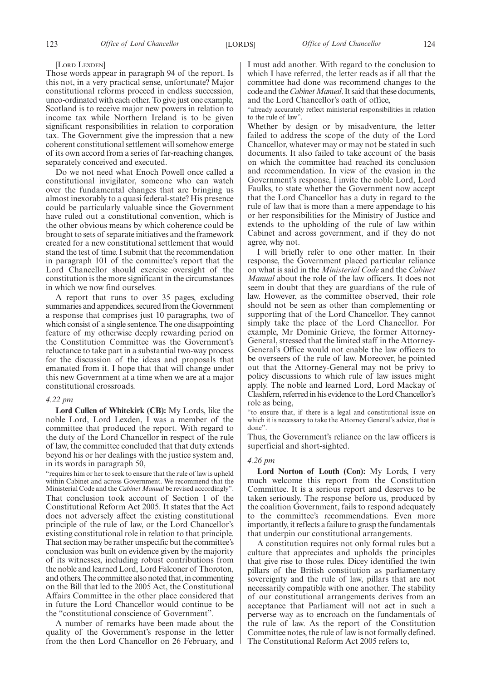#### [LORD LEXDEN]

Those words appear in paragraph 94 of the report. Is this not, in a very practical sense, unfortunate? Major constitutional reforms proceed in endless succession, unco-ordinated with each other. To give just one example, Scotland is to receive major new powers in relation to income tax while Northern Ireland is to be given significant responsibilities in relation to corporation tax. The Government give the impression that a new coherent constitutional settlement will somehow emerge of its own accord from a series of far-reaching changes, separately conceived and executed.

Do we not need what Enoch Powell once called a constitutional invigilator, someone who can watch over the fundamental changes that are bringing us almost inexorably to a quasi federal-state? His presence could be particularly valuable since the Government have ruled out a constitutional convention, which is the other obvious means by which coherence could be brought to sets of separate initiatives and the framework created for a new constitutional settlement that would stand the test of time. I submit that the recommendation in paragraph 101 of the committee's report that the Lord Chancellor should exercise oversight of the constitution is the more significant in the circumstances in which we now find ourselves.

A report that runs to over 35 pages, excluding summaries and appendices, secured from the Government a response that comprises just 10 paragraphs, two of which consist of a single sentence. The one disappointing feature of my otherwise deeply rewarding period on the Constitution Committee was the Government's reluctance to take part in a substantial two-way process for the discussion of the ideas and proposals that emanated from it. I hope that that will change under this new Government at a time when we are at a major constitutional crossroads.

#### *4.22 pm*

**Lord Cullen of Whitekirk (CB):** My Lords, like the noble Lord, Lord Lexden, I was a member of the committee that produced the report. With regard to the duty of the Lord Chancellor in respect of the rule of law, the committee concluded that that duty extends beyond his or her dealings with the justice system and, in its words in paragraph 50,

"requires him or her to seek to ensure that the rule of law is upheld within Cabinet and across Government. We recommend that the Ministerial Code and the *Cabinet Manual* be revised accordingly". That conclusion took account of Section 1 of the Constitutional Reform Act 2005. It states that the Act does not adversely affect the existing constitutional principle of the rule of law, or the Lord Chancellor's existing constitutional role in relation to that principle. That section may be rather unspecific but the committee's conclusion was built on evidence given by the majority of its witnesses, including robust contributions from the noble and learned Lord, Lord Falconer of Thoroton, and others. The committee also noted that, in commenting on the Bill that led to the 2005 Act, the Constitutional Affairs Committee in the other place considered that in future the Lord Chancellor would continue to be the "constitutional conscience of Government".

A number of remarks have been made about the quality of the Government's response in the letter from the then Lord Chancellor on 26 February, and I must add another. With regard to the conclusion to which I have referred, the letter reads as if all that the committee had done was recommend changes to the code and the *Cabinet Manual*. It said that these documents, and the Lord Chancellor's oath of office,

"already accurately reflect ministerial responsibilities in relation to the rule of law'

Whether by design or by misadventure, the letter failed to address the scope of the duty of the Lord Chancellor, whatever may or may not be stated in such documents. It also failed to take account of the basis on which the committee had reached its conclusion and recommendation. In view of the evasion in the Government's response, I invite the noble Lord, Lord Faulks, to state whether the Government now accept that the Lord Chancellor has a duty in regard to the rule of law that is more than a mere appendage to his or her responsibilities for the Ministry of Justice and extends to the upholding of the rule of law within Cabinet and across government, and if they do not agree, why not.

I will briefly refer to one other matter. In their response, the Government placed particular reliance on what is said in the *Ministerial Code* and the *Cabinet Manual* about the role of the law officers. It does not seem in doubt that they are guardians of the rule of law. However, as the committee observed, their role should not be seen as other than complementing or supporting that of the Lord Chancellor. They cannot simply take the place of the Lord Chancellor. For example, Mr Dominic Grieve, the former Attorney-General, stressed that the limited staff in the Attorney-General's Office would not enable the law officers to be overseers of the rule of law. Moreover, he pointed out that the Attorney-General may not be privy to policy discussions to which rule of law issues might apply. The noble and learned Lord, Lord Mackay of Clashfern, referred in his evidence to the Lord Chancellor's role as being,

"to ensure that, if there is a legal and constitutional issue on which it is necessary to take the Attorney General's advice, that is done".

Thus, the Government's reliance on the law officers is superficial and short-sighted.

#### *4.26 pm*

**Lord Norton of Louth (Con):** My Lords, I very much welcome this report from the Constitution Committee. It is a serious report and deserves to be taken seriously. The response before us, produced by the coalition Government, fails to respond adequately to the committee's recommendations. Even more importantly, it reflects a failure to grasp the fundamentals that underpin our constitutional arrangements.

A constitution requires not only formal rules but a culture that appreciates and upholds the principles that give rise to those rules. Dicey identified the twin pillars of the British constitution as parliamentary sovereignty and the rule of law, pillars that are not necessarily compatible with one another. The stability of our constitutional arrangements derives from an acceptance that Parliament will not act in such a perverse way as to encroach on the fundamentals of the rule of law. As the report of the Constitution Committee notes, the rule of law is not formally defined. The Constitutional Reform Act 2005 refers to,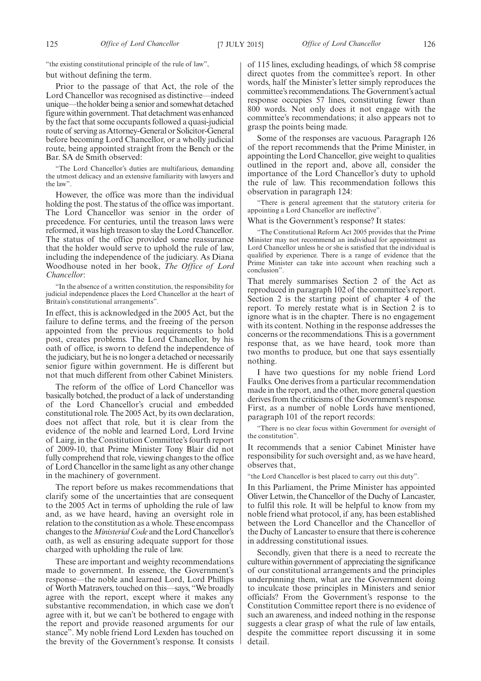"the existing constitutional principle of the rule of law",

but without defining the term.

Prior to the passage of that Act, the role of the Lord Chancellor was recognised as distinctive—indeed unique—the holder being a senior and somewhat detached figure within government. That detachment was enhanced by the fact that some occupants followed a quasi-judicial route of serving as Attorney-General or Solicitor-General before becoming Lord Chancellor, or a wholly judicial route, being appointed straight from the Bench or the Bar. SA de Smith observed:

"The Lord Chancellor's duties are multifarious, demanding the utmost delicacy and an extensive familiarity with lawyers and the law".

However, the office was more than the individual holding the post. The status of the office was important. The Lord Chancellor was senior in the order of precedence. For centuries, until the treason laws were reformed, it was high treason to slay the Lord Chancellor. The status of the office provided some reassurance that the holder would serve to uphold the rule of law, including the independence of the judiciary. As Diana Woodhouse noted in her book, *The Office of Lord Chancellor*:

"In the absence of a written constitution, the responsibility for judicial independence places the Lord Chancellor at the heart of Britain's constitutional arrangements".

In effect, this is acknowledged in the 2005 Act, but the failure to define terms, and the freeing of the person appointed from the previous requirements to hold post, creates problems. The Lord Chancellor, by his oath of office, is sworn to defend the independence of the judiciary, but he is no longer a detached or necessarily senior figure within government. He is different but not that much different from other Cabinet Ministers.

The reform of the office of Lord Chancellor was basically botched, the product of a lack of understanding of the Lord Chancellor's crucial and embedded constitutional role. The 2005 Act, by its own declaration, does not affect that role, but it is clear from the evidence of the noble and learned Lord, Lord Irvine of Lairg, in the Constitution Committee's fourth report of 2009-10, that Prime Minister Tony Blair did not fully comprehend that role, viewing changes to the office of Lord Chancellor in the same light as any other change in the machinery of government.

The report before us makes recommendations that clarify some of the uncertainties that are consequent to the 2005 Act in terms of upholding the rule of law and, as we have heard, having an oversight role in relation to the constitution as a whole. These encompass changes to the*Ministerial Code* and the Lord Chancellor's oath, as well as ensuring adequate support for those charged with upholding the rule of law.

These are important and weighty recommendations made to government. In essence, the Government's response—the noble and learned Lord, Lord Phillips of Worth Matravers, touched on this—says, "We broadly agree with the report, except where it makes any substantive recommendation, in which case we don't agree with it, but we can't be bothered to engage with the report and provide reasoned arguments for our stance". My noble friend Lord Lexden has touched on the brevity of the Government's response. It consists of 115 lines, excluding headings, of which 58 comprise direct quotes from the committee's report. In other words, half the Minister's letter simply reproduces the committee's recommendations. The Government's actual response occupies 57 lines, constituting fewer than 800 words. Not only does it not engage with the committee's recommendations; it also appears not to grasp the points being made.

Some of the responses are vacuous. Paragraph 126 of the report recommends that the Prime Minister, in appointing the Lord Chancellor, give weight to qualities outlined in the report and, above all, consider the importance of the Lord Chancellor's duty to uphold the rule of law. This recommendation follows this observation in paragraph 124:

"There is general agreement that the statutory criteria for appointing a Lord Chancellor are ineffective".

What is the Government's response? It states:

"The Constitutional Reform Act 2005 provides that the Prime Minister may not recommend an individual for appointment as Lord Chancellor unless he or she is satisfied that the individual is qualified by experience. There is a range of evidence that the Prime Minister can take into account when reaching such a conclusion".

That merely summarises Section 2 of the Act as reproduced in paragraph 102 of the committee's report. Section 2 is the starting point of chapter 4 of the report. To merely restate what is in Section 2 is to ignore what is in the chapter. There is no engagement with its content. Nothing in the response addresses the concerns or the recommendations. This is a government response that, as we have heard, took more than two months to produce, but one that says essentially nothing.

I have two questions for my noble friend Lord Faulks. One derives from a particular recommendation made in the report, and the other, more general question derives from the criticisms of the Government's response. First, as a number of noble Lords have mentioned, paragraph 101 of the report records:

"There is no clear focus within Government for oversight of the constitution".

It recommends that a senior Cabinet Minister have responsibility for such oversight and, as we have heard, observes that,

the Lord Chancellor is best placed to carry out this duty".

In this Parliament, the Prime Minister has appointed Oliver Letwin, the Chancellor of the Duchy of Lancaster, to fulfil this role. It will be helpful to know from my noble friend what protocol, if any, has been established between the Lord Chancellor and the Chancellor of the Duchy of Lancaster to ensure that there is coherence in addressing constitutional issues.

Secondly, given that there is a need to recreate the culture within government of appreciating the significance of our constitutional arrangements and the principles underpinning them, what are the Government doing to inculcate those principles in Ministers and senior officials? From the Government's response to the Constitution Committee report there is no evidence of such an awareness, and indeed nothing in the response suggests a clear grasp of what the rule of law entails, despite the committee report discussing it in some detail.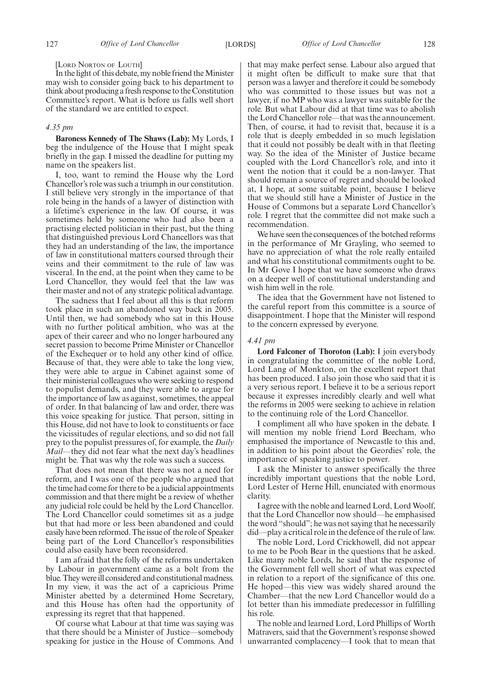#### [LORD NORTON OF LOUTH]

In the light of this debate, my noble friend theMinister may wish to consider going back to his department to think about producing a fresh response to the Constitution Committee's report. What is before us falls well short of the standard we are entitled to expect.

#### *4.35 pm*

**Baroness Kennedy of The Shaws (Lab):** My Lords, I beg the indulgence of the House that I might speak briefly in the gap. I missed the deadline for putting my name on the speakers list.

I, too, want to remind the House why the Lord Chancellor's role was such a triumph in our constitution. I still believe very strongly in the importance of that role being in the hands of a lawyer of distinction with a lifetime's experience in the law. Of course, it was sometimes held by someone who had also been a practising elected politician in their past, but the thing that distinguished previous Lord Chancellors was that they had an understanding of the law, the importance of law in constitutional matters coursed through their veins and their commitment to the rule of law was visceral. In the end, at the point when they came to be Lord Chancellor, they would feel that the law was their master and not of any strategic political advantage.

The sadness that I feel about all this is that reform took place in such an abandoned way back in 2005. Until then, we had somebody who sat in this House with no further political ambition, who was at the apex of their career and who no longer harboured any secret passion to become Prime Minister or Chancellor of the Exchequer or to hold any other kind of office. Because of that, they were able to take the long view, they were able to argue in Cabinet against some of their ministerial colleagues who were seeking to respond to populist demands, and they were able to argue for the importance of law as against, sometimes, the appeal of order. In that balancing of law and order, there was this voice speaking for justice. That person, sitting in this House, did not have to look to constituents or face the vicissitudes of regular elections, and so did not fall prey to the populist pressures of, for example, the *Daily Mail—*they did not fear what the next day's headlines might be. That was why the role was such a success.

That does not mean that there was not a need for reform, and I was one of the people who argued that the time had come for there to be a judicial appointments commission and that there might be a review of whether any judicial role could be held by the Lord Chancellor. The Lord Chancellor could sometimes sit as a judge but that had more or less been abandoned and could easily have been reformed. The issue of the role of Speaker being part of the Lord Chancellor's responsibilities could also easily have been reconsidered.

I am afraid that the folly of the reforms undertaken by Labour in government came as a bolt from the blue. They were ill considered and constitutional madness. In my view, it was the act of a capricious Prime Minister abetted by a determined Home Secretary, and this House has often had the opportunity of expressing its regret that that happened.

Of course what Labour at that time was saying was that there should be a Minister of Justice—somebody speaking for justice in the House of Commons. And that may make perfect sense. Labour also argued that it might often be difficult to make sure that that person was a lawyer and therefore it could be somebody who was committed to those issues but was not a lawyer, if no MP who was a lawyer was suitable for the role. But what Labour did at that time was to abolish the Lord Chancellor role—that was the announcement. Then, of course, it had to revisit that, because it is a role that is deeply embedded in so much legislation that it could not possibly be dealt with in that fleeting way. So the idea of the Minister of Justice became coupled with the Lord Chancellor's role, and into it went the notion that it could be a non-lawyer. That should remain a source of regret and should be looked at, I hope, at some suitable point, because I believe that we should still have a Minister of Justice in the House of Commons but a separate Lord Chancellor's role. I regret that the committee did not make such a recommendation.

We have seen the consequences of the botched reforms in the performance of Mr Grayling, who seemed to have no appreciation of what the role really entailed and what his constitutional commitments ought to be. In Mr Gove I hope that we have someone who draws on a deeper well of constitutional understanding and wish him well in the role.

The idea that the Government have not listened to the careful report from this committee is a source of disappointment. I hope that the Minister will respond to the concern expressed by everyone.

#### *4.41 pm*

**Lord Falconer of Thoroton (Lab):** I join everybody in congratulating the committee of the noble Lord, Lord Lang of Monkton, on the excellent report that has been produced. I also join those who said that it is a very serious report. I believe it to be a serious report because it expresses incredibly clearly and well what the reforms in 2005 were seeking to achieve in relation to the continuing role of the Lord Chancellor.

I compliment all who have spoken in the debate. I will mention my noble friend Lord Beecham, who emphasised the importance of Newcastle to this and, in addition to his point about the Geordies' role, the importance of speaking justice to power.

I ask the Minister to answer specifically the three incredibly important questions that the noble Lord, Lord Lester of Herne Hill, enunciated with enormous clarity.

I agree with the noble and learned Lord, Lord Woolf, that the Lord Chancellor now should—he emphasised the word "should"; he was not saying that he necessarily did—play a critical role in the defence of the rule of law.

The noble Lord, Lord Crickhowell, did not appear to me to be Pooh Bear in the questions that he asked. Like many noble Lords, he said that the response of the Government fell well short of what was expected in relation to a report of the significance of this one. He hoped—this view was widely shared around the Chamber—that the new Lord Chancellor would do a lot better than his immediate predecessor in fulfilling his role.

The noble and learned Lord, Lord Phillips of Worth Matravers, said that the Government's response showed unwarranted complacency—I took that to mean that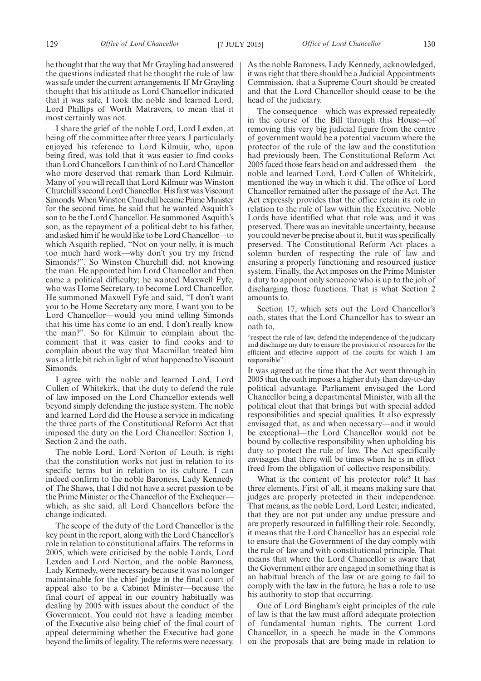he thought that the way that Mr Grayling had answered the questions indicated that he thought the rule of law was safe under the current arrangements. If Mr Grayling thought that his attitude as Lord Chancellor indicated that it was safe, I took the noble and learned Lord, Lord Phillips of Worth Matravers, to mean that it most certainly was not.

I share the grief of the noble Lord, Lord Lexden, at being off the committee after three years. I particularly enjoyed his reference to Lord Kilmuir, who, upon being fired, was told that it was easier to find cooks than Lord Chancellors. I can think of no Lord Chancellor who more deserved that remark than Lord Kilmuir. Many of you will recall that Lord Kilmuir was Winston Churchill's second Lord Chancellor. His first was Viscount Simonds. When Winston Churchill became Prime Minister for the second time, he said that he wanted Asquith's son to be the Lord Chancellor. He summoned Asquith's son, as the repayment of a political debt to his father, and asked him if he would like to be Lord Chancellor—to which Asquith replied, "Not on your nelly, it is much too much hard work—why don't you try my friend Simonds?". So Winston Churchill did, not knowing the man. He appointed him Lord Chancellor and then came a political difficulty; he wanted Maxwell Fyfe, who was Home Secretary, to become Lord Chancellor. He summoned Maxwell Fyfe and said, "I don't want you to be Home Secretary any more, I want you to be Lord Chancellor—would you mind telling Simonds that his time has come to an end, I don't really know the man?". So for Kilmuir to complain about the comment that it was easier to find cooks and to complain about the way that Macmillan treated him was a little bit rich in light of what happened to Viscount Simonds.

I agree with the noble and learned Lord, Lord Cullen of Whitekirk, that the duty to defend the rule of law imposed on the Lord Chancellor extends well beyond simply defending the justice system. The noble and learned Lord did the House a service in indicating the three parts of the Constitutional Reform Act that imposed the duty on the Lord Chancellor: Section 1, Section 2 and the oath.

The noble Lord, Lord Norton of Louth, is right that the constitution works not just in relation to its specific terms but in relation to its culture. I can indeed confirm to the noble Baroness, Lady Kennedy of The Shaws, that I did not have a secret passion to be the Prime Minister or the Chancellor of the Exchequer– which, as she said, all Lord Chancellors before the change indicated.

The scope of the duty of the Lord Chancellor is the key point in the report, along with the Lord Chancellor's role in relation to constitutional affairs. The reforms in 2005, which were criticised by the noble Lords, Lord Lexden and Lord Norton, and the noble Baroness, Lady Kennedy, were necessary because it was no longer maintainable for the chief judge in the final court of appeal also to be a Cabinet Minister—because the final court of appeal in our country habitually was dealing by 2005 with issues about the conduct of the Government. You could not have a leading member of the Executive also being chief of the final court of appeal determining whether the Executive had gone beyond the limits of legality. The reforms were necessary.

As the noble Baroness, Lady Kennedy, acknowledged, it was right that there should be a Judicial Appointments Commission, that a Supreme Court should be created and that the Lord Chancellor should cease to be the head of the judiciary.

The consequence—which was expressed repeatedly in the course of the Bill through this House—of removing this very big judicial figure from the centre of government would be a potential vacuum where the protector of the rule of the law and the constitution had previously been. The Constitutional Reform Act 2005 faced those fears head on and addressed them—the noble and learned Lord, Lord Cullen of Whitekirk, mentioned the way in which it did. The office of Lord Chancellor remained after the passage of the Act. The Act expressly provides that the office retain its role in relation to the rule of law within the Executive. Noble Lords have identified what that role was, and it was preserved. There was an inevitable uncertainty, because you could never be precise about it, but it was specifically preserved. The Constitutional Reform Act places a solemn burden of respecting the rule of law and ensuring a properly functioning and resourced justice system. Finally, the Act imposes on the Prime Minister a duty to appoint only someone who is up to the job of discharging those functions. That is what Section 2 amounts to.

Section 17, which sets out the Lord Chancellor's oath, states that the Lord Chancellor has to swear an oath to,

"respect the rule of law, defend the independence of the judiciary and discharge my duty to ensure the provision of resources for the efficient and effective support of the courts for which I am responsible".

It was agreed at the time that the Act went through in 2005 that the oath imposes a higher duty than day-to-day political advantage. Parliament envisaged the Lord Chancellor being a departmental Minister, with all the political clout that that brings but with special added responsibilities and special qualities. It also expressly envisaged that, as and when necessary—and it would be exceptional—the Lord Chancellor would not be bound by collective responsibility when upholding his duty to protect the rule of law. The Act specifically envisages that there will be times when he is in effect freed from the obligation of collective responsibility.

What is the content of his protector role? It has three elements. First of all, it means making sure that judges are properly protected in their independence. That means, as the noble Lord, Lord Lester, indicated, that they are not put under any undue pressure and are properly resourced in fulfilling their role. Secondly, it means that the Lord Chancellor has an especial role to ensure that the Government of the day comply with the rule of law and with constitutional principle. That means that where the Lord Chancellor is aware that the Government either are engaged in something that is an habitual breach of the law or are going to fail to comply with the law in the future, he has a role to use his authority to stop that occurring.

One of Lord Bingham's eight principles of the rule of law is that the law must afford adequate protection of fundamental human rights. The current Lord Chancellor, in a speech he made in the Commons on the proposals that are being made in relation to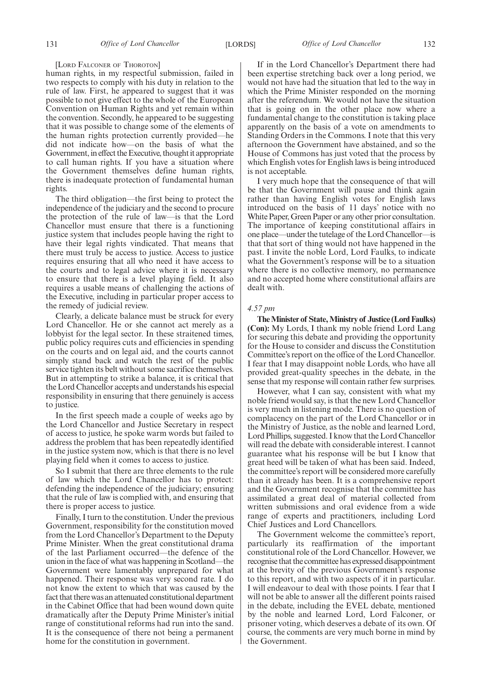#### [LORD FALCONER OF THOROTON]

human rights, in my respectful submission, failed in two respects to comply with his duty in relation to the rule of law. First, he appeared to suggest that it was possible to not give effect to the whole of the European Convention on Human Rights and yet remain within the convention. Secondly, he appeared to be suggesting that it was possible to change some of the elements of the human rights protection currently provided—he did not indicate how—on the basis of what the Government, in effect the Executive, thought it appropriate to call human rights. If you have a situation where the Government themselves define human rights, there is inadequate protection of fundamental human rights.

The third obligation—the first being to protect the independence of the judiciary and the second to procure the protection of the rule of law—is that the Lord Chancellor must ensure that there is a functioning justice system that includes people having the right to have their legal rights vindicated. That means that there must truly be access to justice. Access to justice requires ensuring that all who need it have access to the courts and to legal advice where it is necessary to ensure that there is a level playing field. It also requires a usable means of challenging the actions of the Executive, including in particular proper access to the remedy of judicial review.

Clearly, a delicate balance must be struck for every Lord Chancellor. He or she cannot act merely as a lobbyist for the legal sector. In these straitened times, public policy requires cuts and efficiencies in spending on the courts and on legal aid, and the courts cannot simply stand back and watch the rest of the public service tighten its belt without some sacrifice themselves. But in attempting to strike a balance, it is critical that the Lord Chancellor accepts and understands his especial responsibility in ensuring that there genuinely is access to justice.

In the first speech made a couple of weeks ago by the Lord Chancellor and Justice Secretary in respect of access to justice, he spoke warm words but failed to address the problem that has been repeatedly identified in the justice system now, which is that there is no level playing field when it comes to access to justice.

So I submit that there are three elements to the rule of law which the Lord Chancellor has to protect: defending the independence of the judiciary; ensuring that the rule of law is complied with, and ensuring that there is proper access to justice.

Finally, I turn to the constitution. Under the previous Government, responsibility for the constitution moved from the Lord Chancellor's Department to the Deputy Prime Minister. When the great constitutional drama of the last Parliament occurred—the defence of the union in the face of what was happening in Scotland—the Government were lamentably unprepared for what happened. Their response was very second rate. I do not know the extent to which that was caused by the fact that there was an attenuated constitutional department in the Cabinet Office that had been wound down quite dramatically after the Deputy Prime Minister's initial range of constitutional reforms had run into the sand. It is the consequence of there not being a permanent home for the constitution in government.

If in the Lord Chancellor's Department there had been expertise stretching back over a long period, we would not have had the situation that led to the way in which the Prime Minister responded on the morning after the referendum. We would not have the situation that is going on in the other place now where a fundamental change to the constitution is taking place apparently on the basis of a vote on amendments to Standing Orders in the Commons. I note that this very afternoon the Government have abstained, and so the House of Commons has just voted that the process by which English votes for English laws is being introduced is not acceptable.

I very much hope that the consequence of that will be that the Government will pause and think again rather than having English votes for English laws introduced on the basis of 11 days' notice with no White Paper, Green Paper or any other prior consultation. The importance of keeping constitutional affairs in one place—under the tutelage of the Lord Chancellor—is that that sort of thing would not have happened in the past. I invite the noble Lord, Lord Faulks, to indicate what the Government's response will be to a situation where there is no collective memory, no permanence and no accepted home where constitutional affairs are dealt with.

#### *4.57 pm*

**TheMinister of State,Ministry of Justice (Lord Faulks) (Con):** My Lords, I thank my noble friend Lord Lang for securing this debate and providing the opportunity for the House to consider and discuss the Constitution Committee's report on the office of the Lord Chancellor. I fear that I may disappoint noble Lords, who have all provided great-quality speeches in the debate, in the sense that my response will contain rather few surprises.

However, what I can say, consistent with what my noble friend would say, is that the new Lord Chancellor is very much in listening mode. There is no question of complacency on the part of the Lord Chancellor or in the Ministry of Justice, as the noble and learned Lord, Lord Phillips, suggested. I know that the Lord Chancellor will read the debate with considerable interest. I cannot guarantee what his response will be but I know that great heed will be taken of what has been said. Indeed, the committee's report will be considered more carefully than it already has been. It is a comprehensive report and the Government recognise that the committee has assimilated a great deal of material collected from written submissions and oral evidence from a wide range of experts and practitioners, including Lord Chief Justices and Lord Chancellors.

The Government welcome the committee's report, particularly its reaffirmation of the important constitutional role of the Lord Chancellor. However, we recognise that the committee has expressed disappointment at the brevity of the previous Government's response to this report, and with two aspects of it in particular. I will endeavour to deal with those points. I fear that I will not be able to answer all the different points raised in the debate, including the EVEL debate, mentioned by the noble and learned Lord, Lord Falconer, or prisoner voting, which deserves a debate of its own. Of course, the comments are very much borne in mind by the Government.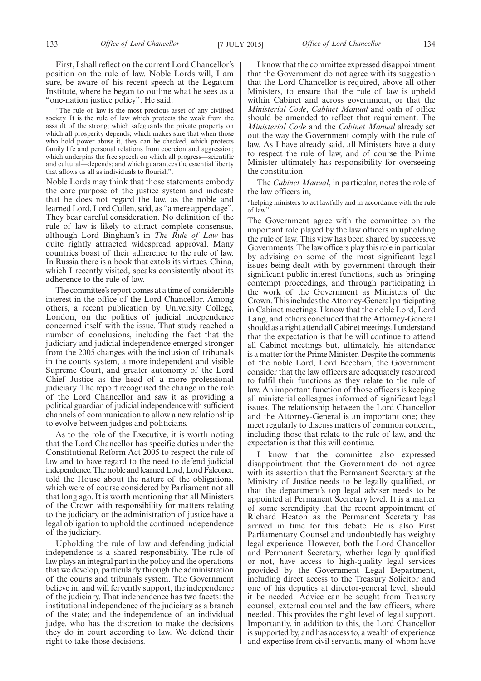"The rule of law is the most precious asset of any civilised society. It is the rule of law which protects the weak from the assault of the strong; which safeguards the private property on which all prosperity depends; which makes sure that when those who hold power abuse it, they can be checked; which protects family life and personal relations from coercion and aggression; which underpins the free speech on which all progress—scientific and cultural—depends; and which guarantees the essential liberty that allows us all as individuals to flourish".

Noble Lords may think that those statements embody the core purpose of the justice system and indicate that he does not regard the law, as the noble and learned Lord, Lord Cullen, said, as "a mere appendage". They bear careful consideration. No definition of the rule of law is likely to attract complete consensus, although Lord Bingham's in *The Rule of Law* has quite rightly attracted widespread approval. Many countries boast of their adherence to the rule of law. In Russia there is a book that extols its virtues. China, which I recently visited, speaks consistently about its adherence to the rule of law.

The committee's report comes at a time of considerable interest in the office of the Lord Chancellor. Among others, a recent publication by University College, London, on the politics of judicial independence concerned itself with the issue. That study reached a number of conclusions, including the fact that the judiciary and judicial independence emerged stronger from the 2005 changes with the inclusion of tribunals in the courts system, a more independent and visible Supreme Court, and greater autonomy of the Lord Chief Justice as the head of a more professional judiciary. The report recognised the change in the role of the Lord Chancellor and saw it as providing a political guardian of judicial independence with sufficient channels of communication to allow a new relationship to evolve between judges and politicians.

As to the role of the Executive, it is worth noting that the Lord Chancellor has specific duties under the Constitutional Reform Act 2005 to respect the rule of law and to have regard to the need to defend judicial independence. The noble and learned Lord, Lord Falconer, told the House about the nature of the obligations, which were of course considered by Parliament not all that long ago. It is worth mentioning that all Ministers of the Crown with responsibility for matters relating to the judiciary or the administration of justice have a legal obligation to uphold the continued independence of the judiciary.

Upholding the rule of law and defending judicial independence is a shared responsibility. The rule of law plays an integral part in the policy and the operations that we develop, particularly through the administration of the courts and tribunals system. The Government believe in, and will fervently support, the independence of the judiciary. That independence has two facets: the institutional independence of the judiciary as a branch of the state; and the independence of an individual judge, who has the discretion to make the decisions they do in court according to law. We defend their right to take those decisions.

I know that the committee expressed disappointment that the Government do not agree with its suggestion that the Lord Chancellor is required, above all other Ministers, to ensure that the rule of law is upheld within Cabinet and across government, or that the *Ministerial Code*, *Cabinet Manual* and oath of office should be amended to reflect that requirement. The *Ministerial Code* and the *Cabinet Manual* already set out the way the Government comply with the rule of law. As I have already said, all Ministers have a duty to respect the rule of law, and of course the Prime Minister ultimately has responsibility for overseeing the constitution.

The *Cabinet Manual*, in particular, notes the role of the law officers in,

"helping ministers to act lawfully and in accordance with the rule of law".

The Government agree with the committee on the important role played by the law officers in upholding the rule of law. This view has been shared by successive Governments. The law officers play this role in particular by advising on some of the most significant legal issues being dealt with by government through their significant public interest functions, such as bringing contempt proceedings, and through participating in the work of the Government as Ministers of the Crown. This includes the Attorney-General participating in Cabinet meetings. I know that the noble Lord, Lord Lang, and others concluded that the Attorney-General should as a right attend all Cabinet meetings. I understand that the expectation is that he will continue to attend all Cabinet meetings but, ultimately, his attendance is a matter for the Prime Minister. Despite the comments of the noble Lord, Lord Beecham, the Government consider that the law officers are adequately resourced to fulfil their functions as they relate to the rule of law. An important function of those officers is keeping all ministerial colleagues informed of significant legal issues. The relationship between the Lord Chancellor and the Attorney-General is an important one; they meet regularly to discuss matters of common concern, including those that relate to the rule of law, and the expectation is that this will continue.

I know that the committee also expressed disappointment that the Government do not agree with its assertion that the Permanent Secretary at the Ministry of Justice needs to be legally qualified, or that the department's top legal adviser needs to be appointed at Permanent Secretary level. It is a matter of some serendipity that the recent appointment of Richard Heaton as the Permanent Secretary has arrived in time for this debate. He is also First Parliamentary Counsel and undoubtedly has weighty legal experience. However, both the Lord Chancellor and Permanent Secretary, whether legally qualified or not, have access to high-quality legal services provided by the Government Legal Department, including direct access to the Treasury Solicitor and one of his deputies at director-general level, should it be needed. Advice can be sought from Treasury counsel, external counsel and the law officers, where needed. This provides the right level of legal support. Importantly, in addition to this, the Lord Chancellor is supported by, and has access to, a wealth of experience and expertise from civil servants, many of whom have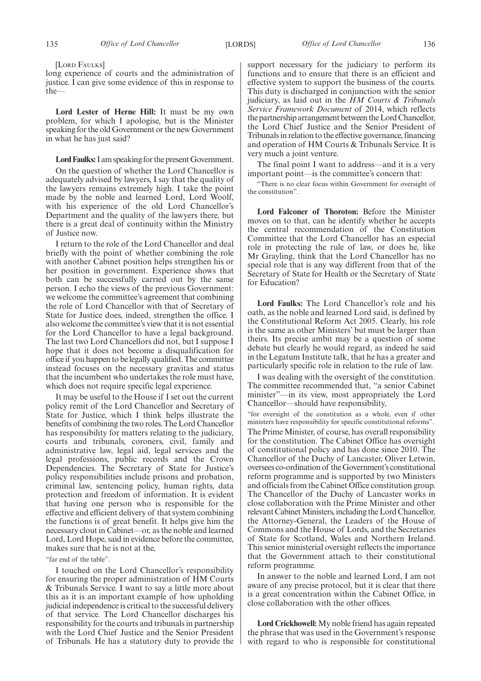[LORD FAULKS]

long experience of courts and the administration of justice. I can give some evidence of this in response to the—

**Lord Lester of Herne Hill:** It must be my own problem, for which I apologise, but is the Minister speaking for the old Government or the new Government in what he has just said?

#### Lord Faulks: I am speaking for the present Government.

On the question of whether the Lord Chancellor is adequately advised by lawyers, I say that the quality of the lawyers remains extremely high. I take the point made by the noble and learned Lord, Lord Woolf, with his experience of the old Lord Chancellor's Department and the quality of the lawyers there, but there is a great deal of continuity within the Ministry of Justice now.

I return to the role of the Lord Chancellor and deal briefly with the point of whether combining the role with another Cabinet position helps strengthen his or her position in government. Experience shows that both can be successfully carried out by the same person. I echo the views of the previous Government: we welcome the committee's agreement that combining the role of Lord Chancellor with that of Secretary of State for Justice does, indeed, strengthen the office. I also welcome the committee's view that it is not essential for the Lord Chancellor to have a legal background. The last two Lord Chancellors did not, but I suppose I hope that it does not become a disqualification for office if you happen to be legally qualified. The committee instead focuses on the necessary gravitas and status that the incumbent who undertakes the role must have, which does not require specific legal experience.

It may be useful to the House if I set out the current policy remit of the Lord Chancellor and Secretary of State for Justice, which I think helps illustrate the benefits of combining the two roles. The Lord Chancellor has responsibility for matters relating to the judiciary, courts and tribunals, coroners, civil, family and administrative law, legal aid, legal services and the legal professions, public records and the Crown Dependencies. The Secretary of State for Justice's policy responsibilities include prisons and probation, criminal law, sentencing policy, human rights, data protection and freedom of information. It is evident that having one person who is responsible for the effective and efficient delivery of that system combining the functions is of great benefit. It helps give him the necessary clout in Cabinet—or, as the noble and learned Lord, Lord Hope, said in evidence before the committee, makes sure that he is not at the,

#### "far end of the table".

I touched on the Lord Chancellor's responsibility for ensuring the proper administration of HM Courts & Tribunals Service. I want to say a little more about this as it is an important example of how upholding judicial independence is critical to the successful delivery of that service. The Lord Chancellor discharges his responsibility for the courts and tribunals in partnership with the Lord Chief Justice and the Senior President of Tribunals. He has a statutory duty to provide the

support necessary for the judiciary to perform its functions and to ensure that there is an efficient and effective system to support the business of the courts. This duty is discharged in conjunction with the senior judiciary, as laid out in the *HM Courts & Tribunals Service Framework Document* of 2014, which reflects the partnership arrangement between theLord Chancellor, the Lord Chief Justice and the Senior President of Tribunals in relation to the effective governance, financing and operation of HM Courts & Tribunals Service. It is very much a joint venture.

The final point I want to address—and it is a very important point—is the committee's concern that:

"There is no clear focus within Government for oversight of the constitution".

**Lord Falconer of Thoroton:** Before the Minister moves on to that, can he identify whether he accepts the central recommendation of the Constitution Committee that the Lord Chancellor has an especial role in protecting the rule of law, or does he, like Mr Grayling, think that the Lord Chancellor has no special role that is any way different from that of the Secretary of State for Health or the Secretary of State for Education?

**Lord Faulks:** The Lord Chancellor's role and his oath, as the noble and learned Lord said, is defined by the Constitutional Reform Act 2005. Clearly, his role is the same as other Ministers' but must be larger than theirs. Its precise ambit may be a question of some debate but clearly he would regard, as indeed he said in the Legatum Institute talk, that he has a greater and particularly specific role in relation to the rule of law.

I was dealing with the oversight of the constitution. The committee recommended that, "a senior Cabinet minister"—in its view, most appropriately the Lord Chancellor—should have responsibility,

"for oversight of the constitution as a whole, even if other ministers have responsibility for specific constitutional reforms". The Prime Minister, of course, has overall responsibility for the constitution. The Cabinet Office has oversight of constitutional policy and has done since 2010. The Chancellor of the Duchy of Lancaster, Oliver Letwin, oversees co-ordination of the Government's constitutional reform programme and is supported by two Ministers and officials from the Cabinet Office constitution group. The Chancellor of the Duchy of Lancaster works in close collaboration with the Prime Minister and other relevant Cabinet Ministers, including the Lord Chancellor, the Attorney-General, the Leaders of the House of Commons and the House of Lords, and the Secretaries of State for Scotland, Wales and Northern Ireland. This senior ministerial oversight reflects the importance that the Government attach to their constitutional reform programme.

In answer to the noble and learned Lord, I am not aware of any precise protocol, but it is clear that there is a great concentration within the Cabinet Office, in close collaboration with the other offices.

**Lord Crickhowell:** My noble friend has again repeated the phrase that was used in the Government's response with regard to who is responsible for constitutional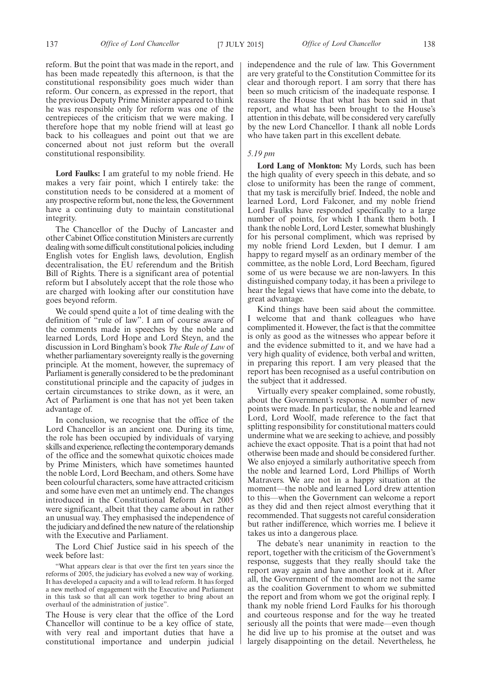reform. But the point that was made in the report, and has been made repeatedly this afternoon, is that the constitutional responsibility goes much wider than reform. Our concern, as expressed in the report, that the previous Deputy Prime Minister appeared to think he was responsible only for reform was one of the centrepieces of the criticism that we were making. I therefore hope that my noble friend will at least go back to his colleagues and point out that we are concerned about not just reform but the overall constitutional responsibility.

**Lord Faulks:** I am grateful to my noble friend. He makes a very fair point, which I entirely take: the constitution needs to be considered at a moment of any prospective reform but, none the less, the Government have a continuing duty to maintain constitutional integrity.

The Chancellor of the Duchy of Lancaster and other Cabinet Office constitution Ministers are currently dealing with some difficult constitutional policies, including English votes for English laws, devolution, English decentralisation, the EU referendum and the British Bill of Rights. There is a significant area of potential reform but I absolutely accept that the role those who are charged with looking after our constitution have goes beyond reform.

We could spend quite a lot of time dealing with the definition of "rule of law". I am of course aware of the comments made in speeches by the noble and learned Lords, Lord Hope and Lord Steyn, and the discussion in Lord Bingham's book *The Rule of Law* of whether parliamentary sovereignty really is the governing principle. At the moment, however, the supremacy of Parliament is generally considered to be the predominant constitutional principle and the capacity of judges in certain circumstances to strike down, as it were, an Act of Parliament is one that has not yet been taken advantage of.

In conclusion, we recognise that the office of the Lord Chancellor is an ancient one. During its time, the role has been occupied by individuals of varying skills and experience, reflecting the contemporary demands of the office and the somewhat quixotic choices made by Prime Ministers, which have sometimes haunted the noble Lord, Lord Beecham, and others. Some have been colourful characters, some have attracted criticism and some have even met an untimely end. The changes introduced in the Constitutional Reform Act 2005 were significant, albeit that they came about in rather an unusual way. They emphasised the independence of the judiciary and defined the new nature of the relationship with the Executive and Parliament.

The Lord Chief Justice said in his speech of the week before last:

"What appears clear is that over the first ten years since the reforms of 2005, the judiciary has evolved a new way of working. It has developed a capacity and a will to lead reform. It has forged a new method of engagement with the Executive and Parliament in this task so that all can work together to bring about an overhaul of the administration of justice".

The House is very clear that the office of the Lord Chancellor will continue to be a key office of state, with very real and important duties that have a constitutional importance and underpin judicial independence and the rule of law. This Government are very grateful to the Constitution Committee for its clear and thorough report. I am sorry that there has been so much criticism of the inadequate response. I reassure the House that what has been said in that report, and what has been brought to the House's attention in this debate, will be considered very carefully by the new Lord Chancellor. I thank all noble Lords who have taken part in this excellent debate.

#### *5.19 pm*

**Lord Lang of Monkton:** My Lords, such has been the high quality of every speech in this debate, and so close to uniformity has been the range of comment, that my task is mercifully brief. Indeed, the noble and learned Lord, Lord Falconer, and my noble friend Lord Faulks have responded specifically to a large number of points, for which I thank them both. I thank the noble Lord, Lord Lester, somewhat blushingly for his personal compliment, which was reprised by my noble friend Lord Lexden, but I demur. I am happy to regard myself as an ordinary member of the committee, as the noble Lord, Lord Beecham, figured some of us were because we are non-lawyers. In this distinguished company today, it has been a privilege to hear the legal views that have come into the debate, to great advantage.

Kind things have been said about the committee. I welcome that and thank colleagues who have complimented it. However, the fact is that the committee is only as good as the witnesses who appear before it and the evidence submitted to it, and we have had a very high quality of evidence, both verbal and written, in preparing this report. I am very pleased that the report has been recognised as a useful contribution on the subject that it addressed.

Virtually every speaker complained, some robustly, about the Government's response. A number of new points were made. In particular, the noble and learned Lord, Lord Woolf, made reference to the fact that splitting responsibility for constitutional matters could undermine what we are seeking to achieve, and possibly achieve the exact opposite. That is a point that had not otherwise been made and should be considered further. We also enjoyed a similarly authoritative speech from the noble and learned Lord, Lord Phillips of Worth Matravers. We are not in a happy situation at the moment—the noble and learned Lord drew attention to this—when the Government can welcome a report as they did and then reject almost everything that it recommended. That suggests not careful consideration but rather indifference, which worries me. I believe it takes us into a dangerous place.

The debate's near unanimity in reaction to the report, together with the criticism of the Government's response, suggests that they really should take the report away again and have another look at it. After all, the Government of the moment are not the same as the coalition Government to whom we submitted the report and from whom we got the original reply. I thank my noble friend Lord Faulks for his thorough and courteous response and for the way he treated seriously all the points that were made—even though he did live up to his promise at the outset and was largely disappointing on the detail. Nevertheless, he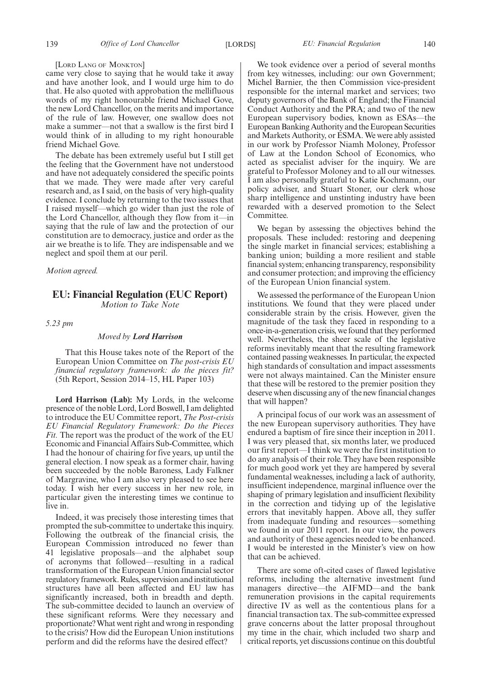#### [LORD LANG OF MONKTON]

came very close to saying that he would take it away and have another look, and I would urge him to do that. He also quoted with approbation the mellifluous words of my right honourable friend Michael Gove, the new Lord Chancellor, on the merits and importance of the rule of law. However, one swallow does not make a summer—not that a swallow is the first bird I would think of in alluding to my right honourable friend Michael Gove.

The debate has been extremely useful but I still get the feeling that the Government have not understood and have not adequately considered the specific points that we made. They were made after very careful research and, as I said, on the basis of very high-quality evidence. I conclude by returning to the two issues that I raised myself—which go wider than just the role of the Lord Chancellor, although they flow from it—in saying that the rule of law and the protection of our constitution are to democracy, justice and order as the air we breathe is to life. They are indispensable and we neglect and spoil them at our peril.

*Motion agreed.*

#### **EU: Financial Regulation (EUC Report)** *Motion to Take Note*

*5.23 pm*

#### *Moved by Lord Harrison*

That this House takes note of the Report of the European Union Committee on *The post-crisis EU financial regulatory framework: do the pieces fit?* (5th Report, Session 2014–15, HL Paper 103)

**Lord Harrison (Lab):** My Lords, in the welcome presence of the noble Lord, Lord Boswell, I am delighted to introduce the EU Committee report, *The Post-crisis EU Financial Regulatory Framework: Do the Pieces Fit.* The report was the product of the work of the EU Economic and Financial Affairs Sub-Committee, which I had the honour of chairing for five years, up until the general election. I now speak as a former chair, having been succeeded by the noble Baroness, Lady Falkner of Margravine, who I am also very pleased to see here today. I wish her every success in her new role, in particular given the interesting times we continue to live in.

Indeed, it was precisely those interesting times that prompted the sub-committee to undertake this inquiry. Following the outbreak of the financial crisis, the European Commission introduced no fewer than 41 legislative proposals—and the alphabet soup of acronyms that followed—resulting in a radical transformation of the European Union financial sector regulatory framework. Rules, supervision and institutional structures have all been affected and EU law has significantly increased, both in breadth and depth. The sub-committee decided to launch an overview of these significant reforms. Were they necessary and proportionate?What went right and wrong in responding to the crisis? How did the European Union institutions perform and did the reforms have the desired effect?

We took evidence over a period of several months from key witnesses, including: our own Government; Michel Barnier, the then Commission vice-president responsible for the internal market and services; two deputy governors of the Bank of England; the Financial Conduct Authority and the PRA; and two of the new European supervisory bodies, known as ESAs—the European Banking Authority and the European Securities and Markets Authority, or ESMA. We were ably assisted in our work by Professor Niamh Moloney, Professor of Law at the London School of Economics, who acted as specialist adviser for the inquiry. We are grateful to Professor Moloney and to all our witnesses. I am also personally grateful to Katie Kochmann, our policy adviser, and Stuart Stoner, our clerk whose sharp intelligence and unstinting industry have been rewarded with a deserved promotion to the Select Committee.

We began by assessing the objectives behind the proposals. These included: restoring and deepening the single market in financial services; establishing a banking union; building a more resilient and stable financial system; enhancing transparency, responsibility and consumer protection; and improving the efficiency of the European Union financial system.

We assessed the performance of the European Union institutions. We found that they were placed under considerable strain by the crisis. However, given the magnitude of the task they faced in responding to a once-in-a-generation crisis, we found that they performed well. Nevertheless, the sheer scale of the legislative reforms inevitably meant that the resulting framework contained passing weaknesses. In particular, the expected high standards of consultation and impact assessments were not always maintained. Can the Minister ensure that these will be restored to the premier position they deserve when discussing any of the new financial changes that will happen?

A principal focus of our work was an assessment of the new European supervisory authorities. They have endured a baptism of fire since their inception in 2011. I was very pleased that, six months later, we produced our first report—I think we were the first institution to do any analysis of their role. They have been responsible for much good work yet they are hampered by several fundamental weaknesses, including a lack of authority, insufficient independence, marginal influence over the shaping of primary legislation and insufficient flexibility in the correction and tidying up of the legislative errors that inevitably happen. Above all, they suffer from inadequate funding and resources—something we found in our 2011 report. In our view, the powers and authority of these agencies needed to be enhanced. I would be interested in the Minister's view on how that can be achieved.

There are some oft-cited cases of flawed legislative reforms, including the alternative investment fund managers directive—the AIFMD—and the bank remuneration provisions in the capital requirements directive IV as well as the contentious plans for a financial transaction tax. The sub-committee expressed grave concerns about the latter proposal throughout my time in the chair, which included two sharp and critical reports, yet discussions continue on this doubtful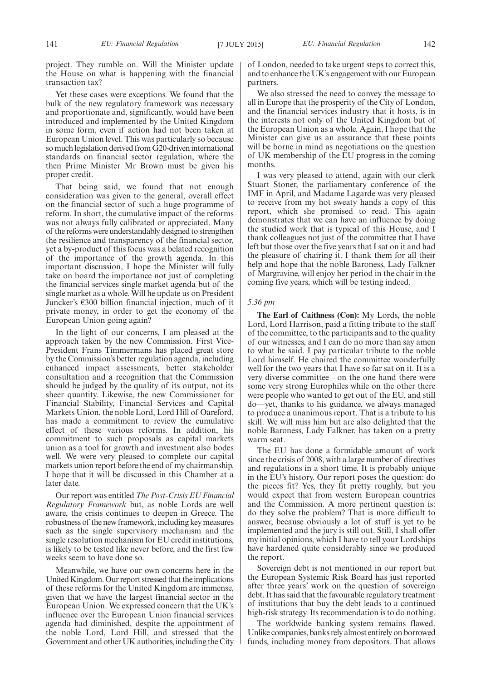Yet these cases were exceptions. We found that the bulk of the new regulatory framework was necessary and proportionate and, significantly, would have been introduced and implemented by the United Kingdom in some form, even if action had not been taken at European Union level. This was particularly so because so much legislation derived from G20-driven international standards on financial sector regulation, where the then Prime Minister Mr Brown must be given his proper credit.

That being said, we found that not enough consideration was given to the general, overall effect on the financial sector of such a huge programme of reform. In short, the cumulative impact of the reforms was not always fully calibrated or appreciated. Many of the reforms were understandably designed to strengthen the resilience and transparency of the financial sector, yet a by-product of this focus was a belated recognition of the importance of the growth agenda. In this important discussion, I hope the Minister will fully take on board the importance not just of completing the financial services single market agenda but of the single market as a whole. Will he update us on President Juncker's  $\epsilon$ 300 billion financial injection, much of it private money, in order to get the economy of the European Union going again?

In the light of our concerns, I am pleased at the approach taken by the new Commission. First Vice-President Frans Timmermans has placed great store by the Commission's better regulation agenda, including enhanced impact assessments, better stakeholder consultation and a recognition that the Commission should be judged by the quality of its output, not its sheer quantity. Likewise, the new Commissioner for Financial Stability, Financial Services and Capital Markets Union, the noble Lord, Lord Hill of Oareford, has made a commitment to review the cumulative effect of these various reforms. In addition, his commitment to such proposals as capital markets union as a tool for growth and investment also bodes well. We were very pleased to complete our capital markets union report before the end of my chairmanship. I hope that it will be discussed in this Chamber at a later date.

Our report was entitled *The Post-Crisis EU Financial Regulatory Framework* but, as noble Lords are well aware, the crisis continues to deepen in Greece. The robustness of the new framework, including key measures such as the single supervisory mechanism and the single resolution mechanism for EU credit institutions, is likely to be tested like never before, and the first few weeks seem to have done so.

Meanwhile, we have our own concerns here in the United Kingdom. Our report stressed that the implications of these reforms for the United Kingdom are immense, given that we have the largest financial sector in the European Union. We expressed concern that the UK's influence over the European Union financial services agenda had diminished, despite the appointment of the noble Lord, Lord Hill, and stressed that the Government and other UK authorities, including the City of London, needed to take urgent steps to correct this, and to enhance the UK's engagement with our European partners.

We also stressed the need to convey the message to all in Europe that the prosperity of the City of London, and the financial services industry that it hosts, is in the interests not only of the United Kingdom but of the European Union as a whole. Again, I hope that the Minister can give us an assurance that these points will be borne in mind as negotiations on the question of UK membership of the EU progress in the coming months.

I was very pleased to attend, again with our clerk Stuart Stoner, the parliamentary conference of the IMF in April, and Madame Lagarde was very pleased to receive from my hot sweaty hands a copy of this report, which she promised to read. This again demonstrates that we can have an influence by doing the studied work that is typical of this House, and I thank colleagues not just of the committee that I have left but those over the five years that I sat on it and had the pleasure of chairing it. I thank them for all their help and hope that the noble Baroness, Lady Falkner of Margravine, will enjoy her period in the chair in the coming five years, which will be testing indeed.

#### *5.36 pm*

**The Earl of Caithness (Con):** My Lords, the noble Lord, Lord Harrison, paid a fitting tribute to the staff of the committee, to the participants and to the quality of our witnesses, and I can do no more than say amen to what he said. I pay particular tribute to the noble Lord himself. He chaired the committee wonderfully well for the two years that I have so far sat on it. It is a very diverse committee—on the one hand there were some very strong Europhiles while on the other there were people who wanted to get out of the EU, and still do—yet, thanks to his guidance, we always managed to produce a unanimous report. That is a tribute to his skill. We will miss him but are also delighted that the noble Baroness, Lady Falkner, has taken on a pretty warm seat.

The EU has done a formidable amount of work since the crisis of 2008, with a large number of directives and regulations in a short time. It is probably unique in the EU's history. Our report poses the question: do the pieces fit? Yes, they fit pretty roughly, but you would expect that from western European countries and the Commission. A more pertinent question is: do they solve the problem? That is more difficult to answer, because obviously a lot of stuff is yet to be implemented and the jury is still out. Still, I shall offer my initial opinions, which I have to tell your Lordships have hardened quite considerably since we produced the report.

Sovereign debt is not mentioned in our report but the European Systemic Risk Board has just reported after three years' work on the question of sovereign debt. It has said that the favourable regulatory treatment of institutions that buy the debt leads to a continued high-risk strategy. Its recommendation is to do nothing.

The worldwide banking system remains flawed. Unlike companies, banks rely almost entirely on borrowed funds, including money from depositors. That allows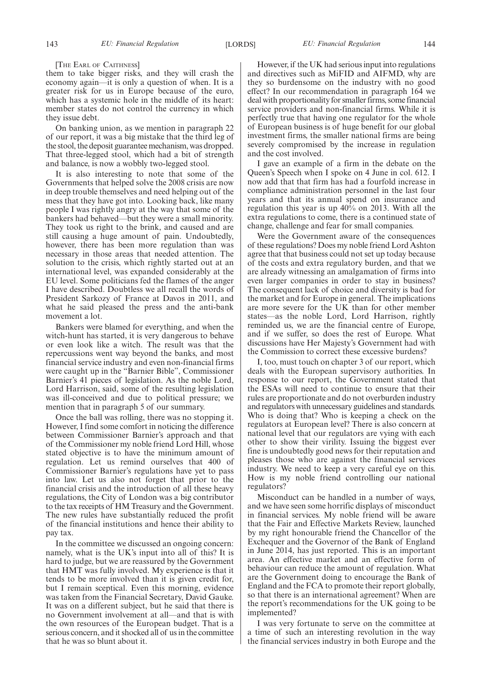#### [THE EARL OF CAITHNESS]

them to take bigger risks, and they will crash the economy again—it is only a question of when. It is a greater risk for us in Europe because of the euro, which has a systemic hole in the middle of its heart: member states do not control the currency in which they issue debt.

On banking union, as we mention in paragraph 22 of our report, it was a big mistake that the third leg of the stool, the deposit guarantee mechanism, was dropped. That three-legged stool, which had a bit of strength and balance, is now a wobbly two-legged stool.

It is also interesting to note that some of the Governments that helped solve the 2008 crisis are now in deep trouble themselves and need helping out of the mess that they have got into. Looking back, like many people I was rightly angry at the way that some of the bankers had behaved—but they were a small minority. They took us right to the brink, and caused and are still causing a huge amount of pain. Undoubtedly, however, there has been more regulation than was necessary in those areas that needed attention. The solution to the crisis, which rightly started out at an international level, was expanded considerably at the EU level. Some politicians fed the flames of the anger I have described. Doubtless we all recall the words of President Sarkozy of France at Davos in 2011, and what he said pleased the press and the anti-bank movement a lot.

Bankers were blamed for everything, and when the witch-hunt has started, it is very dangerous to behave or even look like a witch. The result was that the repercussions went way beyond the banks, and most financial service industry and even non-financial firms were caught up in the "Barnier Bible", Commissioner Barnier's 41 pieces of legislation. As the noble Lord, Lord Harrison, said, some of the resulting legislation was ill-conceived and due to political pressure; we mention that in paragraph 5 of our summary.

Once the ball was rolling, there was no stopping it. However, I find some comfort in noticing the difference between Commissioner Barnier's approach and that of the Commissioner my noble friend Lord Hill, whose stated objective is to have the minimum amount of regulation. Let us remind ourselves that 400 of Commissioner Barnier's regulations have yet to pass into law. Let us also not forget that prior to the financial crisis and the introduction of all these heavy regulations, the City of London was a big contributor to the tax receipts of HM Treasury and the Government. The new rules have substantially reduced the profit of the financial institutions and hence their ability to pay tax.

In the committee we discussed an ongoing concern: namely, what is the UK's input into all of this? It is hard to judge, but we are reassured by the Government that HMT was fully involved. My experience is that it tends to be more involved than it is given credit for, but I remain sceptical. Even this morning, evidence was taken from the Financial Secretary, David Gauke. It was on a different subject, but he said that there is no Government involvement at all—and that is with the own resources of the European budget. That is a serious concern, and it shocked all of us in the committee that he was so blunt about it.

However, if the UK had serious input into regulations and directives such as MiFID and AIFMD, why are they so burdensome on the industry with no good effect? In our recommendation in paragraph 164 we deal with proportionality for smaller firms, some financial service providers and non-financial firms. While it is perfectly true that having one regulator for the whole of European business is of huge benefit for our global investment firms, the smaller national firms are being severely compromised by the increase in regulation and the cost involved.

I gave an example of a firm in the debate on the Queen's Speech when I spoke on 4 June in col. 612. I now add that that firm has had a fourfold increase in compliance administration personnel in the last four years and that its annual spend on insurance and regulation this year is up 40% on 2013. With all the extra regulations to come, there is a continued state of change, challenge and fear for small companies.

Were the Government aware of the consequences of these regulations? Does my noble friend Lord Ashton agree that that business could not set up today because of the costs and extra regulatory burden, and that we are already witnessing an amalgamation of firms into even larger companies in order to stay in business? The consequent lack of choice and diversity is bad for the market and for Europe in general. The implications are more severe for the UK than for other member states—as the noble Lord, Lord Harrison, rightly reminded us, we are the financial centre of Europe, and if we suffer, so does the rest of Europe. What discussions have Her Majesty's Government had with the Commission to correct these excessive burdens?

I, too, must touch on chapter 3 of our report, which deals with the European supervisory authorities. In response to our report, the Government stated that the ESAs will need to continue to ensure that their rules are proportionate and do not overburden industry and regulators with unnecessary guidelines and standards. Who is doing that? Who is keeping a check on the regulators at European level? There is also concern at national level that our regulators are vying with each other to show their virility. Issuing the biggest ever fine is undoubtedly good news for their reputation and pleases those who are against the financial services industry. We need to keep a very careful eye on this. How is my noble friend controlling our national regulators?

Misconduct can be handled in a number of ways, and we have seen some horrific displays of misconduct in financial services. My noble friend will be aware that the Fair and Effective Markets Review, launched by my right honourable friend the Chancellor of the Exchequer and the Governor of the Bank of England in June 2014, has just reported. This is an important area. An effective market and an effective form of behaviour can reduce the amount of regulation. What are the Government doing to encourage the Bank of England and the FCA to promote their report globally, so that there is an international agreement? When are the report's recommendations for the UK going to be implemented?

I was very fortunate to serve on the committee at a time of such an interesting revolution in the way the financial services industry in both Europe and the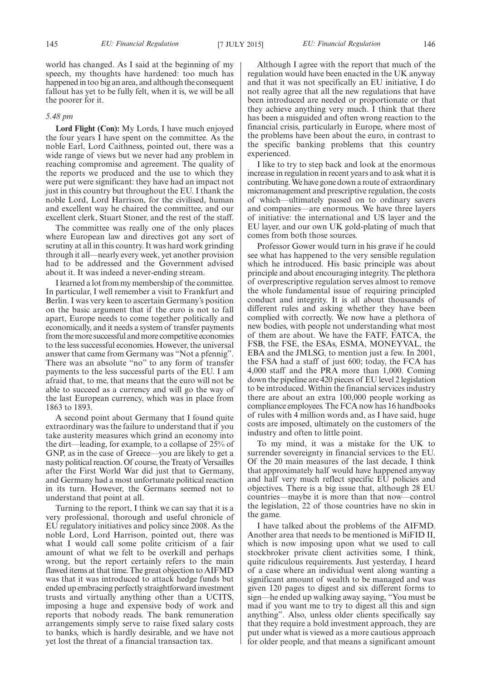world has changed. As I said at the beginning of my speech, my thoughts have hardened: too much has happened in too big an area, and although the consequent fallout has yet to be fully felt, when it is, we will be all the poorer for it.

#### *5.48 pm*

**Lord Flight (Con):** My Lords, I have much enjoyed the four years I have spent on the committee. As the noble Earl, Lord Caithness, pointed out, there was a wide range of views but we never had any problem in reaching compromise and agreement. The quality of the reports we produced and the use to which they were put were significant: they have had an impact not just in this country but throughout the EU. I thank the noble Lord, Lord Harrison, for the civilised, human and excellent way he chaired the committee, and our excellent clerk, Stuart Stoner, and the rest of the staff.

The committee was really one of the only places where European law and directives got any sort of scrutiny at all in this country. It was hard work grinding through it all—nearly every week, yet another provision had to be addressed and the Government advised about it. It was indeed a never-ending stream.

I learned a lot from my membership of the committee. In particular, I well remember a visit to Frankfurt and Berlin. I was very keen to ascertain Germany's position on the basic argument that if the euro is not to fall apart, Europe needs to come together politically and economically, and it needs a system of transfer payments from the more successful and more competitive economies to the less successful economies. However, the universal answer that came from Germany was "Not a pfennig". There was an absolute "no" to any form of transfer payments to the less successful parts of the EU. I am afraid that, to me, that means that the euro will not be able to succeed as a currency and will go the way of the last European currency, which was in place from 1863 to 1893.

A second point about Germany that I found quite extraordinary was the failure to understand that if you take austerity measures which grind an economy into the dirt—leading, for example, to a collapse of 25% of GNP, as in the case of Greece—you are likely to get a nasty political reaction. Of course, the Treaty of Versailles after the First World War did just that to Germany, and Germany had a most unfortunate political reaction in its turn. However, the Germans seemed not to understand that point at all.

Turning to the report, I think we can say that it is a very professional, thorough and useful chronicle of EU regulatory initiatives and policy since 2008. As the noble Lord, Lord Harrison, pointed out, there was what I would call some polite criticism of a fair amount of what we felt to be overkill and perhaps wrong, but the report certainly refers to the main flawed items at that time. The great objection to AIFMD was that it was introduced to attack hedge funds but ended up embracing perfectly straightforward investment trusts and virtually anything other than a UCITS, imposing a huge and expensive body of work and reports that nobody reads. The bank remuneration arrangements simply serve to raise fixed salary costs to banks, which is hardly desirable, and we have not yet lost the threat of a financial transaction tax.

Although I agree with the report that much of the regulation would have been enacted in the UK anyway and that it was not specifically an EU initiative, I do not really agree that all the new regulations that have been introduced are needed or proportionate or that they achieve anything very much. I think that there has been a misguided and often wrong reaction to the financial crisis, particularly in Europe, where most of the problems have been about the euro, in contrast to the specific banking problems that this country experienced.

I like to try to step back and look at the enormous increase in regulation in recent years and to ask what it is contributing.We have gone down a route of extraordinary micromanagement and prescriptive regulation, the costs of which—ultimately passed on to ordinary savers and companies—are enormous. We have three layers of initiative: the international and US layer and the EU layer, and our own UK gold-plating of much that comes from both those sources.

Professor Gower would turn in his grave if he could see what has happened to the very sensible regulation which he introduced. His basic principle was about principle and about encouraging integrity. The plethora of overprescriptive regulation serves almost to remove the whole fundamental issue of requiring principled conduct and integrity. It is all about thousands of different rules and asking whether they have been complied with correctly. We now have a plethora of new bodies, with people not understanding what most of them are about. We have the FATF, FATCA, the FSB, the FSE, the ESAs, ESMA, MONEYVAL, the EBA and the JMLSG, to mention just a few. In 2001, the FSA had a staff of just 600; today, the FCA has 4,000 staff and the PRA more than 1,000. Coming down the pipeline are 420 pieces of EU level 2 legislation to be introduced. Within the financial services industry there are about an extra 100,000 people working as compliance employees. The FCA now has 16 handbooks of rules with 4 million words and, as I have said, huge costs are imposed, ultimately on the customers of the industry and often to little point.

To my mind, it was a mistake for the UK to surrender sovereignty in financial services to the EU. Of the 20 main measures of the last decade, I think that approximately half would have happened anyway and half very much reflect specific EU policies and objectives. There is a big issue that, although 28 EU countries—maybe it is more than that now—control the legislation, 22 of those countries have no skin in the game.

I have talked about the problems of the AIFMD. Another area that needs to be mentioned is MiFID II, which is now imposing upon what we used to call stockbroker private client activities some, I think, quite ridiculous requirements. Just yesterday, I heard of a case where an individual went along wanting a significant amount of wealth to be managed and was given 120 pages to digest and six different forms to sign—he ended up walking away saying, "You must be mad if you want me to try to digest all this and sign anything". Also, unless older clients specifically say that they require a bold investment approach, they are put under what is viewed as a more cautious approach for older people, and that means a significant amount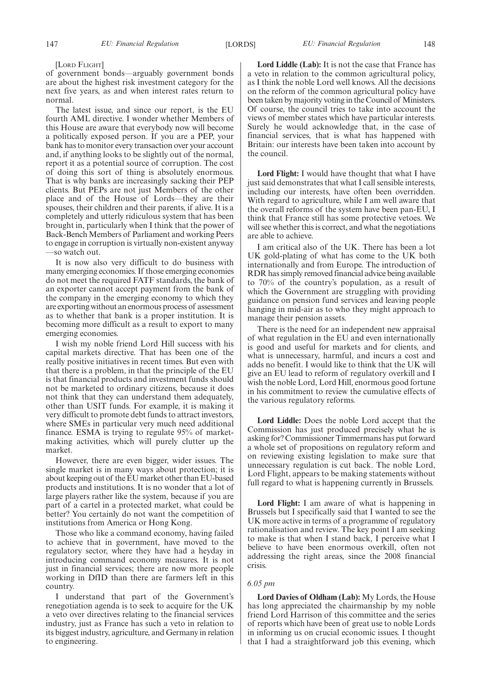[LORD FLIGHT]

of government bonds—arguably government bonds are about the highest risk investment category for the next five years, as and when interest rates return to normal.

The latest issue, and since our report, is the EU fourth AML directive. I wonder whether Members of this House are aware that everybody now will become a politically exposed person. If you are a PEP, your bank has to monitor every transaction over your account and, if anything looks to be slightly out of the normal, report it as a potential source of corruption. The cost of doing this sort of thing is absolutely enormous. That is why banks are increasingly sacking their PEP clients. But PEPs are not just Members of the other place and of the House of Lords—they are their spouses, their children and their parents, if alive. It is a completely and utterly ridiculous system that has been brought in, particularly when I think that the power of Back-Bench Members of Parliament and working Peers to engage in corruption is virtually non-existent anyway —so watch out.

It is now also very difficult to do business with many emerging economies. If those emerging economies do not meet the required FATF standards, the bank of an exporter cannot accept payment from the bank of the company in the emerging economy to which they are exporting without an enormous process of assessment as to whether that bank is a proper institution. It is becoming more difficult as a result to export to many emerging economies.

I wish my noble friend Lord Hill success with his capital markets directive. That has been one of the really positive initiatives in recent times. But even with that there is a problem, in that the principle of the EU is that financial products and investment funds should not be marketed to ordinary citizens, because it does not think that they can understand them adequately, other than USIT funds. For example, it is making it very difficult to promote debt funds to attract investors, where SMEs in particular very much need additional finance. ESMA is trying to regulate 95% of marketmaking activities, which will purely clutter up the market.

However, there are even bigger, wider issues. The single market is in many ways about protection; it is about keeping out of the EU market other than EU-based products and institutions. It is no wonder that a lot of large players rather like the system, because if you are part of a cartel in a protected market, what could be better? You certainly do not want the competition of institutions from America or Hong Kong.

Those who like a command economy, having failed to achieve that in government, have moved to the regulatory sector, where they have had a heyday in introducing command economy measures. It is not just in financial services; there are now more people working in DfID than there are farmers left in this country.

I understand that part of the Government's renegotiation agenda is to seek to acquire for the UK a veto over directives relating to the financial services industry, just as France has such a veto in relation to its biggest industry, agriculture, and Germany in relation to engineering.

**Lord Liddle (Lab):** It is not the case that France has a veto in relation to the common agricultural policy, as I think the noble Lord well knows. All the decisions on the reform of the common agricultural policy have been taken by majority voting in the Council of Ministers. Of course, the council tries to take into account the views of member states which have particular interests. Surely he would acknowledge that, in the case of financial services, that is what has happened with Britain: our interests have been taken into account by the council.

**Lord Flight:** I would have thought that what I have just said demonstrates that what I call sensible interests, including our interests, have often been overridden. With regard to agriculture, while I am well aware that the overall reforms of the system have been pan-EU, I think that France still has some protective vetoes. We will see whether this is correct, and what the negotiations are able to achieve.

I am critical also of the UK. There has been a lot UK gold-plating of what has come to the UK both internationally and from Europe. The introduction of RDR has simply removed financial advice being available to 70% of the country's population, as a result of which the Government are struggling with providing guidance on pension fund services and leaving people hanging in mid-air as to who they might approach to manage their pension assets.

There is the need for an independent new appraisal of what regulation in the EU and even internationally is good and useful for markets and for clients, and what is unnecessary, harmful, and incurs a cost and adds no benefit. I would like to think that the UK will give an EU lead to reform of regulatory overkill and I wish the noble Lord, Lord Hill, enormous good fortune in his commitment to review the cumulative effects of the various regulatory reforms.

**Lord Liddle:** Does the noble Lord accept that the Commission has just produced precisely what he is asking for? Commissioner Timmermans has put forward a whole set of propositions on regulatory reform and on reviewing existing legislation to make sure that unnecessary regulation is cut back. The noble Lord, Lord Flight, appears to be making statements without full regard to what is happening currently in Brussels.

**Lord Flight:** I am aware of what is happening in Brussels but I specifically said that I wanted to see the UK more active in terms of a programme of regulatory rationalisation and review. The key point I am seeking to make is that when I stand back, I perceive what I believe to have been enormous overkill, often not addressing the right areas, since the 2008 financial crisis.

#### *6.05 pm*

**Lord Davies of Oldham (Lab):** My Lords, the House has long appreciated the chairmanship by my noble friend Lord Harrison of this committee and the series of reports which have been of great use to noble Lords in informing us on crucial economic issues. I thought that I had a straightforward job this evening, which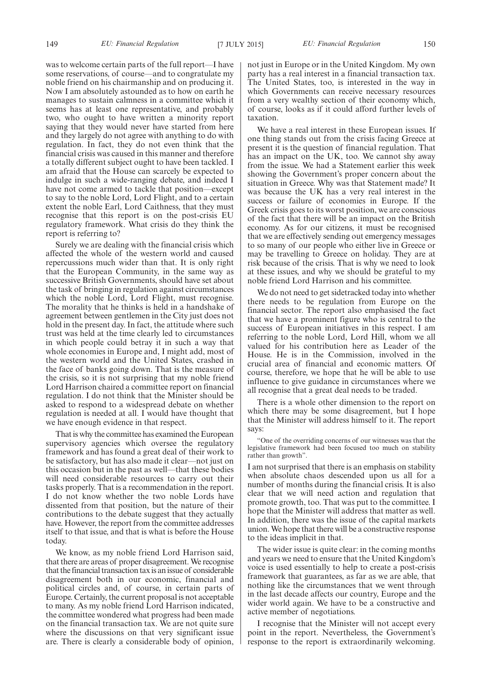was to welcome certain parts of the full report—I have some reservations, of course—and to congratulate my noble friend on his chairmanship and on producing it. Now I am absolutely astounded as to how on earth he manages to sustain calmness in a committee which it seems has at least one representative, and probably two, who ought to have written a minority report saying that they would never have started from here and they largely do not agree with anything to do with regulation. In fact, they do not even think that the financial crisis was caused in this manner and therefore a totally different subject ought to have been tackled. I am afraid that the House can scarcely be expected to indulge in such a wide-ranging debate, and indeed I have not come armed to tackle that position—except to say to the noble Lord, Lord Flight, and to a certain extent the noble Earl, Lord Caithness, that they must recognise that this report is on the post-crisis EU regulatory framework. What crisis do they think the report is referring to?

Surely we are dealing with the financial crisis which affected the whole of the western world and caused repercussions much wider than that. It is only right that the European Community, in the same way as successive British Governments, should have set about the task of bringing in regulation against circumstances which the noble Lord, Lord Flight, must recognise. The morality that he thinks is held in a handshake of agreement between gentlemen in the City just does not hold in the present day. In fact, the attitude where such trust was held at the time clearly led to circumstances in which people could betray it in such a way that whole economies in Europe and, I might add, most of the western world and the United States, crashed in the face of banks going down. That is the measure of the crisis, so it is not surprising that my noble friend Lord Harrison chaired a committee report on financial regulation. I do not think that the Minister should be asked to respond to a widespread debate on whether regulation is needed at all. I would have thought that we have enough evidence in that respect.

That is why the committee has examined the European supervisory agencies which oversee the regulatory framework and has found a great deal of their work to be satisfactory, but has also made it clear—not just on this occasion but in the past as well—that these bodies will need considerable resources to carry out their tasks properly. That is a recommendation in the report. I do not know whether the two noble Lords have dissented from that position, but the nature of their contributions to the debate suggest that they actually have. However, the report from the committee addresses itself to that issue, and that is what is before the House today.

We know, as my noble friend Lord Harrison said, that there are areas of proper disagreement.We recognise that the financial transaction tax is an issue of considerable disagreement both in our economic, financial and political circles and, of course, in certain parts of Europe. Certainly, the current proposal is not acceptable to many. As my noble friend Lord Harrison indicated, the committee wondered what progress had been made on the financial transaction tax. We are not quite sure where the discussions on that very significant issue are. There is clearly a considerable body of opinion,

not just in Europe or in the United Kingdom. My own party has a real interest in a financial transaction tax. The United States, too, is interested in the way in which Governments can receive necessary resources from a very wealthy section of their economy which, of course, looks as if it could afford further levels of taxation.

We have a real interest in these European issues. If one thing stands out from the crisis facing Greece at present it is the question of financial regulation. That has an impact on the UK, too. We cannot shy away from the issue. We had a Statement earlier this week showing the Government's proper concern about the situation in Greece. Why was that Statement made? It was because the UK has a very real interest in the success or failure of economies in Europe. If the Greek crisis goes to its worst position, we are conscious of the fact that there will be an impact on the British economy. As for our citizens, it must be recognised that we are effectively sending out emergency messages to so many of our people who either live in Greece or may be travelling to Greece on holiday. They are at risk because of the crisis. That is why we need to look at these issues, and why we should be grateful to my noble friend Lord Harrison and his committee.

We do not need to get sidetracked today into whether there needs to be regulation from Europe on the financial sector. The report also emphasised the fact that we have a prominent figure who is central to the success of European initiatives in this respect. I am referring to the noble Lord, Lord Hill, whom we all valued for his contribution here as Leader of the House. He is in the Commission, involved in the crucial area of financial and economic matters. Of course, therefore, we hope that he will be able to use influence to give guidance in circumstances where we all recognise that a great deal needs to be traded.

There is a whole other dimension to the report on which there may be some disagreement, but I hope that the Minister will address himself to it. The report says:

"One of the overriding concerns of our witnesses was that the legislative framework had been focused too much on stability rather than growth".

I am not surprised that there is an emphasis on stability when absolute chaos descended upon us all for a number of months during the financial crisis. It is also clear that we will need action and regulation that promote growth, too. That was put to the committee. I hope that the Minister will address that matter as well. In addition, there was the issue of the capital markets union. We hope that there will be a constructive response to the ideas implicit in that.

The wider issue is quite clear: in the coming months and years we need to ensure that the United Kingdom's voice is used essentially to help to create a post-crisis framework that guarantees, as far as we are able, that nothing like the circumstances that we went through in the last decade affects our country, Europe and the wider world again. We have to be a constructive and active member of negotiations.

I recognise that the Minister will not accept every point in the report. Nevertheless, the Government's response to the report is extraordinarily welcoming.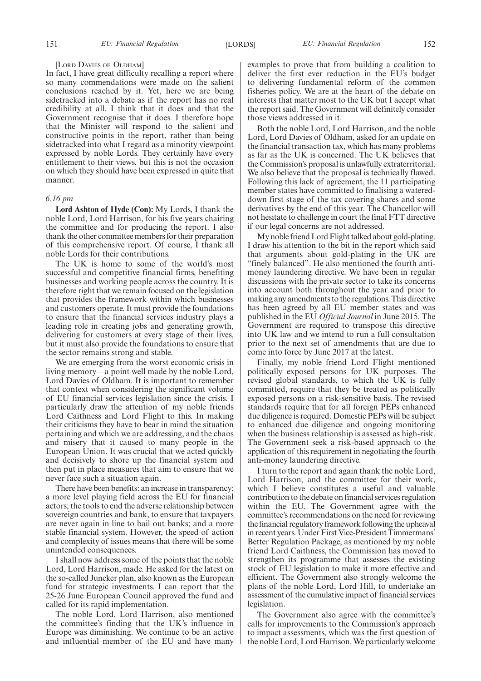#### [LORD DAVIES OF OLDHAM]

In fact, I have great difficulty recalling a report where so many commendations were made on the salient conclusions reached by it. Yet, here we are being sidetracked into a debate as if the report has no real credibility at all. I think that it does and that the Government recognise that it does. I therefore hope that the Minister will respond to the salient and constructive points in the report, rather than being sidetracked into what I regard as a minority viewpoint expressed by noble Lords. They certainly have every entitlement to their views, but this is not the occasion on which they should have been expressed in quite that manner.

#### *6.16 pm*

**Lord Ashton of Hyde (Con):** My Lords, I thank the noble Lord, Lord Harrison, for his five years chairing the committee and for producing the report. I also thank the other committee members for their preparation of this comprehensive report. Of course, I thank all noble Lords for their contributions.

The UK is home to some of the world's most successful and competitive financial firms, benefiting businesses and working people across the country. It is therefore right that we remain focused on the legislation that provides the framework within which businesses and customers operate. It must provide the foundations to ensure that the financial services industry plays a leading role in creating jobs and generating growth, delivering for customers at every stage of their lives, but it must also provide the foundations to ensure that the sector remains strong and stable.

We are emerging from the worst economic crisis in living memory—a point well made by the noble Lord, Lord Davies of Oldham. It is important to remember that context when considering the significant volume of EU financial services legislation since the crisis. I particularly draw the attention of my noble friends Lord Caithness and Lord Flight to this. In making their criticisms they have to bear in mind the situation pertaining and which we are addressing, and the chaos and misery that it caused to many people in the European Union. It was crucial that we acted quickly and decisively to shore up the financial system and then put in place measures that aim to ensure that we never face such a situation again.

There have been benefits: an increase in transparency; a more level playing field across the EU for financial actors; the tools to end the adverse relationship between sovereign countries and bank, to ensure that taxpayers are never again in line to bail out banks; and a more stable financial system. However, the speed of action and complexity of issues means that there will be some unintended consequences.

I shall now address some of the points that the noble Lord, Lord Harrison, made. He asked for the latest on the so-called Juncker plan, also known as the European fund for strategic investments. I can report that the 25-26 June European Council approved the fund and called for its rapid implementation.

The noble Lord, Lord Harrison, also mentioned the committee's finding that the UK's influence in Europe was diminishing. We continue to be an active and influential member of the EU and have many examples to prove that from building a coalition to deliver the first ever reduction in the EU's budget to delivering fundamental reform of the common fisheries policy. We are at the heart of the debate on interests that matter most to the UK but I accept what the report said. The Government will definitely consider those views addressed in it.

Both the noble Lord, Lord Harrison, and the noble Lord, Lord Davies of Oldham, asked for an update on the financial transaction tax, which has many problems as far as the UK is concerned. The UK believes that the Commission's proposal is unlawfully extraterritorial. We also believe that the proposal is technically flawed. Following this lack of agreement, the 11 participating member states have committed to finalising a watereddown first stage of the tax covering shares and some derivatives by the end of this year. The Chancellor will not hesitate to challenge in court the final FTT directive if our legal concerns are not addressed.

My noble friend Lord Flight talked about gold-plating. I draw his attention to the bit in the report which said that arguments about gold-plating in the UK are "finely balanced". He also mentioned the fourth antimoney laundering directive. We have been in regular discussions with the private sector to take its concerns into account both throughout the year and prior to making any amendments to the regulations. This directive has been agreed by all EU member states and was published in the EU *Official Journal* in June 2015. The Government are required to transpose this directive into UK law and we intend to run a full consultation prior to the next set of amendments that are due to come into force by June 2017 at the latest.

Finally, my noble friend Lord Flight mentioned politically exposed persons for UK purposes. The revised global standards, to which the UK is fully committed, require that they be treated as politically exposed persons on a risk-sensitive basis. The revised standards require that for all foreign PEPs enhanced due diligence is required. Domestic PEPs will be subject to enhanced due diligence and ongoing monitoring when the business relationship is assessed as high-risk. The Government seek a risk-based approach to the application of this requirement in negotiating the fourth anti-money laundering directive.

I turn to the report and again thank the noble Lord, Lord Harrison, and the committee for their work, which I believe constitutes a useful and valuable contribution to the debate on financial services regulation within the EU. The Government agree with the committee's recommendations on the need for reviewing the financial regulatory framework following the upheaval in recent years. Under First Vice-President Timmermans' Better Regulation Package, as mentioned by my noble friend Lord Caithness, the Commission has moved to strengthen its programme that assesses the existing stock of EU legislation to make it more effective and efficient. The Government also strongly welcome the plans of the noble Lord, Lord Hill, to undertake an assessment of the cumulative impact of financial services legislation.

The Government also agree with the committee's calls for improvements to the Commission's approach to impact assessments, which was the first question of the noble Lord, Lord Harrison.We particularly welcome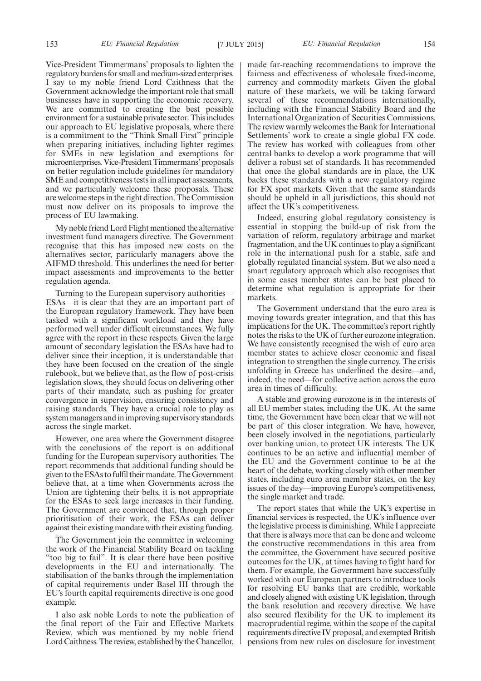Vice-President Timmermans' proposals to lighten the regulatory burdens for small and medium-sized enterprises. I say to my noble friend Lord Caithness that the Government acknowledge the important role that small businesses have in supporting the economic recovery. We are committed to creating the best possible environment for a sustainable private sector. This includes our approach to EU legislative proposals, where there is a commitment to the "Think Small First" principle when preparing initiatives, including lighter regimes for SMEs in new legislation and exemptions for microenterprises. Vice-President Timmermans' proposals on better regulation include guidelines for mandatory SME and competitiveness tests in all impact assessments, and we particularly welcome these proposals. These are welcome steps in the right direction. The Commission must now deliver on its proposals to improve the process of EU lawmaking.

My noble friend Lord Flight mentioned the alternative investment fund managers directive. The Government recognise that this has imposed new costs on the alternatives sector, particularly managers above the AIFMD threshold. This underlines the need for better impact assessments and improvements to the better regulation agenda.

Turning to the European supervisory authorities— ESAs—it is clear that they are an important part of the European regulatory framework. They have been tasked with a significant workload and they have performed well under difficult circumstances. We fully agree with the report in these respects. Given the large amount of secondary legislation the ESAs have had to deliver since their inception, it is understandable that they have been focused on the creation of the single rulebook, but we believe that, as the flow of post-crisis legislation slows, they should focus on delivering other parts of their mandate, such as pushing for greater convergence in supervision, ensuring consistency and raising standards. They have a crucial role to play as system managers and in improving supervisory standards across the single market.

However, one area where the Government disagree with the conclusions of the report is on additional funding for the European supervisory authorities. The report recommends that additional funding should be given to the ESAs to fulfil their mandate. The Government believe that, at a time when Governments across the Union are tightening their belts, it is not appropriate for the ESAs to seek large increases in their funding. The Government are convinced that, through proper prioritisation of their work, the ESAs can deliver against their existing mandate with their existing funding.

The Government join the committee in welcoming the work of the Financial Stability Board on tackling "too big to fail". It is clear there have been positive developments in the EU and internationally. The stabilisation of the banks through the implementation of capital requirements under Basel III through the EU's fourth capital requirements directive is one good example.

I also ask noble Lords to note the publication of the final report of the Fair and Effective Markets Review, which was mentioned by my noble friend Lord Caithness. The review, established by the Chancellor, made far-reaching recommendations to improve the fairness and effectiveness of wholesale fixed-income, currency and commodity markets. Given the global nature of these markets, we will be taking forward several of these recommendations internationally, including with the Financial Stability Board and the International Organization of Securities Commissions. The review warmly welcomes the Bank for International Settlements' work to create a single global FX code. The review has worked with colleagues from other central banks to develop a work programme that will deliver a robust set of standards. It has recommended that once the global standards are in place, the UK backs these standards with a new regulatory regime for FX spot markets. Given that the same standards should be upheld in all jurisdictions, this should not affect the UK's competitiveness.

Indeed, ensuring global regulatory consistency is essential in stopping the build-up of risk from the variation of reform, regulatory arbitrage and market fragmentation, and the UK continues to play a significant role in the international push for a stable, safe and globally regulated financial system. But we also need a smart regulatory approach which also recognises that in some cases member states can be best placed to determine what regulation is appropriate for their markets.

The Government understand that the euro area is moving towards greater integration, and that this has implications for the UK. The committee's report rightly notes the risks to the UK of further eurozone integration. We have consistently recognised the wish of euro area member states to achieve closer economic and fiscal integration to strengthen the single currency. The crisis unfolding in Greece has underlined the desire—and, indeed, the need—for collective action across the euro area in times of difficulty.

A stable and growing eurozone is in the interests of all EU member states, including the UK. At the same time, the Government have been clear that we will not be part of this closer integration. We have, however, been closely involved in the negotiations, particularly over banking union, to protect UK interests. The UK continues to be an active and influential member of the EU and the Government continue to be at the heart of the debate, working closely with other member states, including euro area member states, on the key issues of the day—improving Europe's competitiveness, the single market and trade.

The report states that while the UK's expertise in financial services is respected, the UK's influence over the legislative process is diminishing. While I appreciate that there is always more that can be done and welcome the constructive recommendations in this area from the committee, the Government have secured positive outcomes for the UK, at times having to fight hard for them. For example, the Government have successfully worked with our European partners to introduce tools for resolving EU banks that are credible, workable and closely aligned with existing UK legislation, through the bank resolution and recovery directive. We have also secured flexibility for the UK to implement its macroprudential regime, within the scope of the capital requirements directive IV proposal, and exempted British pensions from new rules on disclosure for investment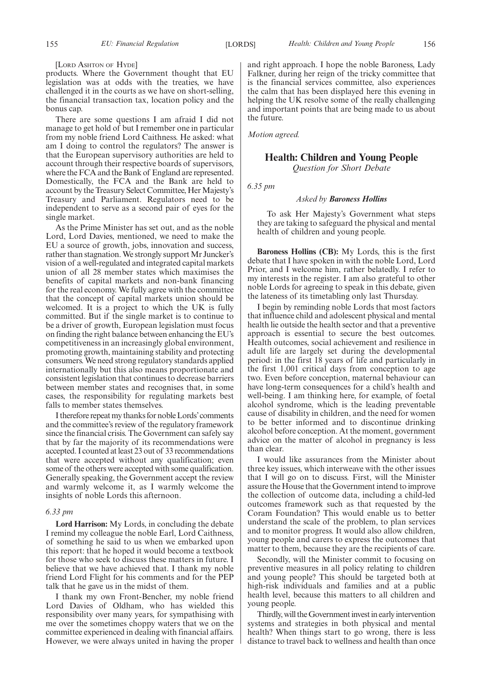[LORD ASHTON OF HYDE]

products. Where the Government thought that EU legislation was at odds with the treaties, we have challenged it in the courts as we have on short-selling, the financial transaction tax, location policy and the bonus cap.

There are some questions I am afraid I did not manage to get hold of but I remember one in particular from my noble friend Lord Caithness. He asked: what am I doing to control the regulators? The answer is that the European supervisory authorities are held to account through their respective boards of supervisors, where the FCA and the Bank of England are represented. Domestically, the FCA and the Bank are held to account by the Treasury Select Committee, Her Majesty's Treasury and Parliament. Regulators need to be independent to serve as a second pair of eyes for the single market.

As the Prime Minister has set out, and as the noble Lord, Lord Davies, mentioned, we need to make the EU a source of growth, jobs, innovation and success, rather than stagnation. We strongly support Mr Juncker's vision of a well-regulated and integrated capital markets union of all 28 member states which maximises the benefits of capital markets and non-bank financing for the real economy. We fully agree with the committee that the concept of capital markets union should be welcomed. It is a project to which the UK is fully committed. But if the single market is to continue to be a driver of growth, European legislation must focus on finding the right balance between enhancing the EU's competitiveness in an increasingly global environment, promoting growth, maintaining stability and protecting consumers. We need strong regulatory standards applied internationally but this also means proportionate and consistent legislation that continues to decrease barriers between member states and recognises that, in some cases, the responsibility for regulating markets best falls to member states themselves.

I therefore repeatmy thanks for noble Lords'comments and the committee's review of the regulatory framework since the financial crisis. The Government can safely say that by far the majority of its recommendations were accepted. I counted at least 23 out of 33 recommendations that were accepted without any qualification; even some of the others were accepted with some qualification. Generally speaking, the Government accept the review and warmly welcome it, as I warmly welcome the insights of noble Lords this afternoon.

#### *6.33 pm*

**Lord Harrison:** My Lords, in concluding the debate I remind my colleague the noble Earl, Lord Caithness, of something he said to us when we embarked upon this report: that he hoped it would become a textbook for those who seek to discuss these matters in future. I believe that we have achieved that. I thank my noble friend Lord Flight for his comments and for the PEP talk that he gave us in the midst of them.

I thank my own Front-Bencher, my noble friend Lord Davies of Oldham, who has wielded this responsibility over many years, for sympathising with me over the sometimes choppy waters that we on the committee experienced in dealing with financial affairs. However, we were always united in having the proper and right approach. I hope the noble Baroness, Lady Falkner, during her reign of the tricky committee that is the financial services committee, also experiences the calm that has been displayed here this evening in helping the UK resolve some of the really challenging and important points that are being made to us about the future.

*Motion agreed.*

#### **Health: Children and Young People** *Question for Short Debate*

*6.35 pm*

#### *Asked by Baroness Hollins*

To ask Her Majesty's Government what steps they are taking to safeguard the physical and mental health of children and young people.

**Baroness Hollins (CB):** My Lords, this is the first debate that I have spoken in with the noble Lord, Lord Prior, and I welcome him, rather belatedly. I refer to my interests in the register. I am also grateful to other noble Lords for agreeing to speak in this debate, given the lateness of its timetabling only last Thursday.

I begin by reminding noble Lords that most factors that influence child and adolescent physical and mental health lie outside the health sector and that a preventive approach is essential to secure the best outcomes. Health outcomes, social achievement and resilience in adult life are largely set during the developmental period: in the first 18 years of life and particularly in the first 1,001 critical days from conception to age two. Even before conception, maternal behaviour can have long-term consequences for a child's health and well-being. I am thinking here, for example, of foetal alcohol syndrome, which is the leading preventable cause of disability in children, and the need for women to be better informed and to discontinue drinking alcohol before conception. At the moment, government advice on the matter of alcohol in pregnancy is less than clear.

I would like assurances from the Minister about three key issues, which interweave with the other issues that I will go on to discuss. First, will the Minister assure the House that the Government intend to improve the collection of outcome data, including a child-led outcomes framework such as that requested by the Coram Foundation? This would enable us to better understand the scale of the problem, to plan services and to monitor progress. It would also allow children, young people and carers to express the outcomes that matter to them, because they are the recipients of care.

Secondly, will the Minister commit to focusing on preventive measures in all policy relating to children and young people? This should be targeted both at high-risk individuals and families and at a public health level, because this matters to all children and young people.

Thirdly, will the Government invest in early intervention systems and strategies in both physical and mental health? When things start to go wrong, there is less distance to travel back to wellness and health than once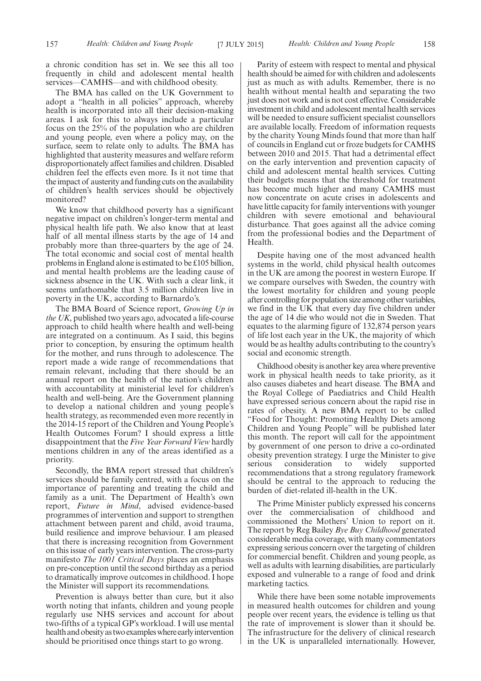a chronic condition has set in. We see this all too frequently in child and adolescent mental health services—CAMHS—and with childhood obesity.

The BMA has called on the UK Government to adopt a "health in all policies" approach, whereby health is incorporated into all their decision-making areas. I ask for this to always include a particular focus on the 25% of the population who are children and young people, even where a policy may, on the surface, seem to relate only to adults. The BMA has highlighted that austerity measures and welfare reform disproportionately affect families and children. Disabled children feel the effects even more. Is it not time that the impact of austerity and funding cuts on the availability of children's health services should be objectively monitored?

We know that childhood poverty has a significant negative impact on children's longer-term mental and physical health life path. We also know that at least half of all mental illness starts by the age of 14 and probably more than three-quarters by the age of 24. The total economic and social cost of mental health problems in England alone is estimated to be £105 billion, and mental health problems are the leading cause of sickness absence in the UK. With such a clear link, it seems unfathomable that 3.5 million children live in poverty in the UK, according to Barnardo's.

The BMA Board of Science report, *Growing Up in the UK*, published two years ago, advocated a life-course approach to child health where health and well-being are integrated on a continuum. As I said, this begins prior to conception, by ensuring the optimum health for the mother, and runs through to adolescence. The report made a wide range of recommendations that remain relevant, including that there should be an annual report on the health of the nation's children with accountability at ministerial level for children's health and well-being. Are the Government planning to develop a national children and young people's health strategy, as recommended even more recently in the 2014-15 report of the Children and Young People's Health Outcomes Forum? I should express a little disappointment that the *Five Year Forward View* hardly mentions children in any of the areas identified as a priority.

Secondly, the BMA report stressed that children's services should be family centred, with a focus on the importance of parenting and treating the child and family as a unit. The Department of Health's own report, *Future in Mind*, advised evidence-based programmes of intervention and support to strengthen attachment between parent and child, avoid trauma, build resilience and improve behaviour. I am pleased that there is increasing recognition from Government on this issue of early years intervention. The cross-party manifesto *The 1001 Critical Days* places an emphasis on pre-conception until the second birthday as a period to dramatically improve outcomes in childhood. I hope the Minister will support its recommendations.

Prevention is always better than cure, but it also worth noting that infants, children and young people regularly use NHS services and account for about two-fifths of a typical GP's workload. I will use mental health and obesity as two examples where early intervention should be prioritised once things start to go wrong.

Parity of esteem with respect to mental and physical health should be aimed for with children and adolescents just as much as with adults. Remember, there is no health without mental health and separating the two just does not work and is not cost effective. Considerable investment in child and adolescent mental health services will be needed to ensure sufficient specialist counsellors are available locally. Freedom of information requests by the charity Young Minds found that more than half of councils in England cut or froze budgets for CAMHS between 2010 and 2015. That had a detrimental effect on the early intervention and prevention capacity of child and adolescent mental health services. Cutting their budgets means that the threshold for treatment has become much higher and many CAMHS must now concentrate on acute crises in adolescents and have little capacity for family interventions with younger children with severe emotional and behavioural disturbance. That goes against all the advice coming from the professional bodies and the Department of Health.

Despite having one of the most advanced health systems in the world, child physical health outcomes in the UK are among the poorest in western Europe. If we compare ourselves with Sweden, the country with the lowest mortality for children and young people after controlling for population size among other variables, we find in the UK that every day five children under the age of 14 die who would not die in Sweden. That equates to the alarming figure of 132,874 person years of life lost each year in the UK, the majority of which would be as healthy adults contributing to the country's social and economic strength.

Childhood obesity is another key area where preventive work in physical health needs to take priority, as it also causes diabetes and heart disease. The BMA and the Royal College of Paediatrics and Child Health have expressed serious concern about the rapid rise in rates of obesity. A new BMA report to be called "Food for Thought: Promoting Healthy Diets among Children and Young People" will be published later this month. The report will call for the appointment by government of one person to drive a co-ordinated obesity prevention strategy. I urge the Minister to give serious consideration to widely supported recommendations that a strong regulatory framework should be central to the approach to reducing the burden of diet-related ill-health in the UK.

The Prime Minister publicly expressed his concerns over the commercialisation of childhood and commissioned the Mothers' Union to report on it. The report by Reg Bailey *Bye Buy Childhood* generated considerable media coverage, with many commentators expressing serious concern over the targeting of children for commercial benefit. Children and young people, as well as adults with learning disabilities, are particularly exposed and vulnerable to a range of food and drink marketing tactics.

While there have been some notable improvements in measured health outcomes for children and young people over recent years, the evidence is telling us that the rate of improvement is slower than it should be. The infrastructure for the delivery of clinical research in the UK is unparalleled internationally. However,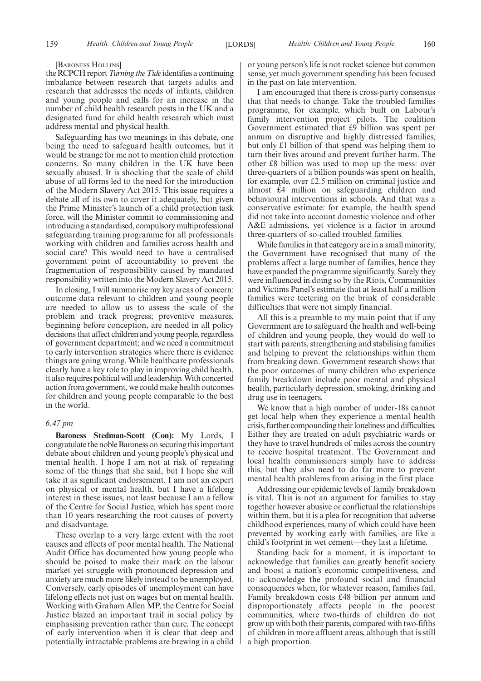#### [BARONESS HOLLINS]

the RCPCH report*Turning the Tide* identifies a continuing imbalance between research that targets adults and research that addresses the needs of infants, children and young people and calls for an increase in the number of child health research posts in the UK and a designated fund for child health research which must address mental and physical health.

Safeguarding has two meanings in this debate, one being the need to safeguard health outcomes, but it would be strange for me not to mention child protection concerns. So many children in the UK have been sexually abused. It is shocking that the scale of child abuse of all forms led to the need for the introduction of the Modern Slavery Act 2015. This issue requires a debate all of its own to cover it adequately, but given the Prime Minister's launch of a child protection task force, will the Minister commit to commissioning and introducing a standardised, compulsory multiprofessional safeguarding training programme for all professionals working with children and families across health and social care? This would need to have a centralised government point of accountability to prevent the fragmentation of responsibility caused by mandated responsibility written into the Modern Slavery Act 2015.

In closing, I will summarise my key areas of concern: outcome data relevant to children and young people are needed to allow us to assess the scale of the problem and track progress; preventive measures, beginning before conception, are needed in all policy decisions that affect children and young people, regardless of government department; and we need a commitment to early intervention strategies where there is evidence things are going wrong. While healthcare professionals clearly have a key role to play in improving child health, it also requires political will and leadership.With concerted action from government, we could make health outcomes for children and young people comparable to the best in the world.

#### *6.47 pm*

**Baroness Stedman-Scott (Con):** My Lords, I congratulate the noble Baroness on securing this important debate about children and young people's physical and mental health. I hope I am not at risk of repeating some of the things that she said, but I hope she will take it as significant endorsement. I am not an expert on physical or mental health, but I have a lifelong interest in these issues, not least because I am a fellow of the Centre for Social Justice, which has spent more than 10 years researching the root causes of poverty and disadvantage.

These overlap to a very large extent with the root causes and effects of poor mental health. The National Audit Office has documented how young people who should be poised to make their mark on the labour market yet struggle with pronounced depression and anxiety are much more likely instead to be unemployed. Conversely, early episodes of unemployment can have lifelong effects not just on wages but on mental health. Working with Graham Allen MP, the Centre for Social Justice blazed an important trail in social policy by emphasising prevention rather than cure. The concept of early intervention when it is clear that deep and potentially intractable problems are brewing in a child or young person's life is not rocket science but common sense, yet much government spending has been focused in the past on late intervention.

I am encouraged that there is cross-party consensus that that needs to change. Take the troubled families programme, for example, which built on Labour's family intervention project pilots. The coalition Government estimated that £9 billion was spent per annum on disruptive and highly distressed families, but only £1 billion of that spend was helping them to turn their lives around and prevent further harm. The other £8 billion was used to mop up the mess: over three-quarters of a billion pounds was spent on health, for example, over £2.5 million on criminal justice and almost £4 million on safeguarding children and behavioural interventions in schools. And that was a conservative estimate: for example, the health spend did not take into account domestic violence and other A&E admissions, yet violence is a factor in around three-quarters of so-called troubled families.

While families in that category are in a small minority, the Government have recognised that many of the problems affect a large number of families, hence they have expanded the programme significantly. Surely they were influenced in doing so by the Riots, Communities and Victims Panel's estimate that at least half a million families were teetering on the brink of considerable difficulties that were not simply financial.

All this is a preamble to my main point that if any Government are to safeguard the health and well-being of children and young people, they would do well to start with parents, strengthening and stabilising families and helping to prevent the relationships within them from breaking down. Government research shows that the poor outcomes of many children who experience family breakdown include poor mental and physical health, particularly depression, smoking, drinking and drug use in teenagers.

We know that a high number of under-18s cannot get local help when they experience a mental health crisis, further compounding their loneliness and difficulties. Either they are treated on adult psychiatric wards or they have to travel hundreds of miles across the country to receive hospital treatment. The Government and local health commissioners simply have to address this, but they also need to do far more to prevent mental health problems from arising in the first place.

Addressing our epidemic levels of family breakdown is vital. This is not an argument for families to stay together however abusive or conflictual the relationships within them, but it is a plea for recognition that adverse childhood experiences, many of which could have been prevented by working early with families, are like a child's footprint in wet cement—they last a lifetime.

Standing back for a moment, it is important to acknowledge that families can greatly benefit society and boost a nation's economic competitiveness, and to acknowledge the profound social and financial consequences when, for whatever reason, families fail. Family breakdown costs £48 billion per annum and disproportionately affects people in the poorest communities, where two-thirds of children do not grow up with both their parents, compared with two-fifths of children in more affluent areas, although that is still a high proportion.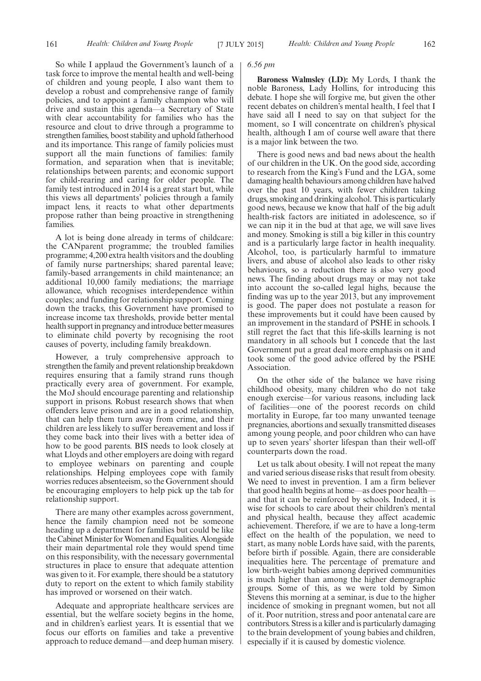So while I applaud the Government's launch of a task force to improve the mental health and well-being of children and young people, I also want them to develop a robust and comprehensive range of family policies, and to appoint a family champion who will drive and sustain this agenda—a Secretary of State with clear accountability for families who has the resource and clout to drive through a programme to strengthen families, boost stability and uphold fatherhood and its importance. This range of family policies must support all the main functions of families: family formation, and separation when that is inevitable; relationships between parents; and economic support for child-rearing and caring for older people. The family test introduced in 2014 is a great start but, while this views all departments' policies through a family impact lens, it reacts to what other departments propose rather than being proactive in strengthening families.

A lot is being done already in terms of childcare: the CANparent programme; the troubled families programme; 4,200 extra health visitors and the doubling of family nurse partnerships; shared parental leave; family-based arrangements in child maintenance; an additional 10,000 family mediations; the marriage allowance, which recognises interdependence within couples; and funding for relationship support. Coming down the tracks, this Government have promised to increase income tax thresholds, provide better mental health support in pregnancy and introduce better measures to eliminate child poverty by recognising the root causes of poverty, including family breakdown.

However, a truly comprehensive approach to strengthen the family and prevent relationship breakdown requires ensuring that a family strand runs though practically every area of government. For example, the MoJ should encourage parenting and relationship support in prisons. Robust research shows that when offenders leave prison and are in a good relationship, that can help them turn away from crime, and their children are less likely to suffer bereavement and loss if they come back into their lives with a better idea of how to be good parents. BIS needs to look closely at what Lloyds and other employers are doing with regard to employee webinars on parenting and couple relationships. Helping employees cope with family worries reduces absenteeism, so the Government should be encouraging employers to help pick up the tab for relationship support.

There are many other examples across government, hence the family champion need not be someone heading up a department for families but could be like the Cabinet Minister for Women and Equalities. Alongside their main departmental role they would spend time on this responsibility, with the necessary governmental structures in place to ensure that adequate attention was given to it. For example, there should be a statutory duty to report on the extent to which family stability has improved or worsened on their watch.

Adequate and appropriate healthcare services are essential, but the welfare society begins in the home, and in children's earliest years. It is essential that we focus our efforts on families and take a preventive approach to reduce demand—and deep human misery.

#### *6.56 pm*

**Baroness Walmsley (LD):** My Lords, I thank the noble Baroness, Lady Hollins, for introducing this debate. I hope she will forgive me, but given the other recent debates on children's mental health, I feel that I have said all I need to say on that subject for the moment, so I will concentrate on children's physical health, although I am of course well aware that there is a major link between the two.

There is good news and bad news about the health of our children in the UK. On the good side, according to research from the King's Fund and the LGA, some damaging health behaviours among children have halved over the past 10 years, with fewer children taking drugs, smoking and drinking alcohol. This is particularly good news, because we know that half of the big adult health-risk factors are initiated in adolescence, so if we can nip it in the bud at that age, we will save lives and money. Smoking is still a big killer in this country and is a particularly large factor in health inequality. Alcohol, too, is particularly harmful to immature livers, and abuse of alcohol also leads to other risky behaviours, so a reduction there is also very good news. The finding about drugs may or may not take into account the so-called legal highs, because the finding was up to the year 2013, but any improvement is good. The paper does not postulate a reason for these improvements but it could have been caused by an improvement in the standard of PSHE in schools. I still regret the fact that this life-skills learning is not mandatory in all schools but I concede that the last Government put a great deal more emphasis on it and took some of the good advice offered by the PSHE Association.

On the other side of the balance we have rising childhood obesity, many children who do not take enough exercise—for various reasons, including lack of facilities—one of the poorest records on child mortality in Europe, far too many unwanted teenage pregnancies, abortions and sexually transmitted diseases among young people, and poor children who can have up to seven years' shorter lifespan than their well-off counterparts down the road.

Let us talk about obesity. I will not repeat the many and varied serious disease risks that result from obesity. We need to invest in prevention. I am a firm believer that good health begins at home—as does poor health and that it can be reinforced by schools. Indeed, it is wise for schools to care about their children's mental and physical health, because they affect academic achievement. Therefore, if we are to have a long-term effect on the health of the population, we need to start, as many noble Lords have said, with the parents, before birth if possible. Again, there are considerable inequalities here. The percentage of premature and low birth-weight babies among deprived communities is much higher than among the higher demographic groups. Some of this, as we were told by Simon Stevens this morning at a seminar, is due to the higher incidence of smoking in pregnant women, but not all of it. Poor nutrition, stress and poor antenatal care are contributors. Stress is a killer and is particularly damaging to the brain development of young babies and children, especially if it is caused by domestic violence.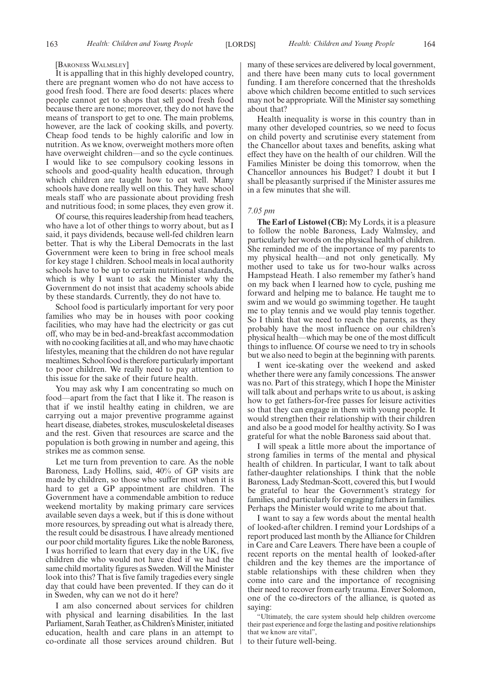#### [BARONESS WALMSLEY]

It is appalling that in this highly developed country, there are pregnant women who do not have access to good fresh food. There are food deserts: places where people cannot get to shops that sell good fresh food because there are none; moreover, they do not have the means of transport to get to one. The main problems, however, are the lack of cooking skills, and poverty. Cheap food tends to be highly calorific and low in nutrition. As we know, overweight mothers more often have overweight children—and so the cycle continues. I would like to see compulsory cooking lessons in schools and good-quality health education, through which children are taught how to eat well. Many schools have done really well on this. They have school meals staff who are passionate about providing fresh and nutritious food; in some places, they even grow it.

Of course, this requires leadership from head teachers, who have a lot of other things to worry about, but as I said, it pays dividends, because well-fed children learn better. That is why the Liberal Democrats in the last Government were keen to bring in free school meals for key stage 1 children. School meals in local authority schools have to be up to certain nutritional standards, which is why I want to ask the Minister why the Government do not insist that academy schools abide by these standards. Currently, they do not have to.

School food is particularly important for very poor families who may be in houses with poor cooking facilities, who may have had the electricity or gas cut off, who may be in bed-and-breakfast accommodation with no cooking facilities at all, and who may have chaotic lifestyles, meaning that the children do not have regular mealtimes. School food is therefore particularly important to poor children. We really need to pay attention to this issue for the sake of their future health.

You may ask why I am concentrating so much on food—apart from the fact that I like it. The reason is that if we instil healthy eating in children, we are carrying out a major preventive programme against heart disease, diabetes, strokes, musculoskeletal diseases and the rest. Given that resources are scarce and the population is both growing in number and ageing, this strikes me as common sense.

Let me turn from prevention to care. As the noble Baroness, Lady Hollins, said, 40% of GP visits are made by children, so those who suffer most when it is hard to get a GP appointment are children. The Government have a commendable ambition to reduce weekend mortality by making primary care services available seven days a week, but if this is done without more resources, by spreading out what is already there, the result could be disastrous. I have already mentioned our poor child mortality figures. Like the noble Baroness, I was horrified to learn that every day in the UK, five children die who would not have died if we had the same child mortality figures as Sweden. Will the Minister look into this? That is five family tragedies every single day that could have been prevented. If they can do it in Sweden, why can we not do it here?

I am also concerned about services for children with physical and learning disabilities. In the last Parliament, Sarah Teather, as Children's Minister, initiated education, health and care plans in an attempt to co-ordinate all those services around children. But many of these services are delivered by local government, and there have been many cuts to local government funding. I am therefore concerned that the thresholds above which children become entitled to such services may not be appropriate. Will the Minister say something about that?

Health inequality is worse in this country than in many other developed countries, so we need to focus on child poverty and scrutinise every statement from the Chancellor about taxes and benefits, asking what effect they have on the health of our children. Will the Families Minister be doing this tomorrow, when the Chancellor announces his Budget? I doubt it but I shall be pleasantly surprised if the Minister assures me in a few minutes that she will.

#### *7.05 pm*

**The Earl of Listowel (CB):** My Lords, it is a pleasure to follow the noble Baroness, Lady Walmsley, and particularly her words on the physical health of children. She reminded me of the importance of my parents to my physical health—and not only genetically. My mother used to take us for two-hour walks across Hampstead Heath. I also remember my father's hand on my back when I learned how to cycle, pushing me forward and helping me to balance. He taught me to swim and we would go swimming together. He taught me to play tennis and we would play tennis together. So I think that we need to reach the parents, as they probably have the most influence on our children's physical health—which may be one of the most difficult things to influence. Of course we need to try in schools but we also need to begin at the beginning with parents.

I went ice-skating over the weekend and asked whether there were any family concessions. The answer was no. Part of this strategy, which I hope the Minister will talk about and perhaps write to us about, is asking how to get fathers-for-free passes for leisure activities so that they can engage in them with young people. It would strengthen their relationship with their children and also be a good model for healthy activity. So I was grateful for what the noble Baroness said about that.

I will speak a little more about the importance of strong families in terms of the mental and physical health of children. In particular, I want to talk about father-daughter relationships. I think that the noble Baroness, Lady Stedman-Scott, covered this, but I would be grateful to hear the Government's strategy for families, and particularly for engaging fathers in families. Perhaps the Minister would write to me about that.

I want to say a few words about the mental health of looked-after children. I remind your Lordships of a report produced last month by the Alliance for Children in Care and Care Leavers. There have been a couple of recent reports on the mental health of looked-after children and the key themes are the importance of stable relationships with these children when they come into care and the importance of recognising their need to recover from early trauma. Enver Solomon, one of the co-directors of the alliance, is quoted as saying:

"Ultimately, the care system should help children overcome their past experience and forge the lasting and positive relationships that we know are vital",

to their future well-being.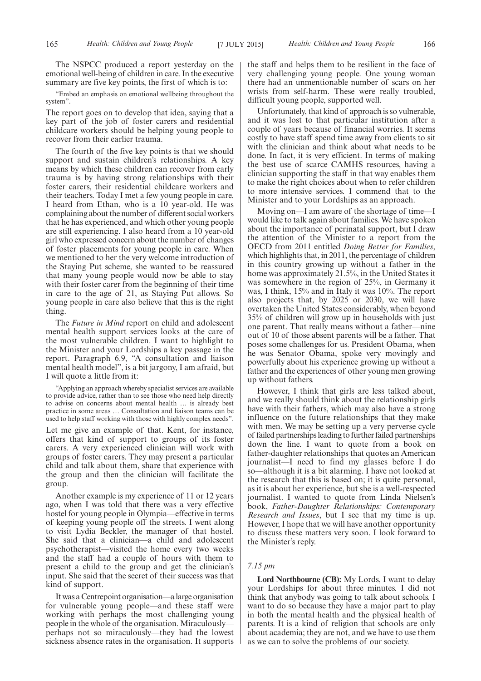The NSPCC produced a report yesterday on the emotional well-being of children in care. In the executive summary are five key points, the first of which is to:

"Embed an emphasis on emotional wellbeing throughout the system".

The report goes on to develop that idea, saying that a key part of the job of foster carers and residential childcare workers should be helping young people to recover from their earlier trauma.

The fourth of the five key points is that we should support and sustain children's relationships. A key means by which these children can recover from early trauma is by having strong relationships with their foster carers, their residential childcare workers and their teachers. Today I met a few young people in care. I heard from Ethan, who is a 10 year-old. He was complaining about the number of different social workers that he has experienced, and which other young people are still experiencing. I also heard from a 10 year-old girl who expressed concern about the number of changes of foster placements for young people in care. When we mentioned to her the very welcome introduction of the Staying Put scheme, she wanted to be reassured that many young people would now be able to stay with their foster carer from the beginning of their time in care to the age of 21, as Staying Put allows. So young people in care also believe that this is the right thing.

The *Future in Mind* report on child and adolescent mental health support services looks at the care of the most vulnerable children. I want to highlight to the Minister and your Lordships a key passage in the report. Paragraph 6.9, "A consultation and liaison mental health model", is a bit jargony, I am afraid, but I will quote a little from it:

"Applying an approach whereby specialist services are available to provide advice, rather than to see those who need help directly to advise on concerns about mental health … is already best practice in some areas … Consultation and liaison teams can be used to help staff working with those with highly complex needs".

Let me give an example of that. Kent, for instance, offers that kind of support to groups of its foster carers. A very experienced clinician will work with groups of foster carers. They may present a particular child and talk about them, share that experience with the group and then the clinician will facilitate the group.

Another example is my experience of 11 or 12 years ago, when I was told that there was a very effective hostel for young people in Olympia—effective in terms of keeping young people off the streets. I went along to visit Lydia Beckler, the manager of that hostel. She said that a clinician—a child and adolescent psychotherapist—visited the home every two weeks and the staff had a couple of hours with them to present a child to the group and get the clinician's input. She said that the secret of their success was that kind of support.

It was a Centrepoint organisation—alarge organisation for vulnerable young people—and these staff were working with perhaps the most challenging young people in the whole of the organisation. Miraculously perhaps not so miraculously—they had the lowest sickness absence rates in the organisation. It supports

the staff and helps them to be resilient in the face of very challenging young people. One young woman there had an unmentionable number of scars on her wrists from self-harm. These were really troubled, difficult young people, supported well.

Unfortunately, that kind of approach is so vulnerable, and it was lost to that particular institution after a couple of years because of financial worries. It seems costly to have staff spend time away from clients to sit with the clinician and think about what needs to be done. In fact, it is very efficient. In terms of making the best use of scarce CAMHS resources, having a clinician supporting the staff in that way enables them to make the right choices about when to refer children to more intensive services. I commend that to the Minister and to your Lordships as an approach.

Moving on—I am aware of the shortage of time—I would like to talk again about families. We have spoken about the importance of perinatal support, but I draw the attention of the Minister to a report from the OECD from 2011 entitled *Doing Better for Families*, which highlights that, in 2011, the percentage of children in this country growing up without a father in the home was approximately 21.5%, in the United States it was somewhere in the region of 25%, in Germany it was, I think, 15% and in Italy it was 10%. The report also projects that, by 2025 or 2030, we will have overtaken the United States considerably, when beyond 35% of children will grow up in households with just one parent. That really means without a father—nine out of 10 of those absent parents will be a father. That poses some challenges for us. President Obama, when he was Senator Obama, spoke very movingly and powerfully about his experience growing up without a father and the experiences of other young men growing up without fathers.

However, I think that girls are less talked about, and we really should think about the relationship girls have with their fathers, which may also have a strong influence on the future relationships that they make with men. We may be setting up a very perverse cycle of failed partnerships leading to further failed partnerships down the line. I want to quote from a book on father-daughter relationships that quotes an American journalist—I need to find my glasses before I do so—although it is a bit alarming. I have not looked at the research that this is based on; it is quite personal, as it is about her experience, but she is a well-respected journalist. I wanted to quote from Linda Nielsen's book, *Father-Daughter Relationships: Contemporary Research and Issues*, but I see that my time is up. However, I hope that we will have another opportunity to discuss these matters very soon. I look forward to the Minister's reply.

#### *7.15 pm*

**Lord Northbourne (CB):** My Lords, I want to delay your Lordships for about three minutes. I did not think that anybody was going to talk about schools. I want to do so because they have a major part to play in both the mental health and the physical health of parents. It is a kind of religion that schools are only about academia; they are not, and we have to use them as we can to solve the problems of our society.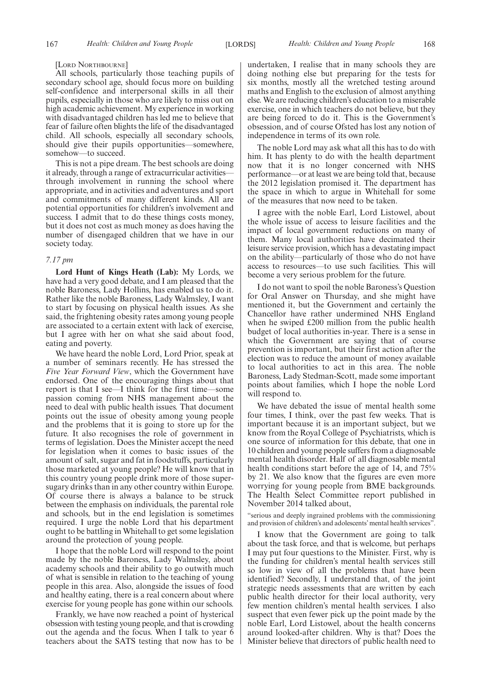#### [LORD NORTHBOURNE]

All schools, particularly those teaching pupils of secondary school age, should focus more on building self-confidence and interpersonal skills in all their pupils, especially in those who are likely to miss out on high academic achievement. My experience in working with disadvantaged children has led me to believe that fear of failure often blights the life of the disadvantaged child. All schools, especially all secondary schools, should give their pupils opportunities—somewhere, somehow—to succeed.

This is not a pipe dream. The best schools are doing it already, through a range of extracurricular activities through involvement in running the school where appropriate, and in activities and adventures and sport and commitments of many different kinds. All are potential opportunities for children's involvement and success. I admit that to do these things costs money, but it does not cost as much money as does having the number of disengaged children that we have in our society today.

#### *7.17 pm*

**Lord Hunt of Kings Heath (Lab):** My Lords, we have had a very good debate, and I am pleased that the noble Baroness, Lady Hollins, has enabled us to do it. Rather like the noble Baroness, Lady Walmsley, I want to start by focusing on physical health issues. As she said, the frightening obesity rates among young people are associated to a certain extent with lack of exercise, but I agree with her on what she said about food, eating and poverty.

We have heard the noble Lord, Lord Prior, speak at a number of seminars recently. He has stressed the *Five Year Forward View*, which the Government have endorsed. One of the encouraging things about that report is that I see—I think for the first time—some passion coming from NHS management about the need to deal with public health issues. That document points out the issue of obesity among young people and the problems that it is going to store up for the future. It also recognises the role of government in terms of legislation. Does the Minister accept the need for legislation when it comes to basic issues of the amount of salt, sugar and fat in foodstuffs, particularly those marketed at young people? He will know that in this country young people drink more of those supersugary drinks than in any other country within Europe. Of course there is always a balance to be struck between the emphasis on individuals, the parental role and schools, but in the end legislation is sometimes required. I urge the noble Lord that his department ought to be battling in Whitehall to get some legislation around the protection of young people.

I hope that the noble Lord will respond to the point made by the noble Baroness, Lady Walmsley, about academy schools and their ability to go outwith much of what is sensible in relation to the teaching of young people in this area. Also, alongside the issues of food and healthy eating, there is a real concern about where exercise for young people has gone within our schools.

Frankly, we have now reached a point of hysterical obsession with testing young people, and that is crowding out the agenda and the focus. When I talk to year 6 teachers about the SATS testing that now has to be undertaken, I realise that in many schools they are doing nothing else but preparing for the tests for six months, mostly all the wretched testing around maths and English to the exclusion of almost anything else. We are reducing children's education to a miserable exercise, one in which teachers do not believe, but they are being forced to do it. This is the Government's obsession, and of course Ofsted has lost any notion of independence in terms of its own role.

The noble Lord may ask what all this has to do with him. It has plenty to do with the health department now that it is no longer concerned with NHS performance—or at least we are being told that, because the 2012 legislation promised it. The department has the space in which to argue in Whitehall for some of the measures that now need to be taken.

I agree with the noble Earl, Lord Listowel, about the whole issue of access to leisure facilities and the impact of local government reductions on many of them. Many local authorities have decimated their leisure service provision, which has a devastating impact on the ability—particularly of those who do not have access to resources—to use such facilities. This will become a very serious problem for the future.

I do not want to spoil the noble Baroness's Question for Oral Answer on Thursday, and she might have mentioned it, but the Government and certainly the Chancellor have rather undermined NHS England when he swiped £200 million from the public health budget of local authorities in-year. There is a sense in which the Government are saying that of course prevention is important, but their first action after the election was to reduce the amount of money available to local authorities to act in this area. The noble Baroness, Lady Stedman-Scott, made some important points about families, which I hope the noble Lord will respond to.

We have debated the issue of mental health some four times, I think, over the past few weeks. That is important because it is an important subject, but we know from the Royal College of Psychiatrists, which is one source of information for this debate, that one in 10 children and young people suffers from a diagnosable mental health disorder. Half of all diagnosable mental health conditions start before the age of 14, and 75% by 21. We also know that the figures are even more worrying for young people from BME backgrounds. The Health Select Committee report published in November 2014 talked about,

"serious and deeply ingrained problems with the commissioning and provision of children's and adolescents'mental health services".

I know that the Government are going to talk about the task force, and that is welcome, but perhaps I may put four questions to the Minister. First, why is the funding for children's mental health services still so low in view of all the problems that have been identified? Secondly, I understand that, of the joint strategic needs assessments that are written by each public health director for their local authority, very few mention children's mental health services. I also suspect that even fewer pick up the point made by the noble Earl, Lord Listowel, about the health concerns around looked-after children. Why is that? Does the Minister believe that directors of public health need to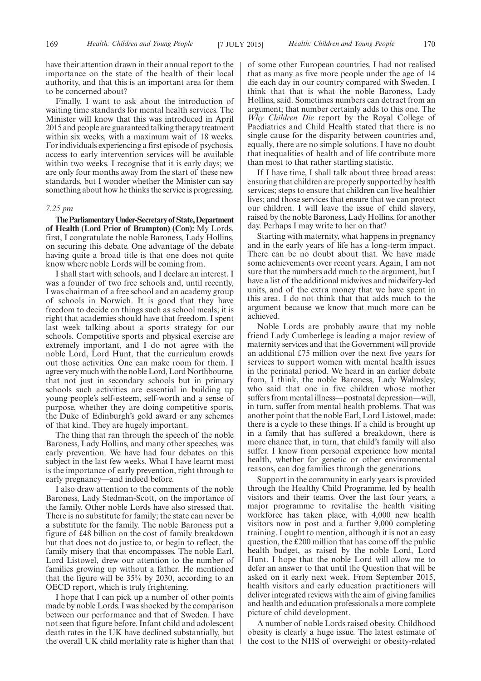have their attention drawn in their annual report to the importance on the state of the health of their local authority, and that this is an important area for them to be concerned about?

Finally, I want to ask about the introduction of waiting time standards for mental health services. The Minister will know that this was introduced in April 2015 and people are guaranteed talking therapy treatment within six weeks, with a maximum wait of 18 weeks. For individuals experiencing a first episode of psychosis, access to early intervention services will be available within two weeks. I recognise that it is early days; we are only four months away from the start of these new standards, but I wonder whether the Minister can say something about how he thinks the service is progressing.

#### *7.25 pm*

**TheParliamentaryUnder-Secretaryof State,Department of Health (Lord Prior of Brampton) (Con):** My Lords, first, I congratulate the noble Baroness, Lady Hollins, on securing this debate. One advantage of the debate having quite a broad title is that one does not quite know where noble Lords will be coming from.

I shall start with schools, and I declare an interest. I was a founder of two free schools and, until recently, I was chairman of a free school and an academy group of schools in Norwich. It is good that they have freedom to decide on things such as school meals; it is right that academies should have that freedom. I spent last week talking about a sports strategy for our schools. Competitive sports and physical exercise are extremely important, and I do not agree with the noble Lord, Lord Hunt, that the curriculum crowds out those activities. One can make room for them. I agree very much with the noble Lord, Lord Northbourne, that not just in secondary schools but in primary schools such activities are essential in building up young people's self-esteem, self-worth and a sense of purpose, whether they are doing competitive sports, the Duke of Edinburgh's gold award or any schemes of that kind. They are hugely important.

The thing that ran through the speech of the noble Baroness, Lady Hollins, and many other speeches, was early prevention. We have had four debates on this subject in the last few weeks. What I have learnt most is the importance of early prevention, right through to early pregnancy—and indeed before.

I also draw attention to the comments of the noble Baroness, Lady Stedman-Scott, on the importance of the family. Other noble Lords have also stressed that. There is no substitute for family; the state can never be a substitute for the family. The noble Baroness put a figure of £48 billion on the cost of family breakdown but that does not do justice to, or begin to reflect, the family misery that that encompasses. The noble Earl, Lord Listowel, drew our attention to the number of families growing up without a father. He mentioned that the figure will be 35% by 2030, according to an OECD report, which is truly frightening.

I hope that I can pick up a number of other points made by noble Lords. I was shocked by the comparison between our performance and that of Sweden. I have not seen that figure before. Infant child and adolescent death rates in the UK have declined substantially, but the overall UK child mortality rate is higher than that of some other European countries. I had not realised that as many as five more people under the age of 14 die each day in our country compared with Sweden. I think that that is what the noble Baroness, Lady Hollins, said. Sometimes numbers can detract from an argument; that number certainly adds to this one. The *Why Children Die* report by the Royal College of Paediatrics and Child Health stated that there is no single cause for the disparity between countries and, equally, there are no simple solutions. I have no doubt that inequalities of health and of life contribute more than most to that rather startling statistic.

If I have time, I shall talk about three broad areas: ensuring that children are properly supported by health services; steps to ensure that children can live healthier lives; and those services that ensure that we can protect our children. I will leave the issue of child slavery, raised by the noble Baroness, Lady Hollins, for another day. Perhaps I may write to her on that?

Starting with maternity, what happens in pregnancy and in the early years of life has a long-term impact. There can be no doubt about that. We have made some achievements over recent years. Again, I am not sure that the numbers add much to the argument, but I have a list of the additional midwives and midwifery-led units, and of the extra money that we have spent in this area. I do not think that that adds much to the argument because we know that much more can be achieved.

Noble Lords are probably aware that my noble friend Lady Cumberlege is leading a major review of maternity services and that the Government will provide an additional £75 million over the next five years for services to support women with mental health issues in the perinatal period. We heard in an earlier debate from, I think, the noble Baroness, Lady Walmsley, who said that one in five children whose mother suffers from mental illness—postnatal depression—will, in turn, suffer from mental health problems. That was another point that the noble Earl, Lord Listowel, made: there is a cycle to these things. If a child is brought up in a family that has suffered a breakdown, there is more chance that, in turn, that child's family will also suffer. I know from personal experience how mental health, whether for genetic or other environmental reasons, can dog families through the generations.

Support in the community in early years is provided through the Healthy Child Programme, led by health visitors and their teams. Over the last four years, a major programme to revitalise the health visiting workforce has taken place, with 4,000 new health visitors now in post and a further 9,000 completing training. I ought to mention, although it is not an easy question, the £200 million that has come off the public health budget, as raised by the noble Lord, Lord Hunt. I hope that the noble Lord will allow me to defer an answer to that until the Question that will be asked on it early next week. From September 2015, health visitors and early education practitioners will deliver integrated reviews with the aim of giving families and health and education professionals a more complete picture of child development.

A number of noble Lords raised obesity. Childhood obesity is clearly a huge issue. The latest estimate of the cost to the NHS of overweight or obesity-related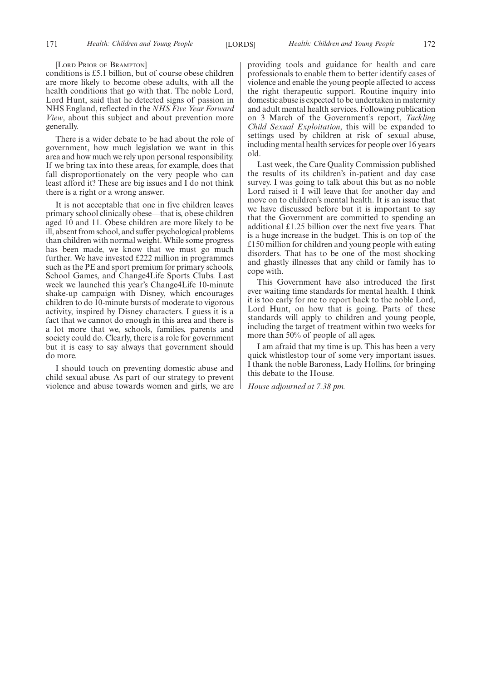#### [LORD PRIOR OF BRAMPTON]

conditions is £5.1 billion, but of course obese children are more likely to become obese adults, with all the health conditions that go with that. The noble Lord, Lord Hunt, said that he detected signs of passion in NHS England, reflected in the *NHS Five Year Forward View*, about this subject and about prevention more generally.

There is a wider debate to be had about the role of government, how much legislation we want in this area and how much we rely upon personal responsibility. If we bring tax into these areas, for example, does that fall disproportionately on the very people who can least afford it? These are big issues and I do not think there is a right or a wrong answer.

It is not acceptable that one in five children leaves primary school clinically obese—that is, obese children aged 10 and 11. Obese children are more likely to be ill, absent from school, and suffer psychological problems than children with normal weight. While some progress has been made, we know that we must go much further. We have invested £222 million in programmes such as the PE and sport premium for primary schools, School Games, and Change4Life Sports Clubs. Last week we launched this year's Change4Life 10-minute shake-up campaign with Disney, which encourages children to do 10-minute bursts of moderate to vigorous activity, inspired by Disney characters. I guess it is a fact that we cannot do enough in this area and there is a lot more that we, schools, families, parents and society could do. Clearly, there is a role for government but it is easy to say always that government should do more.

I should touch on preventing domestic abuse and child sexual abuse. As part of our strategy to prevent violence and abuse towards women and girls, we are

providing tools and guidance for health and care professionals to enable them to better identify cases of violence and enable the young people affected to access the right therapeutic support. Routine inquiry into domestic abuse is expected to be undertaken in maternity and adult mental health services. Following publication on 3 March of the Government's report, *Tackling Child Sexual Exploitation*, this will be expanded to settings used by children at risk of sexual abuse, including mental health services for people over 16 years old.

Last week, the Care Quality Commission published the results of its children's in-patient and day case survey. I was going to talk about this but as no noble Lord raised it I will leave that for another day and move on to children's mental health. It is an issue that we have discussed before but it is important to say that the Government are committed to spending an additional £1.25 billion over the next five years. That is a huge increase in the budget. This is on top of the £150 million for children and young people with eating disorders. That has to be one of the most shocking and ghastly illnesses that any child or family has to cope with.

This Government have also introduced the first ever waiting time standards for mental health. I think it is too early for me to report back to the noble Lord, Lord Hunt, on how that is going. Parts of these standards will apply to children and young people, including the target of treatment within two weeks for more than 50% of people of all ages.

I am afraid that my time is up. This has been a very quick whistlestop tour of some very important issues. I thank the noble Baroness, Lady Hollins, for bringing this debate to the House.

*House adjourned at 7.38 pm.*